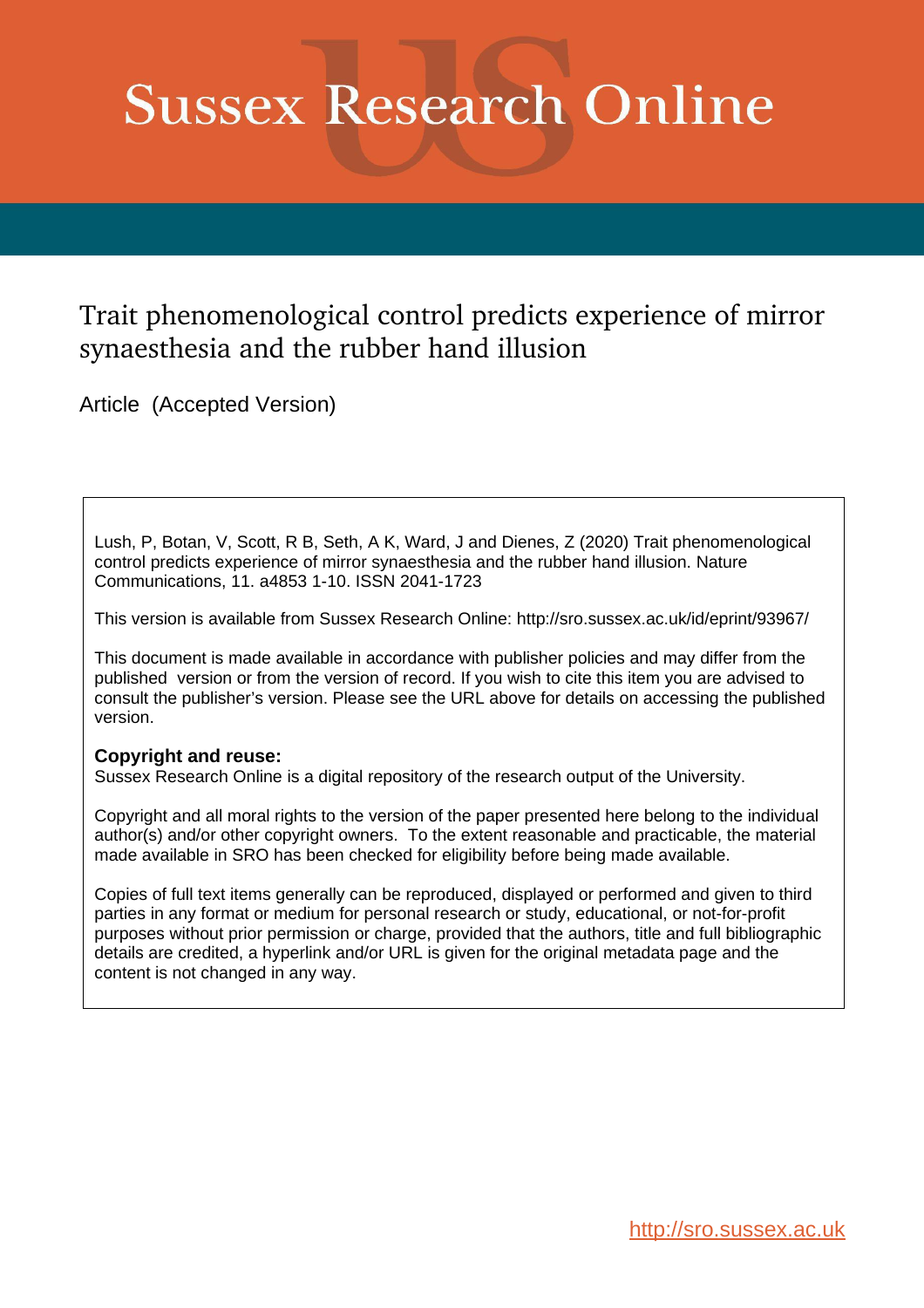# **Sussex Research Online**

# Trait phenomenological control predicts experience of mirror synaesthesia and the rubber hand illusion

Article (Accepted Version)

Lush, P, Botan, V, Scott, R B, Seth, A K, Ward, J and Dienes, Z (2020) Trait phenomenological control predicts experience of mirror synaesthesia and the rubber hand illusion. Nature Communications, 11. a4853 1-10. ISSN 2041-1723

This version is available from Sussex Research Online: http://sro.sussex.ac.uk/id/eprint/93967/

This document is made available in accordance with publisher policies and may differ from the published version or from the version of record. If you wish to cite this item you are advised to consult the publisher's version. Please see the URL above for details on accessing the published version.

# **Copyright and reuse:**

Sussex Research Online is a digital repository of the research output of the University.

Copyright and all moral rights to the version of the paper presented here belong to the individual author(s) and/or other copyright owners. To the extent reasonable and practicable, the material made available in SRO has been checked for eligibility before being made available.

Copies of full text items generally can be reproduced, displayed or performed and given to third parties in any format or medium for personal research or study, educational, or not-for-profit purposes without prior permission or charge, provided that the authors, title and full bibliographic details are credited, a hyperlink and/or URL is given for the original metadata page and the content is not changed in any way.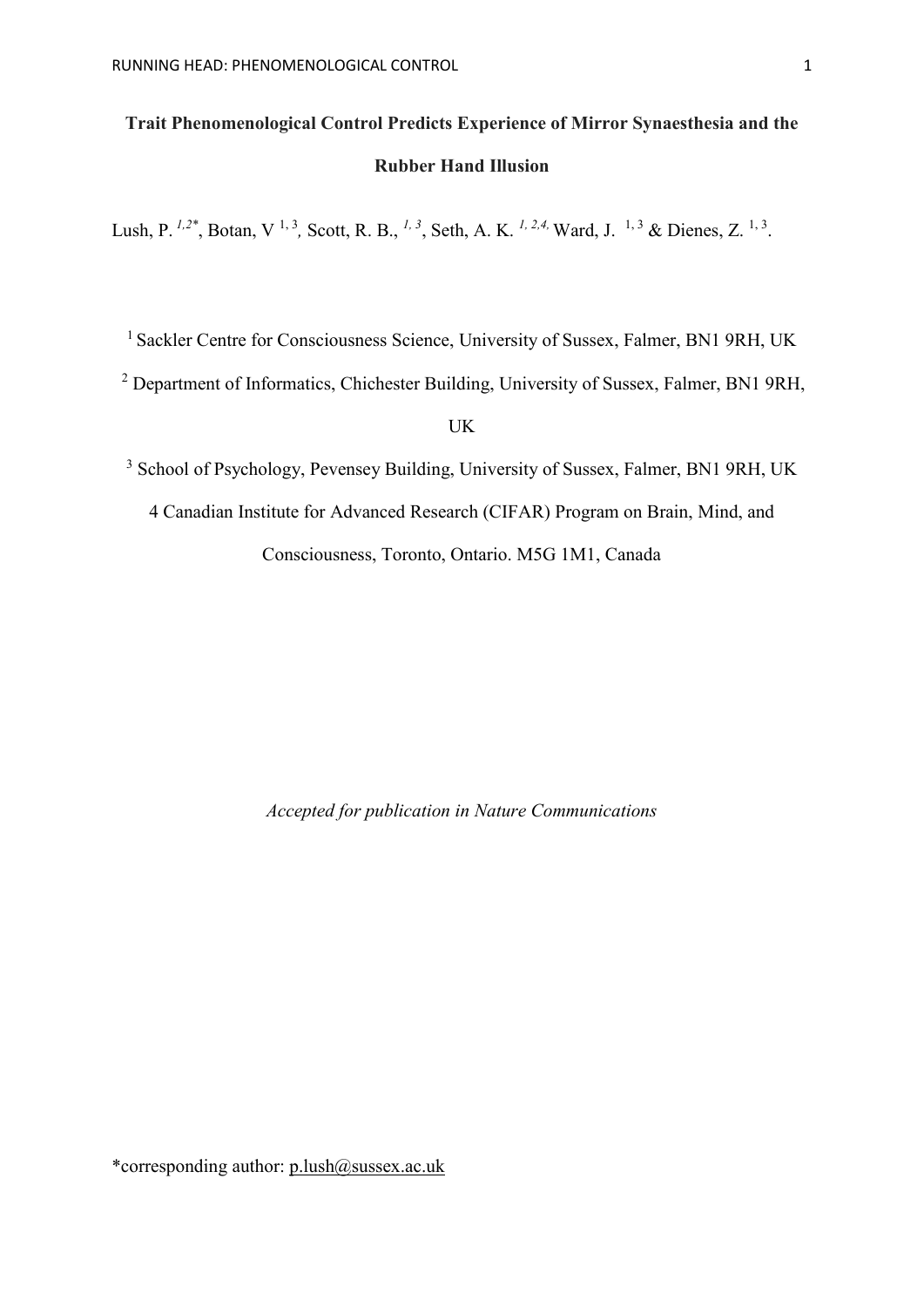# **Trait Phenomenological Control Predicts Experience of Mirror Synaesthesia and the Rubber Hand Illusion**

Lush, P. <sup>1,2\*</sup>, Botan, V<sup>1,3</sup>, Scott, R. B., <sup>1,3</sup>, Seth, A. K. <sup>1, 2,4,</sup> Ward, J. <sup>1,3</sup> & Dienes, Z. <sup>1,3</sup>.

<sup>1</sup> Sackler Centre for Consciousness Science, University of Sussex, Falmer, BN1 9RH, UK

<sup>2</sup> Department of Informatics, Chichester Building, University of Sussex, Falmer, BN1 9RH,

UK

<sup>3</sup> School of Psychology, Pevensey Building, University of Sussex, Falmer, BN1 9RH, UK

4 Canadian Institute for Advanced Research (CIFAR) Program on Brain, Mind, and

Consciousness, Toronto, Ontario. M5G 1M1, Canada

*Accepted for publication in Nature Communications*

\*corresponding author:  $p.lush@sussex.ac.uk$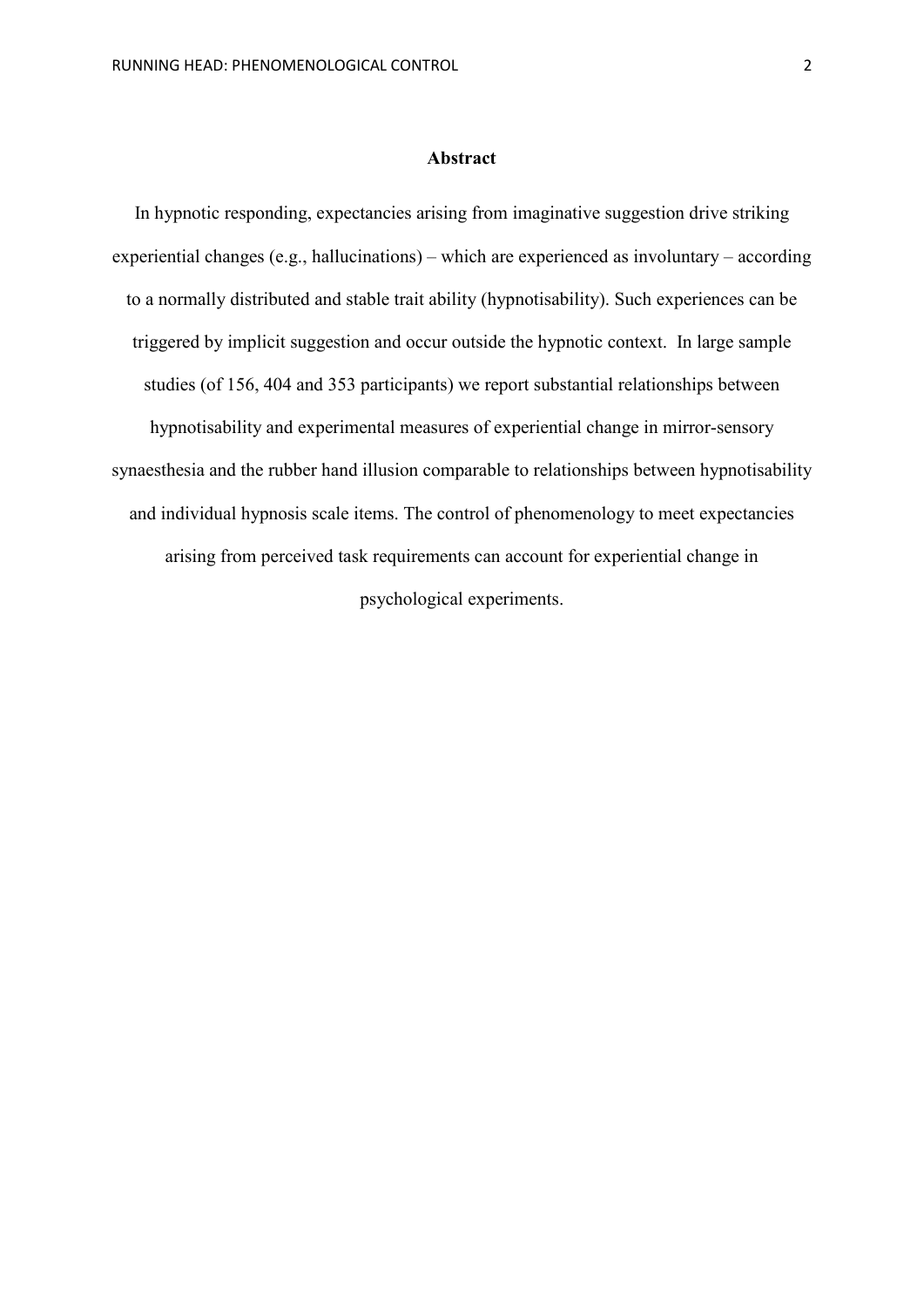#### **Abstract**

In hypnotic responding, expectancies arising from imaginative suggestion drive striking experiential changes (e.g., hallucinations) – which are experienced as involuntary – according to a normally distributed and stable trait ability (hypnotisability). Such experiences can be triggered by implicit suggestion and occur outside the hypnotic context. In large sample studies (of 156, 404 and 353 participants) we report substantial relationships between hypnotisability and experimental measures of experiential change in mirror-sensory synaesthesia and the rubber hand illusion comparable to relationships between hypnotisability and individual hypnosis scale items. The control of phenomenology to meet expectancies arising from perceived task requirements can account for experiential change in psychological experiments.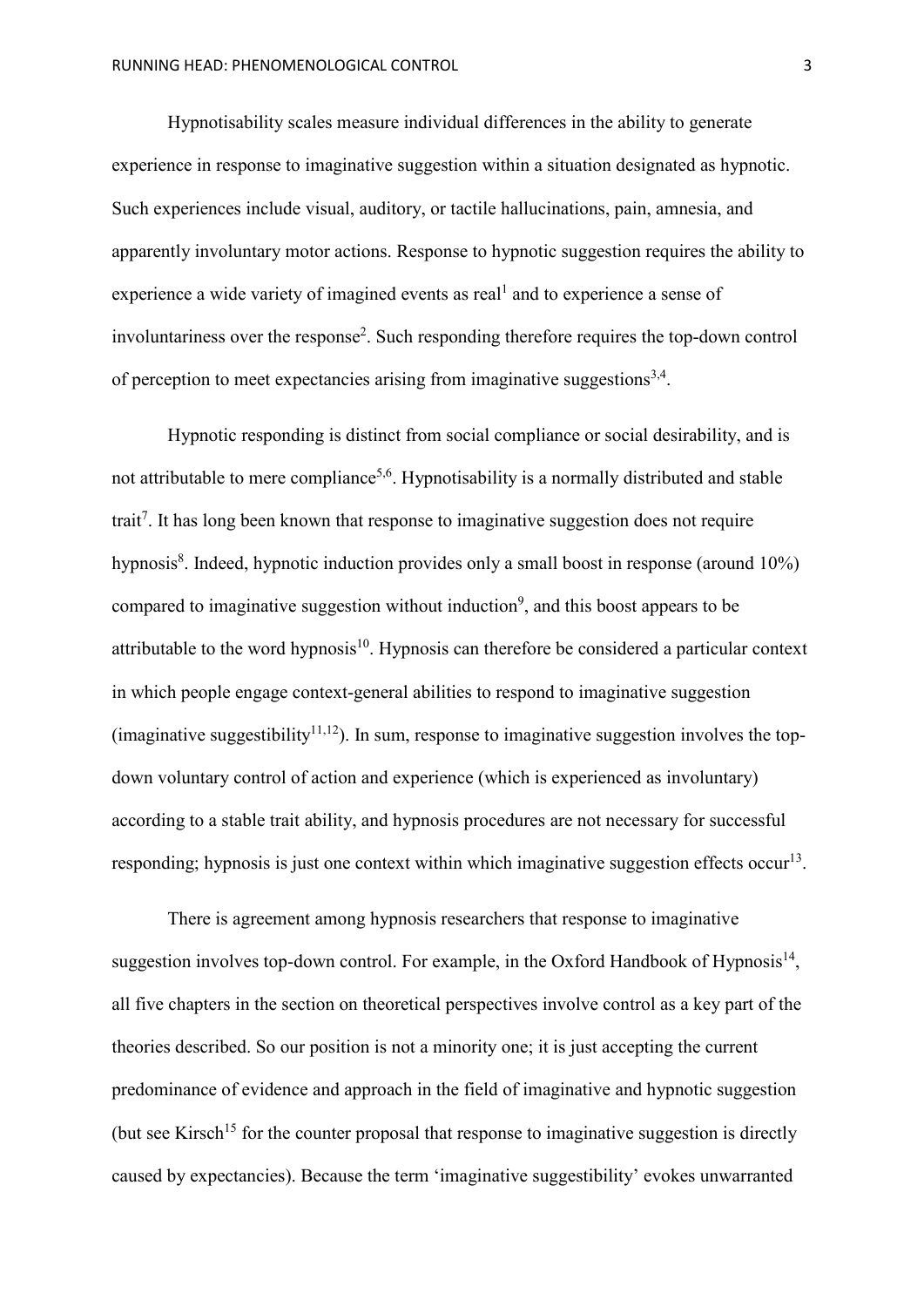Hypnotisability scales measure individual differences in the ability to generate experience in response to imaginative suggestion within a situation designated as hypnotic. Such experiences include visual, auditory, or tactile hallucinations, pain, amnesia, and apparently involuntary motor actions. Response to hypnotic suggestion requires the ability to experience a wide variety of imagined events as real<sup>1</sup> and to experience a sense of involuntariness over the response<sup>2</sup>. Such responding therefore requires the top-down control of perception to meet expectancies arising from imaginative suggestions<sup>3,4</sup>.

Hypnotic responding is distinct from social compliance or social desirability, and is not attributable to mere compliance<sup>5,6</sup>. Hypnotisability is a normally distributed and stable trait<sup>7</sup>. It has long been known that response to imaginative suggestion does not require hypnosis<sup>8</sup>. Indeed, hypnotic induction provides only a small boost in response (around 10%) compared to imaginative suggestion without induction<sup>9</sup>, and this boost appears to be attributable to the word hypnosis<sup>10</sup>. Hypnosis can therefore be considered a particular context in which people engage context-general abilities to respond to imaginative suggestion (imaginative suggestibility<sup>11,12</sup>). In sum, response to imaginative suggestion involves the topdown voluntary control of action and experience (which is experienced as involuntary) according to a stable trait ability, and hypnosis procedures are not necessary for successful responding; hypnosis is just one context within which imaginative suggestion effects occur<sup>13</sup>.

There is agreement among hypnosis researchers that response to imaginative suggestion involves top-down control. For example, in the Oxford Handbook of Hypnosis<sup>14</sup>, all five chapters in the section on theoretical perspectives involve control as a key part of the theories described. So our position is not a minority one; it is just accepting the current predominance of evidence and approach in the field of imaginative and hypnotic suggestion (but see Kirsch<sup>15</sup> for the counter proposal that response to imaginative suggestion is directly caused by expectancies). Because the term 'imaginative suggestibility' evokes unwarranted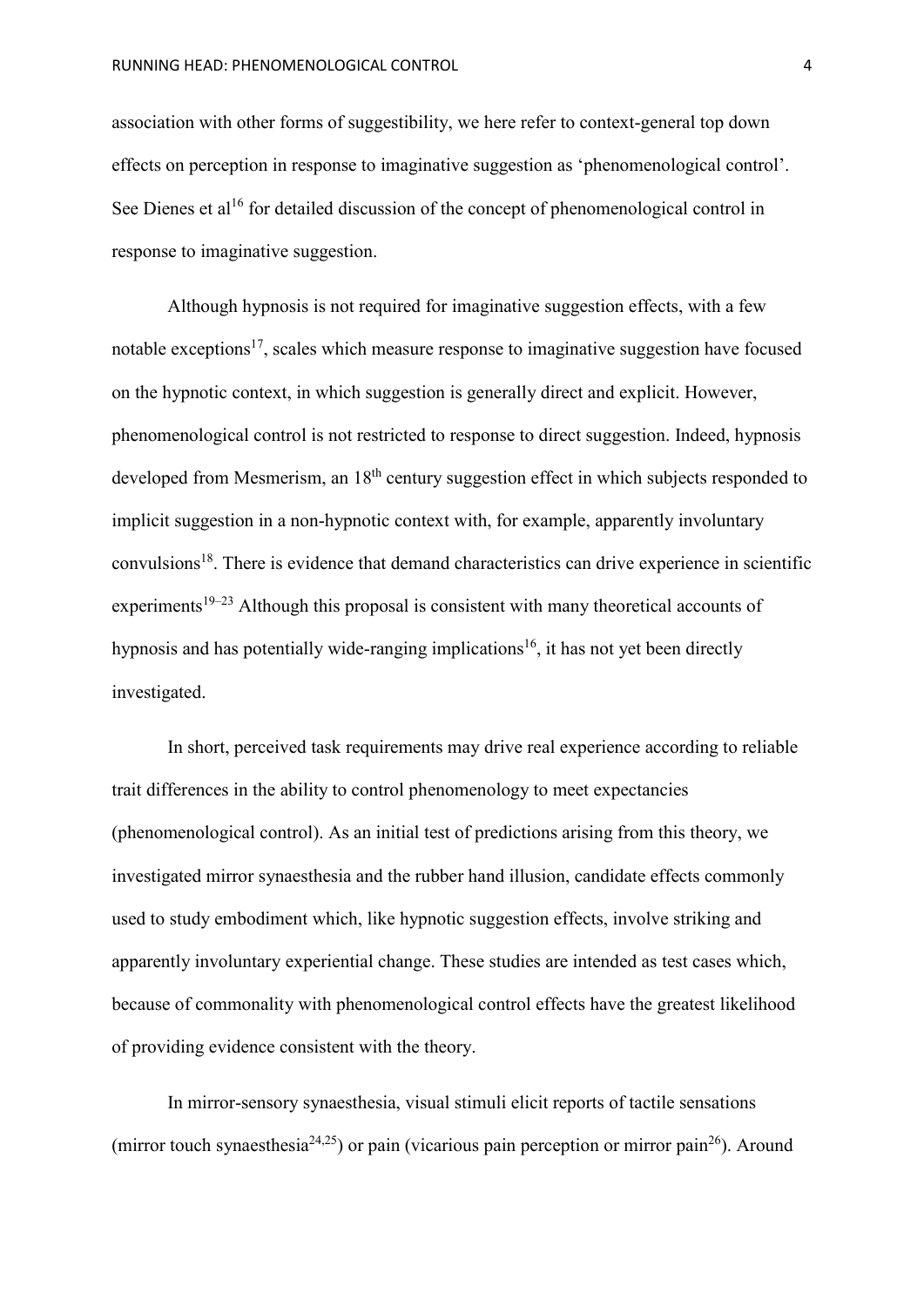association with other forms of suggestibility, we here refer to context-general top down effects on perception in response to imaginative suggestion as 'phenomenological control'. See Dienes et al<sup>16</sup> for detailed discussion of the concept of phenomenological control in response to imaginative suggestion.

Although hypnosis is not required for imaginative suggestion effects, with a few notable exceptions<sup>17</sup>, scales which measure response to imaginative suggestion have focused on the hypnotic context, in which suggestion is generally direct and explicit. However, phenomenological control is not restricted to response to direct suggestion. Indeed, hypnosis developed from Mesmerism, an 18<sup>th</sup> century suggestion effect in which subjects responded to implicit suggestion in a non-hypnotic context with, for example, apparently involuntary convulsions<sup>18</sup>. There is evidence that demand characteristics can drive experience in scientific experiments<sup>19–23</sup> Although this proposal is consistent with many theoretical accounts of hypnosis and has potentially wide-ranging implications<sup>16</sup>, it has not yet been directly investigated.

In short, perceived task requirements may drive real experience according to reliable trait differences in the ability to control phenomenology to meet expectancies (phenomenological control). As an initial test of predictions arising from this theory, we investigated mirror synaesthesia and the rubber hand illusion, candidate effects commonly used to study embodiment which, like hypnotic suggestion effects, involve striking and apparently involuntary experiential change. These studies are intended as test cases which, because of commonality with phenomenological control effects have the greatest likelihood of providing evidence consistent with the theory.

In mirror-sensory synaesthesia, visual stimuli elicit reports of tactile sensations (mirror touch synaesthesia<sup>24,25</sup>) or pain (vicarious pain perception or mirror pain<sup>26</sup>). Around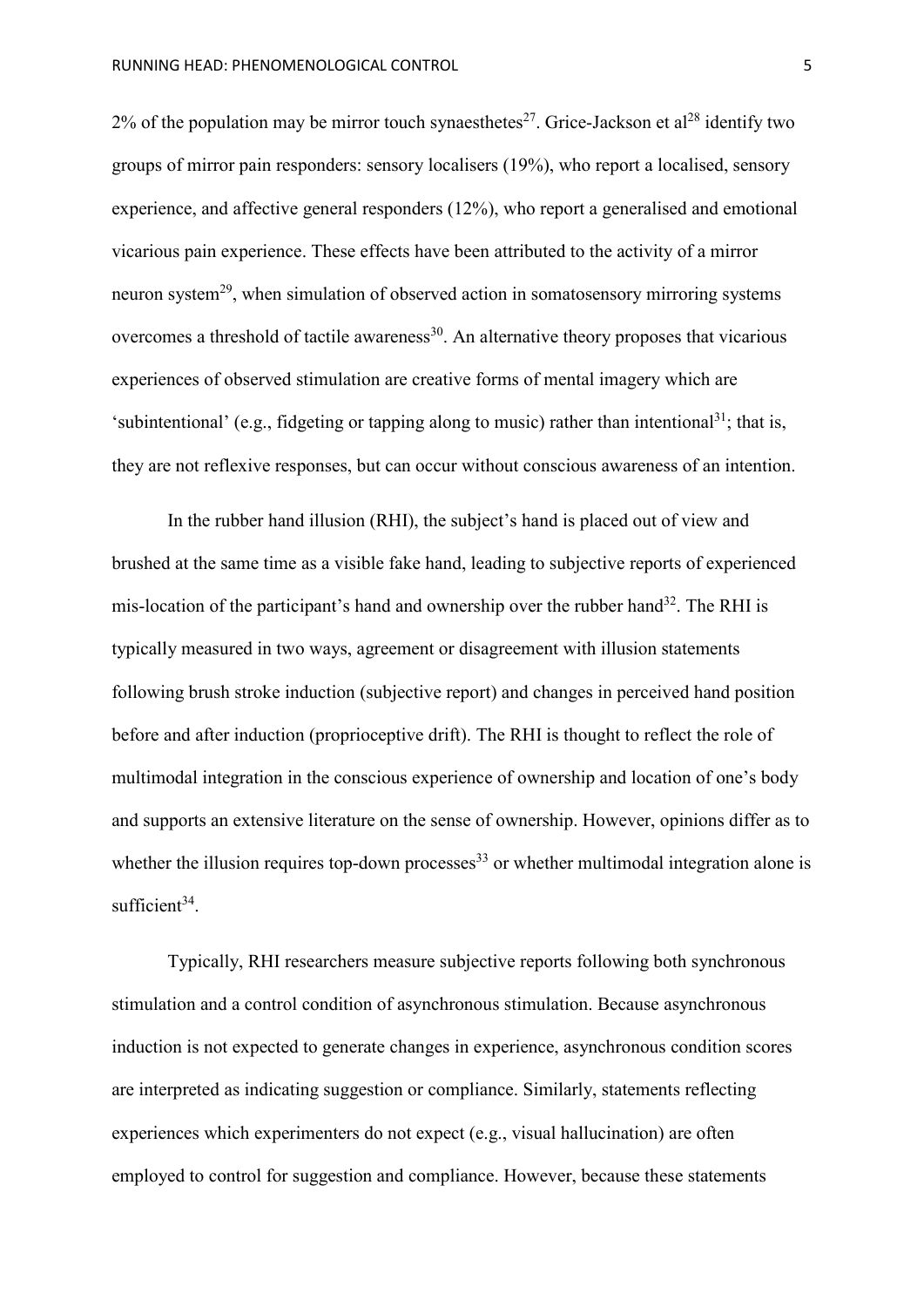2% of the population may be mirror touch synaesthetes<sup>27</sup>. Grice-Jackson et al<sup>28</sup> identify two groups of mirror pain responders: sensory localisers (19%), who report a localised, sensory experience, and affective general responders (12%), who report a generalised and emotional vicarious pain experience. These effects have been attributed to the activity of a mirror neuron system<sup>29</sup>, when simulation of observed action in somatosensory mirroring systems overcomes a threshold of tactile awareness<sup>30</sup>. An alternative theory proposes that vicarious experiences of observed stimulation are creative forms of mental imagery which are 'subintentional' (e.g., fidgeting or tapping along to music) rather than intentional<sup>31</sup>; that is, they are not reflexive responses, but can occur without conscious awareness of an intention.

In the rubber hand illusion (RHI), the subject's hand is placed out of view and brushed at the same time as a visible fake hand, leading to subjective reports of experienced mis-location of the participant's hand and ownership over the rubber hand<sup>32</sup>. The RHI is typically measured in two ways, agreement or disagreement with illusion statements following brush stroke induction (subjective report) and changes in perceived hand position before and after induction (proprioceptive drift). The RHI is thought to reflect the role of multimodal integration in the conscious experience of ownership and location of one's body and supports an extensive literature on the sense of ownership. However, opinions differ as to whether the illusion requires top-down processes<sup>33</sup> or whether multimodal integration alone is sufficient $34$ .

Typically, RHI researchers measure subjective reports following both synchronous stimulation and a control condition of asynchronous stimulation. Because asynchronous induction is not expected to generate changes in experience, asynchronous condition scores are interpreted as indicating suggestion or compliance. Similarly, statements reflecting experiences which experimenters do not expect (e.g., visual hallucination) are often employed to control for suggestion and compliance. However, because these statements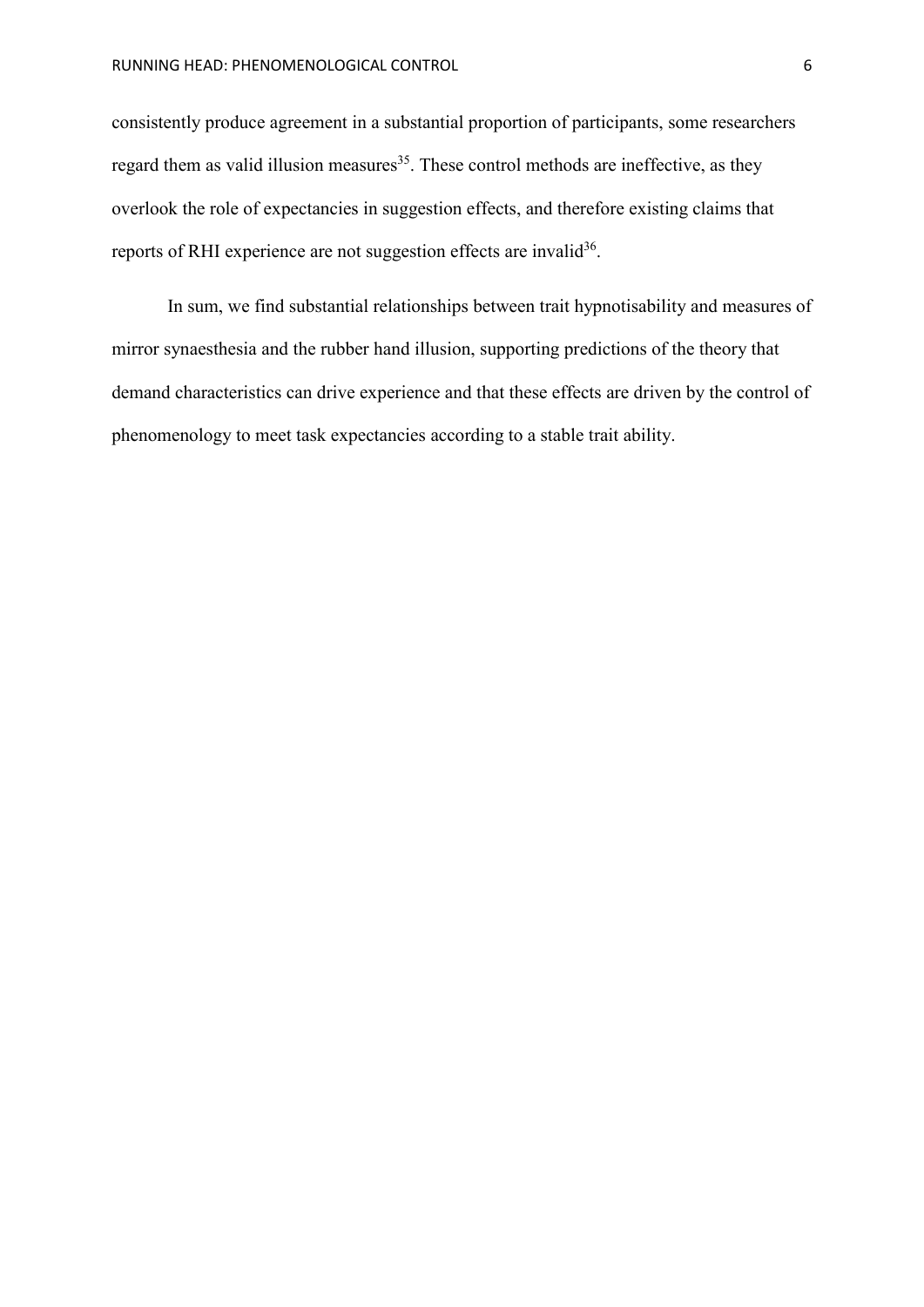consistently produce agreement in a substantial proportion of participants, some researchers regard them as valid illusion measures<sup>35</sup>. These control methods are ineffective, as they overlook the role of expectancies in suggestion effects, and therefore existing claims that reports of RHI experience are not suggestion effects are invalid<sup>36</sup>.

In sum, we find substantial relationships between trait hypnotisability and measures of mirror synaesthesia and the rubber hand illusion, supporting predictions of the theory that demand characteristics can drive experience and that these effects are driven by the control of phenomenology to meet task expectancies according to a stable trait ability.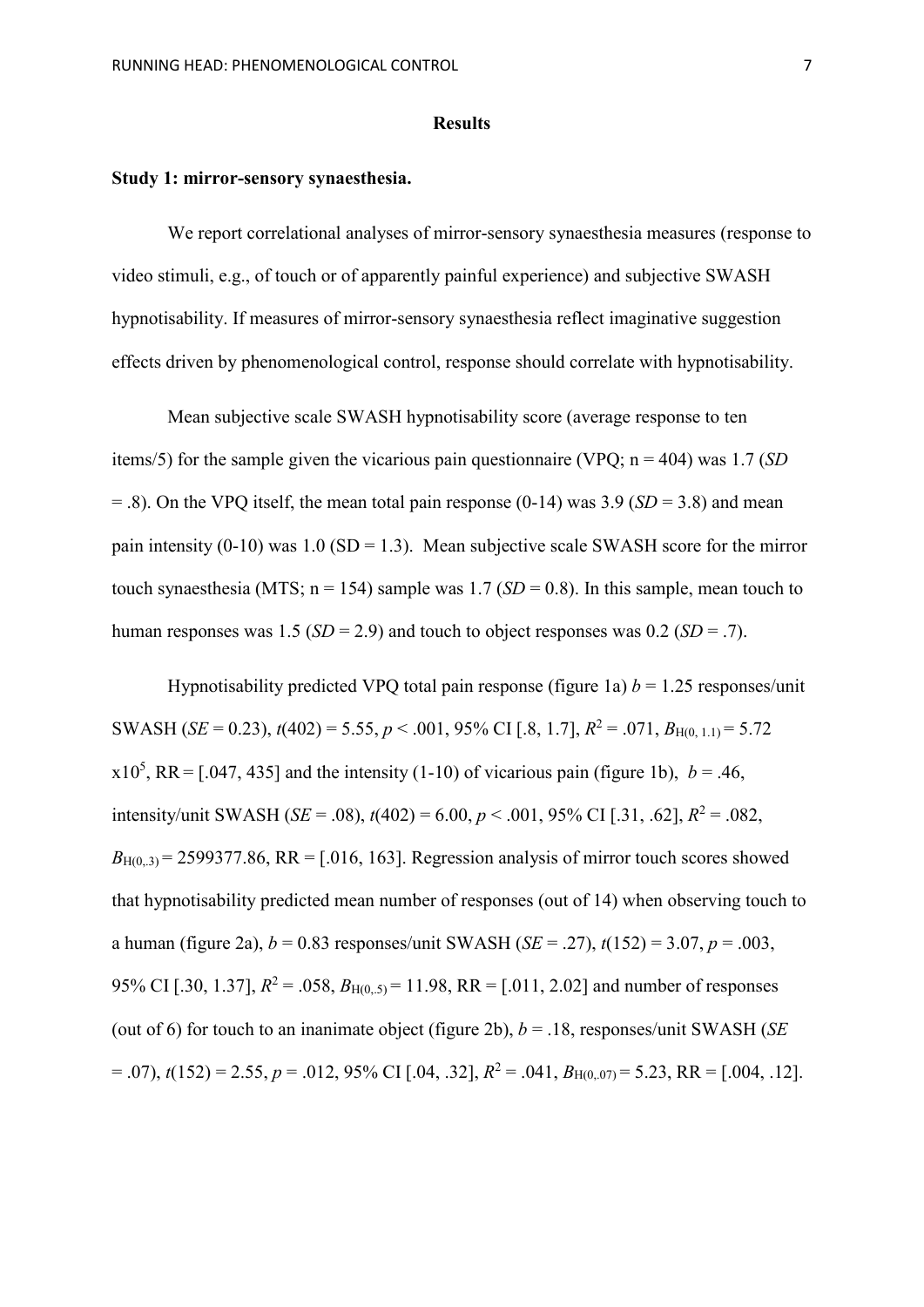#### **Results**

# **Study 1: mirror-sensory synaesthesia.**

We report correlational analyses of mirror-sensory synaesthesia measures (response to video stimuli, e.g., of touch or of apparently painful experience) and subjective SWASH hypnotisability. If measures of mirror-sensory synaesthesia reflect imaginative suggestion effects driven by phenomenological control, response should correlate with hypnotisability.

Mean subjective scale SWASH hypnotisability score (average response to ten items/5) for the sample given the vicarious pain questionnaire (VPQ; n = 404) was 1.7 (*SD*   $=$  .8). On the VPQ itself, the mean total pain response (0-14) was 3.9 (*SD* = 3.8) and mean pain intensity (0-10) was 1.0 (SD = 1.3). Mean subjective scale SWASH score for the mirror touch synaesthesia (MTS;  $n = 154$ ) sample was 1.7 (*SD* = 0.8). In this sample, mean touch to human responses was 1.5 ( $SD = 2.9$ ) and touch to object responses was 0.2 ( $SD = .7$ ).

Hypnotisability predicted VPQ total pain response (figure 1a)  $b = 1.25$  responses/unit SWASH (*SE* = 0.23),  $t(402)$  = 5.55,  $p < .001$ , 95% CI [.8, 1.7],  $R^2 = .071$ ,  $B_{H(0, 1, 1)} = 5.72$  $x10^5$ , RR = [.047, 435] and the intensity (1-10) of vicarious pain (figure 1b),  $b = .46$ , intensity/unit SWASH (*SE* = .08),  $t(402) = 6.00, p < .001, 95\%$  CI [.31, .62],  $R^2 = .082$ ,  $B_{H(0,3)} = 2599377.86$ , RR = [.016, 163]. Regression analysis of mirror touch scores showed that hypnotisability predicted mean number of responses (out of 14) when observing touch to a human (figure 2a),  $b = 0.83$  responses/unit SWASH (*SE* = .27),  $t(152) = 3.07$ ,  $p = .003$ , 95% CI [.30, 1.37],  $R^2 = .058$ ,  $B_{H(0.5)} = 11.98$ , RR = [.011, 2.02] and number of responses (out of 6) for touch to an inanimate object (figure 2b),  $b = .18$ , responses/unit SWASH (*SE*)  $= .07$ ),  $t(152) = 2.55$ ,  $p = .012$ , 95% CI [.04, .32],  $R^2 = .041$ ,  $B_{H(0,07)} = 5.23$ , RR = [.004, .12].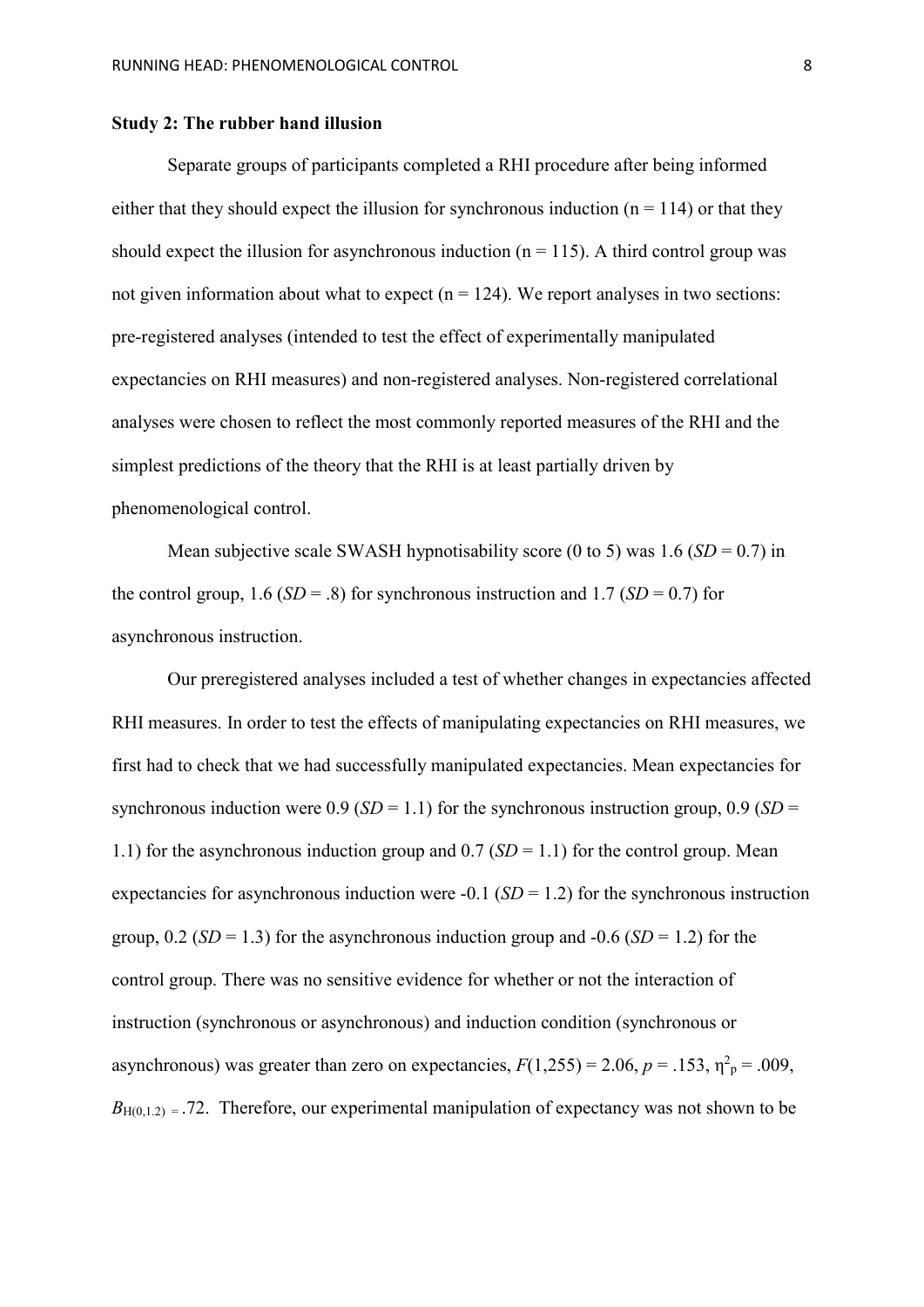#### **Study 2: The rubber hand illusion**

Separate groups of participants completed a RHI procedure after being informed either that they should expect the illusion for synchronous induction ( $n = 114$ ) or that they should expect the illusion for asynchronous induction ( $n = 115$ ). A third control group was not given information about what to expect  $(n = 124)$ . We report analyses in two sections: pre-registered analyses (intended to test the effect of experimentally manipulated expectancies on RHI measures) and non-registered analyses. Non-registered correlational analyses were chosen to reflect the most commonly reported measures of the RHI and the simplest predictions of the theory that the RHI is at least partially driven by phenomenological control.

Mean subjective scale SWASH hypnotisability score  $(0 \text{ to } 5)$  was 1.6  $(SD = 0.7)$  in the control group,  $1.6$  (*SD* = .8) for synchronous instruction and  $1.7$  (*SD* = 0.7) for asynchronous instruction.

Our preregistered analyses included a test of whether changes in expectancies affected RHI measures. In order to test the effects of manipulating expectancies on RHI measures, we first had to check that we had successfully manipulated expectancies. Mean expectancies for synchronous induction were  $0.9$  (*SD* = 1.1) for the synchronous instruction group,  $0.9$  (*SD* = 1.1) for the asynchronous induction group and  $0.7$  (*SD* = 1.1) for the control group. Mean expectancies for asynchronous induction were  $-0.1$  (*SD* = 1.2) for the synchronous instruction group,  $0.2$  (*SD* = 1.3) for the asynchronous induction group and -0.6 (*SD* = 1.2) for the control group. There was no sensitive evidence for whether or not the interaction of instruction (synchronous or asynchronous) and induction condition (synchronous or asynchronous) was greater than zero on expectancies,  $F(1,255) = 2.06$ ,  $p = .153$ ,  $\eta^2$ <sub>p</sub> = .009,  $B<sub>H(0,1.2)</sub> = .72$ . Therefore, our experimental manipulation of expectancy was not shown to be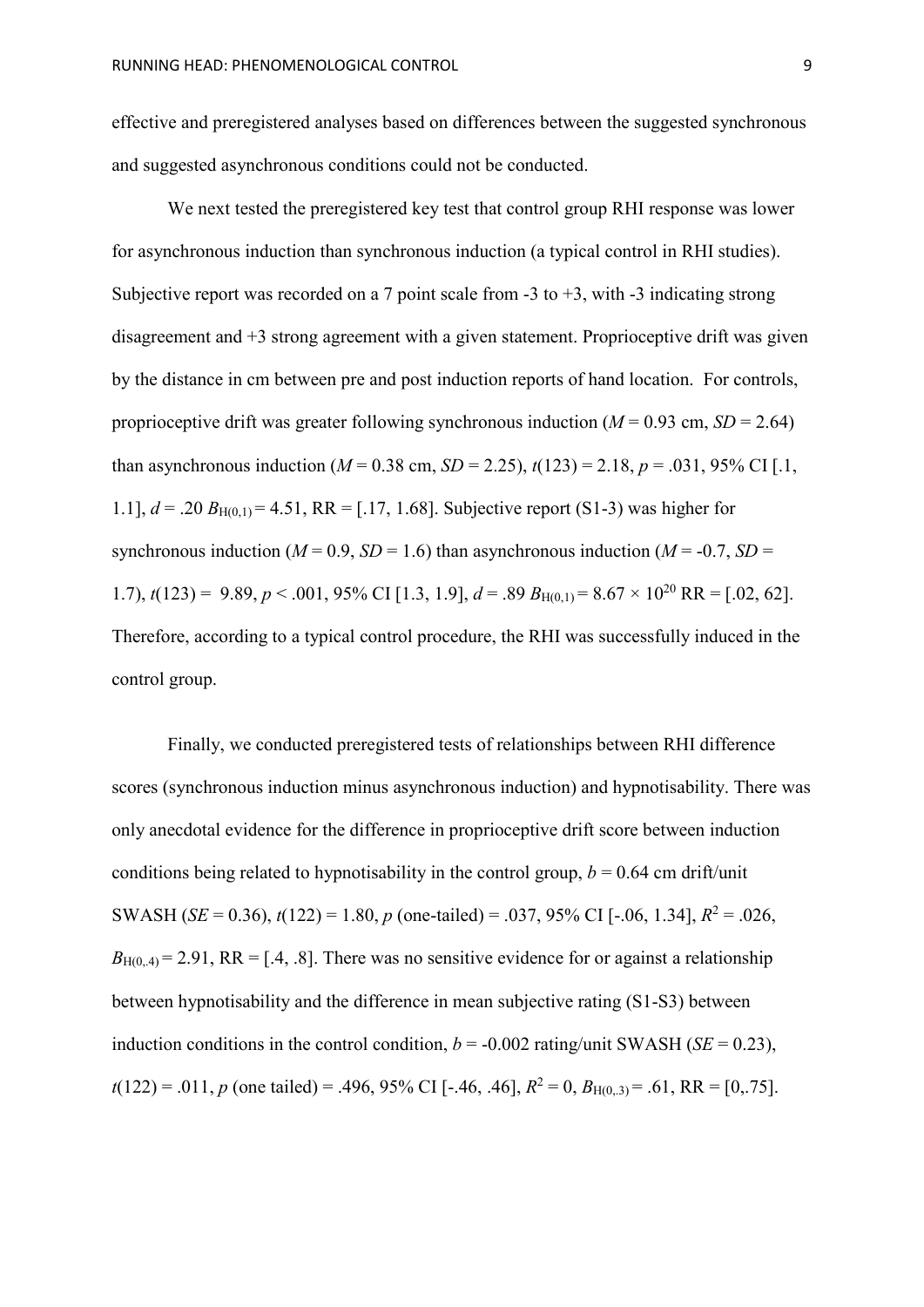effective and preregistered analyses based on differences between the suggested synchronous and suggested asynchronous conditions could not be conducted.

We next tested the preregistered key test that control group RHI response was lower for asynchronous induction than synchronous induction (a typical control in RHI studies). Subjective report was recorded on a 7 point scale from  $-3$  to  $+3$ , with  $-3$  indicating strong disagreement and +3 strong agreement with a given statement. Proprioceptive drift was given by the distance in cm between pre and post induction reports of hand location. For controls, proprioceptive drift was greater following synchronous induction ( $M = 0.93$  cm,  $SD = 2.64$ ) than asynchronous induction ( $M = 0.38$  cm,  $SD = 2.25$ ),  $t(123) = 2.18$ ,  $p = .031$ , 95% CI [.1, 1.1],  $d = .20 B_{H(0,1)} = 4.51$ , RR = [.17, 1.68]. Subjective report (S1-3) was higher for synchronous induction ( $M = 0.9$ ,  $SD = 1.6$ ) than asynchronous induction ( $M = -0.7$ ,  $SD =$ 1.7),  $t(123) = 9.89, p < .001, 95\%$  CI [1.3, 1.9],  $d = .89$   $B_{H(0,1)} = 8.67 \times 10^{20}$  RR = [.02, 62]. Therefore, according to a typical control procedure, the RHI was successfully induced in the control group.

Finally, we conducted preregistered tests of relationships between RHI difference scores (synchronous induction minus asynchronous induction) and hypnotisability. There was only anecdotal evidence for the difference in proprioceptive drift score between induction conditions being related to hypnotisability in the control group,  $b = 0.64$  cm drift/unit SWASH (*SE* = 0.36),  $t(122) = 1.80$ ,  $p$  (one-tailed) = .037, 95% CI [-.06, 1.34],  $R^2 = .026$ ,  $B_{H(0,4)} = 2.91$ , RR = [.4, .8]. There was no sensitive evidence for or against a relationship between hypnotisability and the difference in mean subjective rating (S1-S3) between induction conditions in the control condition,  $b = -0.002$  rating/unit SWASH (*SE* = 0.23),  $t(122) = .011$ , *p* (one tailed) = .496, 95% CI [-.46, .46],  $R^2 = 0$ ,  $B_{H(0,3)} = .61$ , RR = [0,.75].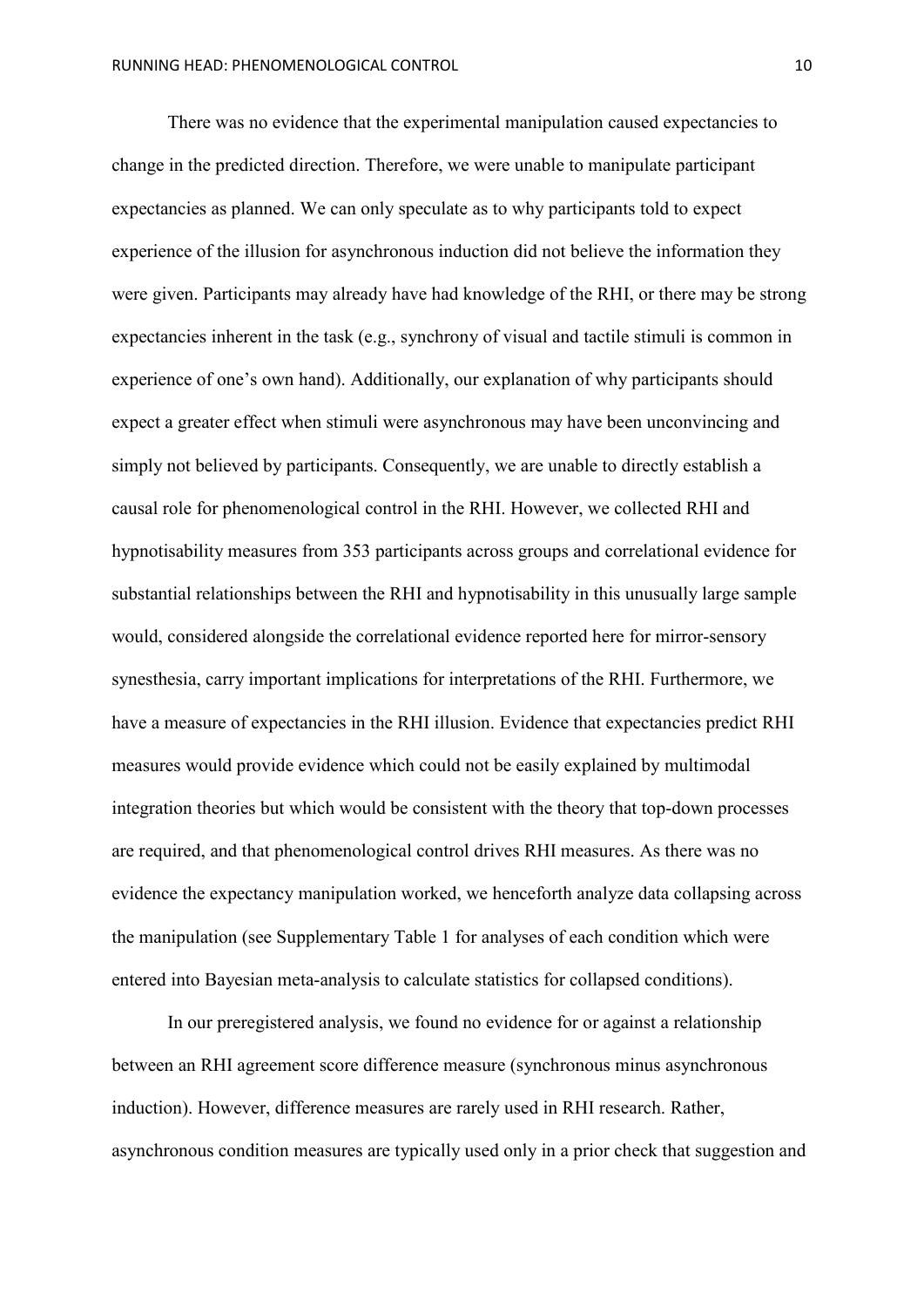There was no evidence that the experimental manipulation caused expectancies to change in the predicted direction. Therefore, we were unable to manipulate participant expectancies as planned. We can only speculate as to why participants told to expect experience of the illusion for asynchronous induction did not believe the information they were given. Participants may already have had knowledge of the RHI, or there may be strong expectancies inherent in the task (e.g., synchrony of visual and tactile stimuli is common in experience of one's own hand). Additionally, our explanation of why participants should expect a greater effect when stimuli were asynchronous may have been unconvincing and simply not believed by participants. Consequently, we are unable to directly establish a causal role for phenomenological control in the RHI. However, we collected RHI and hypnotisability measures from 353 participants across groups and correlational evidence for substantial relationships between the RHI and hypnotisability in this unusually large sample would, considered alongside the correlational evidence reported here for mirror-sensory synesthesia, carry important implications for interpretations of the RHI. Furthermore, we have a measure of expectancies in the RHI illusion. Evidence that expectancies predict RHI measures would provide evidence which could not be easily explained by multimodal integration theories but which would be consistent with the theory that top-down processes are required, and that phenomenological control drives RHI measures. As there was no evidence the expectancy manipulation worked, we henceforth analyze data collapsing across the manipulation (see Supplementary Table 1 for analyses of each condition which were entered into Bayesian meta-analysis to calculate statistics for collapsed conditions).

In our preregistered analysis, we found no evidence for or against a relationship between an RHI agreement score difference measure (synchronous minus asynchronous induction). However, difference measures are rarely used in RHI research. Rather, asynchronous condition measures are typically used only in a prior check that suggestion and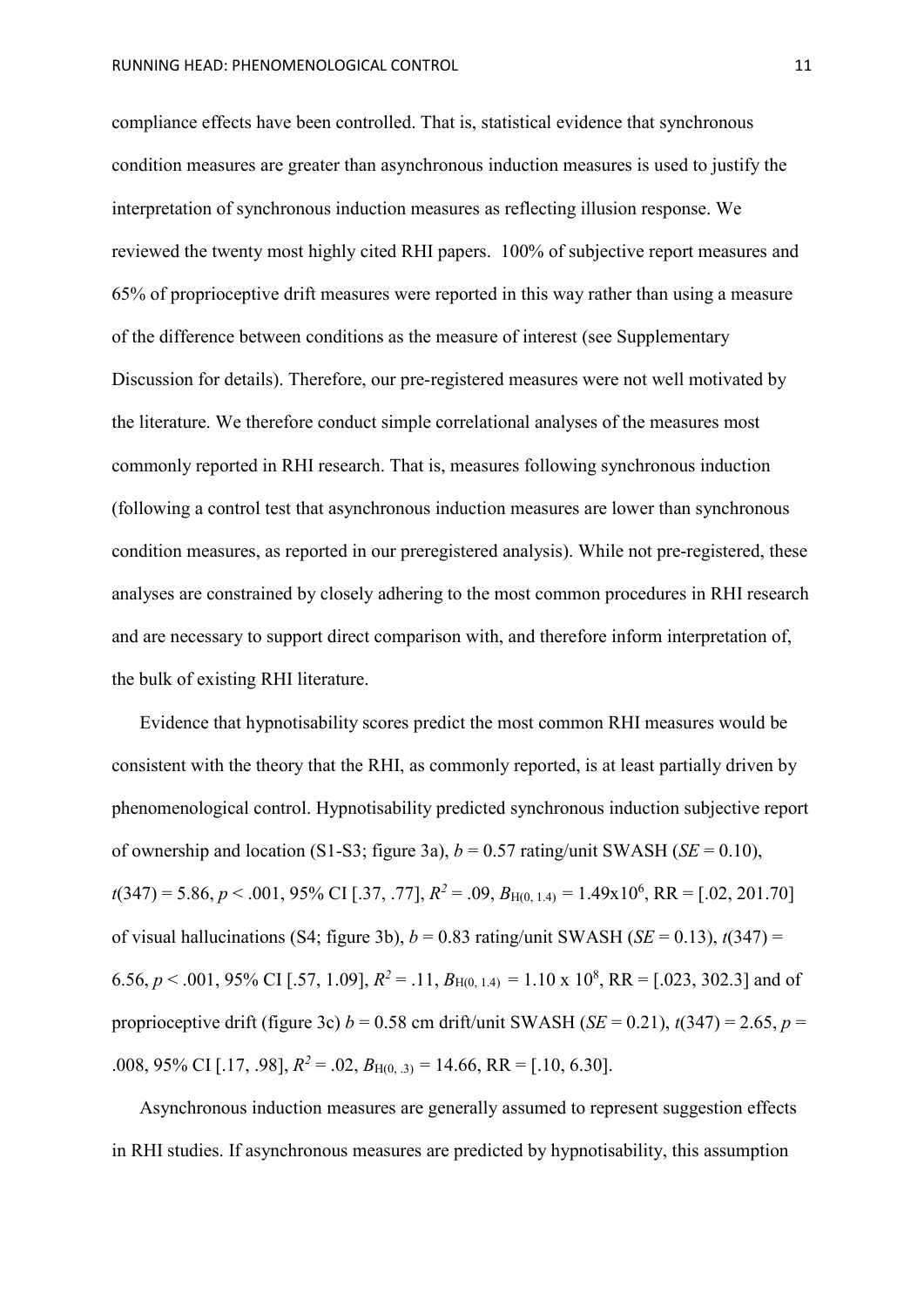compliance effects have been controlled. That is, statistical evidence that synchronous condition measures are greater than asynchronous induction measures is used to justify the interpretation of synchronous induction measures as reflecting illusion response. We reviewed the twenty most highly cited RHI papers. 100% of subjective report measures and 65% of proprioceptive drift measures were reported in this way rather than using a measure of the difference between conditions as the measure of interest (see Supplementary Discussion for details). Therefore, our pre-registered measures were not well motivated by the literature. We therefore conduct simple correlational analyses of the measures most commonly reported in RHI research. That is, measures following synchronous induction (following a control test that asynchronous induction measures are lower than synchronous condition measures, as reported in our preregistered analysis). While not pre-registered, these analyses are constrained by closely adhering to the most common procedures in RHI research and are necessary to support direct comparison with, and therefore inform interpretation of, the bulk of existing RHI literature.

Evidence that hypnotisability scores predict the most common RHI measures would be consistent with the theory that the RHI, as commonly reported, is at least partially driven by phenomenological control. Hypnotisability predicted synchronous induction subjective report of ownership and location (S1-S3; figure 3a),  $b = 0.57$  rating/unit SWASH (*SE* = 0.10), *t*(347) = 5.86, *p* < .001, 95% CI [.37, .77], *R2* = .09, *B*H(0, 1.4) = 1.49x10<sup>6</sup> , RR = [.02, 201.70] of visual hallucinations (S4; figure 3b),  $b = 0.83$  rating/unit SWASH (*SE* = 0.13),  $t(347)$  = 6.56,  $p < .001$ , 95% CI [.57, 1.09],  $R^2 = .11$ ,  $B_{H(0, 1.4)} = 1.10 \times 10^8$ , RR = [.023, 302.3] and of proprioceptive drift (figure 3c)  $b = 0.58$  cm drift/unit SWASH (*SE* = 0.21),  $t(347) = 2.65$ ,  $p =$ .008, 95% CI [.17, .98],  $R^2 = .02$ ,  $B_{H(0, 3)} = 14.66$ , RR = [.10, 6.30].

Asynchronous induction measures are generally assumed to represent suggestion effects in RHI studies. If asynchronous measures are predicted by hypnotisability, this assumption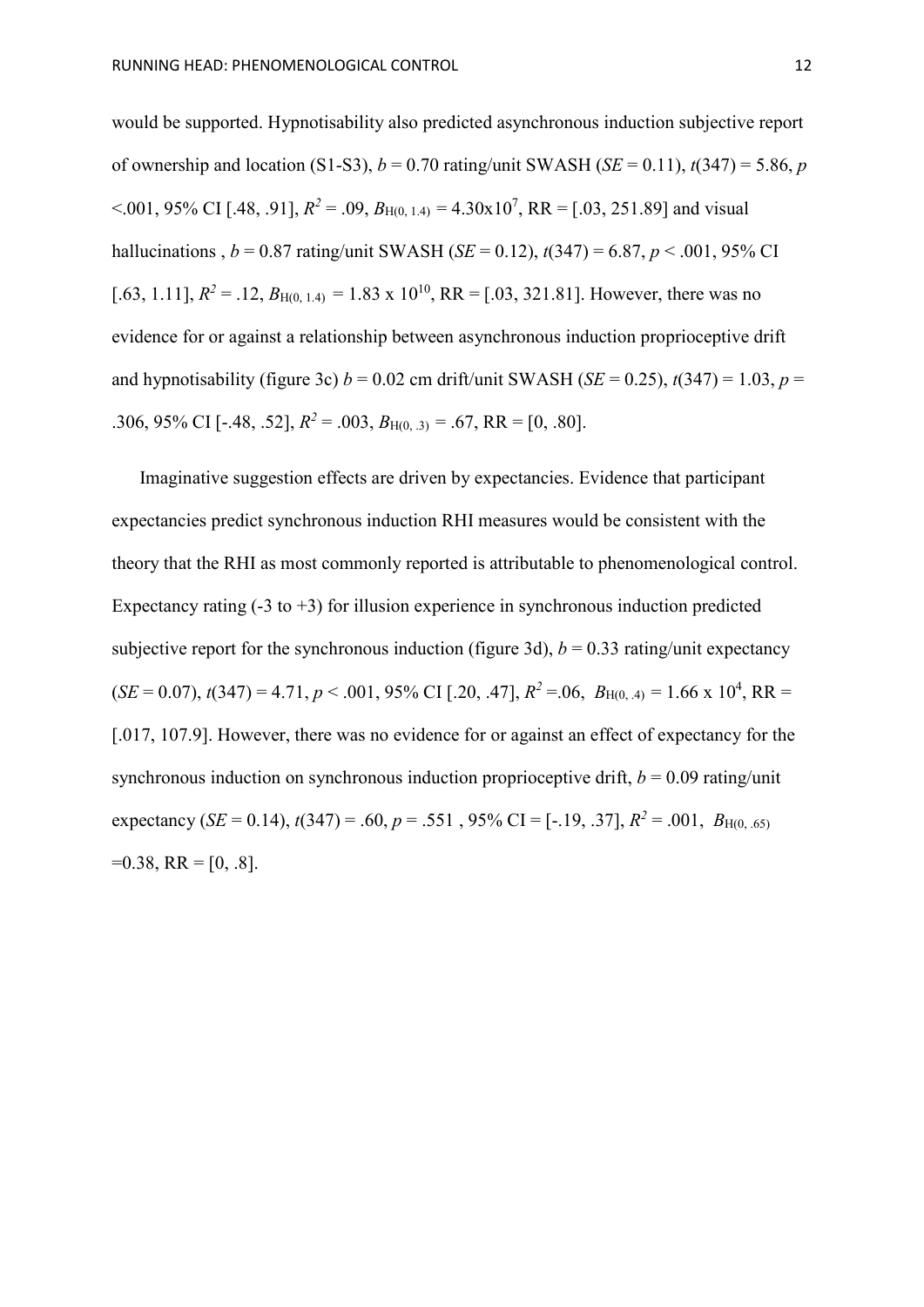would be supported. Hypnotisability also predicted asynchronous induction subjective report of ownership and location (S1-S3),  $b = 0.70$  rating/unit SWASH (*SE* = 0.11),  $t(347) = 5.86$ , *p*  $< 0.001, 95\% \text{ CI}$  [.48, .91],  $R^2 = .09, B_{H(0, 1.4)} = 4.30 \times 10^7$ , RR = [.03, 251.89] and visual hallucinations ,  $b = 0.87$  rating/unit SWASH (*SE* = 0.12),  $t(347) = 6.87$ ,  $p < .001$ , 95% CI [.63, 1.11],  $R^2 = .12$ ,  $B_{H(0, 1.4)} = 1.83 \times 10^{10}$ , RR = [.03, 321.81]. However, there was no evidence for or against a relationship between asynchronous induction proprioceptive drift and hypnotisability (figure 3c)  $b = 0.02$  cm drift/unit SWASH (*SE* = 0.25),  $t(347) = 1.03$ ,  $p =$ .306, 95% CI [-.48, .52],  $R^2 = .003$ ,  $B_{H(0, 0.3)} = .67$ ,  $RR = [0, .80]$ .

Imaginative suggestion effects are driven by expectancies. Evidence that participant expectancies predict synchronous induction RHI measures would be consistent with the theory that the RHI as most commonly reported is attributable to phenomenological control. Expectancy rating  $(-3 \text{ to } +3)$  for illusion experience in synchronous induction predicted subjective report for the synchronous induction (figure 3d),  $b = 0.33$  rating/unit expectancy  $(SE = 0.07)$ ,  $t(347) = 4.71$ ,  $p < .001$ , 95% CI [.20, .47],  $R^2 = .06$ ,  $B_{H(0, 4)} = 1.66$  x  $10^4$ , RR = [.017, 107.9]. However, there was no evidence for or against an effect of expectancy for the synchronous induction on synchronous induction proprioceptive drift,  $b = 0.09$  rating/unit expectancy (*SE* = 0.14),  $t(347) = .60$ ,  $p = .551$ , 95% CI = [-.19, .37],  $R^2 = .001$ ,  $B_{H(0, .65)}$  $=0.38$ , RR = [0, .8].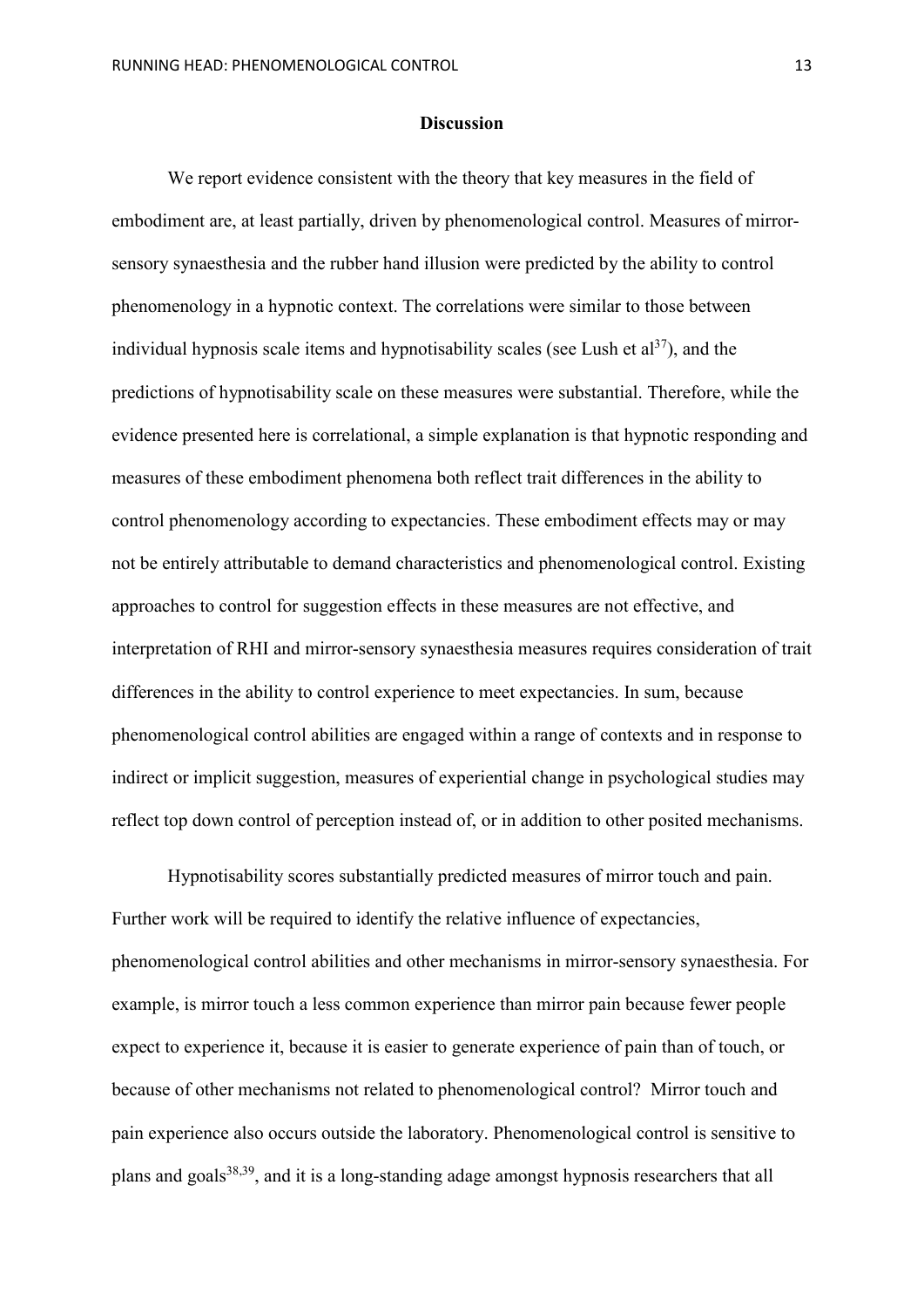## **Discussion**

We report evidence consistent with the theory that key measures in the field of embodiment are, at least partially, driven by phenomenological control. Measures of mirrorsensory synaesthesia and the rubber hand illusion were predicted by the ability to control phenomenology in a hypnotic context. The correlations were similar to those between individual hypnosis scale items and hypnotisability scales (see Lush et  $a^{37}$ ), and the predictions of hypnotisability scale on these measures were substantial. Therefore, while the evidence presented here is correlational, a simple explanation is that hypnotic responding and measures of these embodiment phenomena both reflect trait differences in the ability to control phenomenology according to expectancies. These embodiment effects may or may not be entirely attributable to demand characteristics and phenomenological control. Existing approaches to control for suggestion effects in these measures are not effective, and interpretation of RHI and mirror-sensory synaesthesia measures requires consideration of trait differences in the ability to control experience to meet expectancies. In sum, because phenomenological control abilities are engaged within a range of contexts and in response to indirect or implicit suggestion, measures of experiential change in psychological studies may reflect top down control of perception instead of, or in addition to other posited mechanisms.

Hypnotisability scores substantially predicted measures of mirror touch and pain. Further work will be required to identify the relative influence of expectancies, phenomenological control abilities and other mechanisms in mirror-sensory synaesthesia. For example, is mirror touch a less common experience than mirror pain because fewer people expect to experience it, because it is easier to generate experience of pain than of touch, or because of other mechanisms not related to phenomenological control? Mirror touch and pain experience also occurs outside the laboratory. Phenomenological control is sensitive to plans and goals<sup>38,39</sup>, and it is a long-standing adage amongst hypnosis researchers that all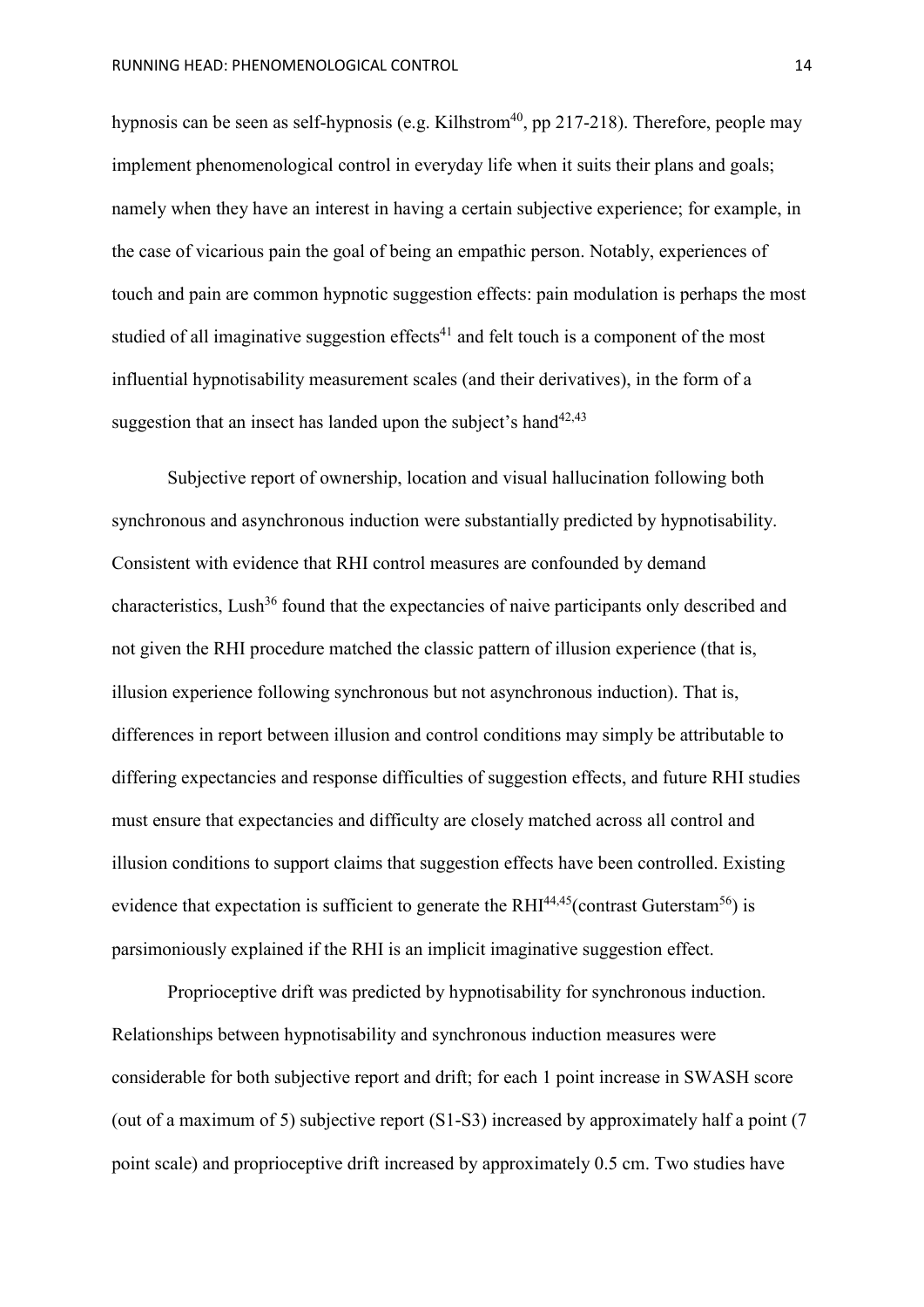hypnosis can be seen as self-hypnosis (e.g. Kilhstrom<sup>40</sup>, pp 217-218). Therefore, people may implement phenomenological control in everyday life when it suits their plans and goals; namely when they have an interest in having a certain subjective experience; for example, in the case of vicarious pain the goal of being an empathic person. Notably, experiences of touch and pain are common hypnotic suggestion effects: pain modulation is perhaps the most studied of all imaginative suggestion effects<sup>41</sup> and felt touch is a component of the most influential hypnotisability measurement scales (and their derivatives), in the form of a suggestion that an insect has landed upon the subject's hand<sup>42,43</sup>

Subjective report of ownership, location and visual hallucination following both synchronous and asynchronous induction were substantially predicted by hypnotisability. Consistent with evidence that RHI control measures are confounded by demand characteristics, Lush<sup>36</sup> found that the expectancies of naive participants only described and not given the RHI procedure matched the classic pattern of illusion experience (that is, illusion experience following synchronous but not asynchronous induction). That is, differences in report between illusion and control conditions may simply be attributable to differing expectancies and response difficulties of suggestion effects, and future RHI studies must ensure that expectancies and difficulty are closely matched across all control and illusion conditions to support claims that suggestion effects have been controlled. Existing evidence that expectation is sufficient to generate the  $RHI^{44,45}$ (contrast Guterstam<sup>56</sup>) is parsimoniously explained if the RHI is an implicit imaginative suggestion effect.

Proprioceptive drift was predicted by hypnotisability for synchronous induction. Relationships between hypnotisability and synchronous induction measures were considerable for both subjective report and drift; for each 1 point increase in SWASH score (out of a maximum of 5) subjective report (S1-S3) increased by approximately half a point (7 point scale) and proprioceptive drift increased by approximately 0.5 cm. Two studies have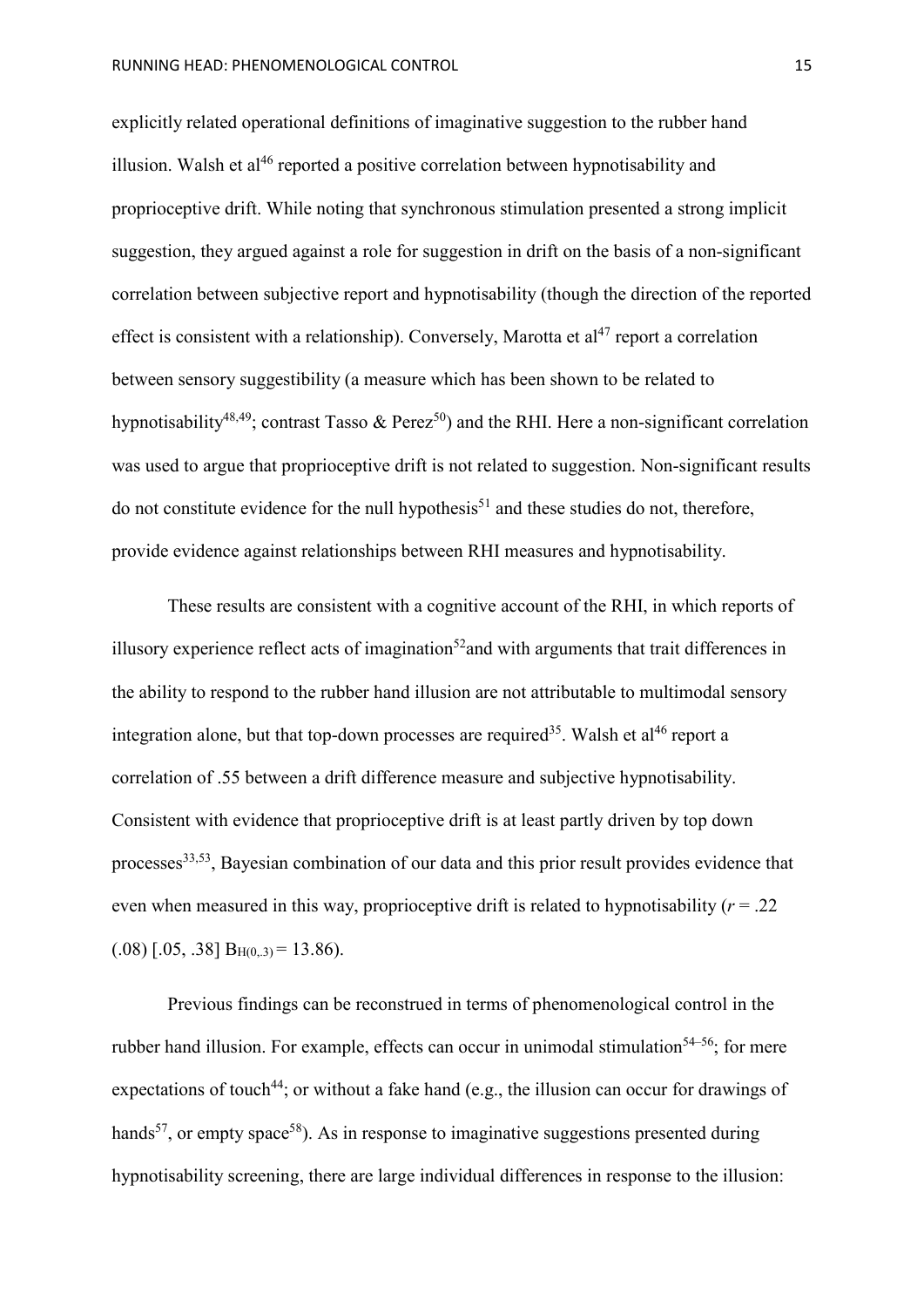explicitly related operational definitions of imaginative suggestion to the rubber hand illusion. Walsh et al<sup>46</sup> reported a positive correlation between hypnotisability and proprioceptive drift. While noting that synchronous stimulation presented a strong implicit suggestion, they argued against a role for suggestion in drift on the basis of a non-significant correlation between subjective report and hypnotisability (though the direction of the reported effect is consistent with a relationship). Conversely, Marotta et  $al^{47}$  report a correlation between sensory suggestibility (a measure which has been shown to be related to hypnotisability<sup>48,49</sup>; contrast Tasso & Perez<sup>50</sup>) and the RHI. Here a non-significant correlation was used to argue that proprioceptive drift is not related to suggestion. Non-significant results do not constitute evidence for the null hypothesis<sup>51</sup> and these studies do not, therefore, provide evidence against relationships between RHI measures and hypnotisability.

These results are consistent with a cognitive account of the RHI, in which reports of illusory experience reflect acts of imagination<sup>52</sup> and with arguments that trait differences in the ability to respond to the rubber hand illusion are not attributable to multimodal sensory integration alone, but that top-down processes are required<sup>35</sup>. Walsh et al<sup>46</sup> report a correlation of .55 between a drift difference measure and subjective hypnotisability. Consistent with evidence that proprioceptive drift is at least partly driven by top down processes<sup>33,53</sup>, Bayesian combination of our data and this prior result provides evidence that even when measured in this way, proprioceptive drift is related to hypnotisability  $(r = .22)$  $(.08)$  [.05, .38]  $B_{H(0,3)} = 13.86$ ).

Previous findings can be reconstrued in terms of phenomenological control in the rubber hand illusion. For example, effects can occur in unimodal stimulation<sup>54–56</sup>; for mere expectations of touch<sup>44</sup>; or without a fake hand (e.g., the illusion can occur for drawings of hands<sup>57</sup>, or empty space<sup>58</sup>). As in response to imaginative suggestions presented during hypnotisability screening, there are large individual differences in response to the illusion: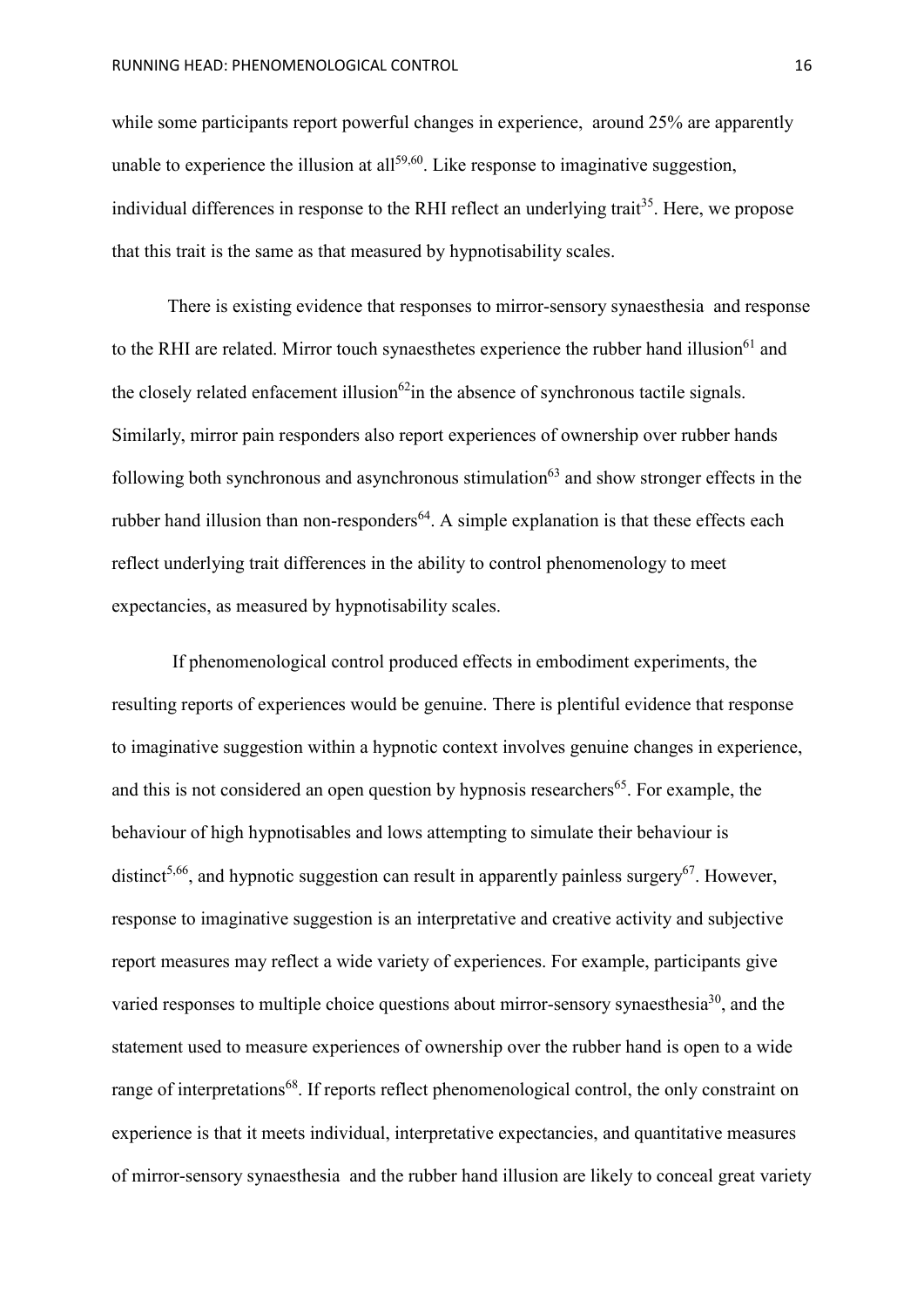while some participants report powerful changes in experience, around 25% are apparently unable to experience the illusion at all<sup>59,60</sup>. Like response to imaginative suggestion, individual differences in response to the RHI reflect an underlying trait<sup>35</sup>. Here, we propose that this trait is the same as that measured by hypnotisability scales.

There is existing evidence that responses to mirror-sensory synaesthesia and response to the RHI are related. Mirror touch synaesthetes experience the rubber hand illusion<sup>61</sup> and the closely related enfacement illusion<sup>62</sup>in the absence of synchronous tactile signals. Similarly, mirror pain responders also report experiences of ownership over rubber hands following both synchronous and asynchronous stimulation $63$  and show stronger effects in the rubber hand illusion than non-responders<sup>64</sup>. A simple explanation is that these effects each reflect underlying trait differences in the ability to control phenomenology to meet expectancies, as measured by hypnotisability scales.

If phenomenological control produced effects in embodiment experiments, the resulting reports of experiences would be genuine. There is plentiful evidence that response to imaginative suggestion within a hypnotic context involves genuine changes in experience, and this is not considered an open question by hypnosis researchers<sup>65</sup>. For example, the behaviour of high hypnotisables and lows attempting to simulate their behaviour is distinct<sup>5,66</sup>, and hypnotic suggestion can result in apparently painless surgery<sup>67</sup>. However, response to imaginative suggestion is an interpretative and creative activity and subjective report measures may reflect a wide variety of experiences. For example, participants give varied responses to multiple choice questions about mirror-sensory synaesthesia<sup>30</sup>, and the statement used to measure experiences of ownership over the rubber hand is open to a wide range of interpretations<sup>68</sup>. If reports reflect phenomenological control, the only constraint on experience is that it meets individual, interpretative expectancies, and quantitative measures of mirror-sensory synaesthesia and the rubber hand illusion are likely to conceal great variety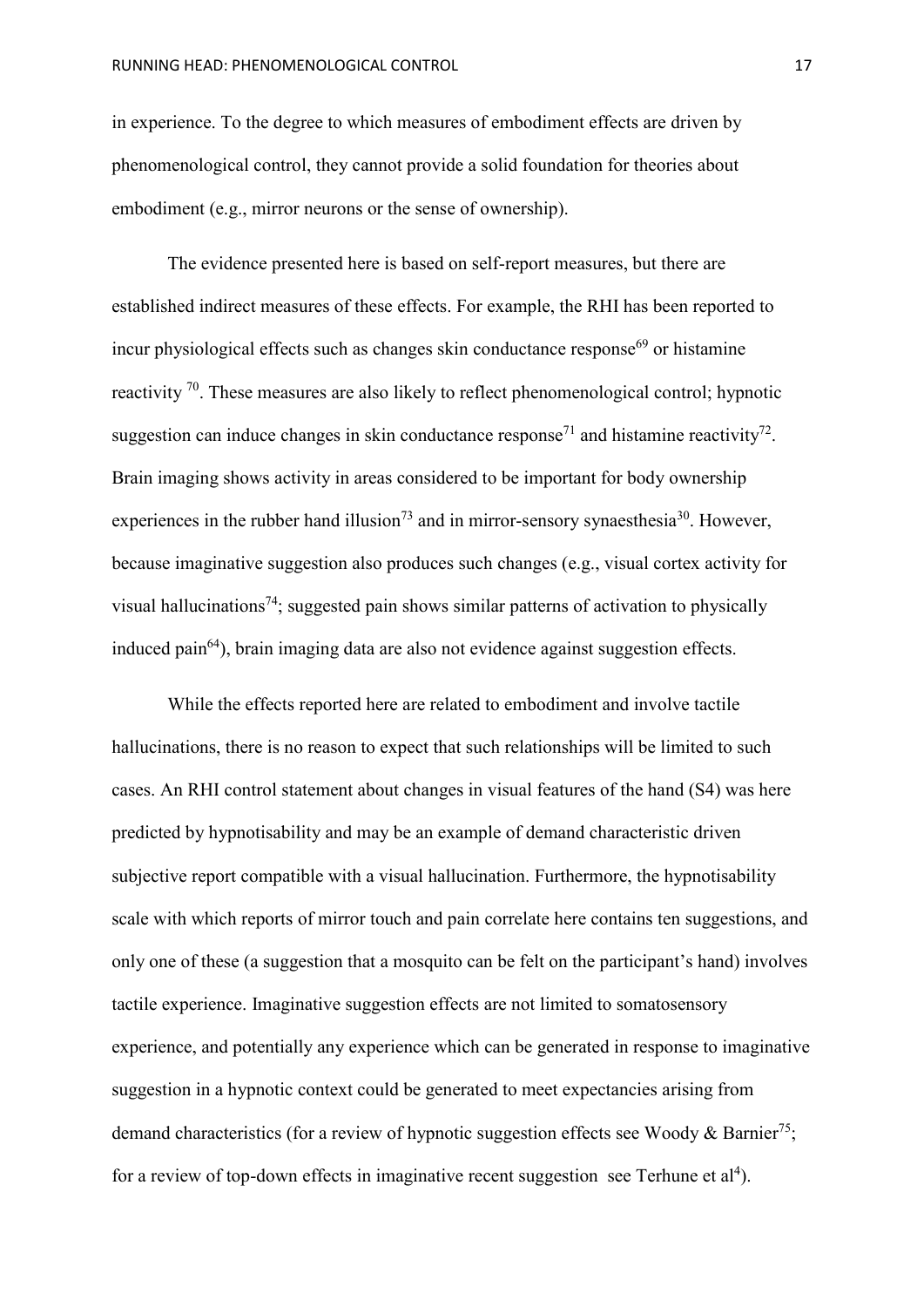in experience. To the degree to which measures of embodiment effects are driven by phenomenological control, they cannot provide a solid foundation for theories about embodiment (e.g., mirror neurons or the sense of ownership).

The evidence presented here is based on self-report measures, but there are established indirect measures of these effects. For example, the RHI has been reported to incur physiological effects such as changes skin conductance response<sup>69</sup> or histamine reactivity 70. These measures are also likely to reflect phenomenological control; hypnotic suggestion can induce changes in skin conductance response<sup>71</sup> and histamine reactivity<sup>72</sup>. Brain imaging shows activity in areas considered to be important for body ownership experiences in the rubber hand illusion<sup>73</sup> and in mirror-sensory synaesthesia<sup>30</sup>. However, because imaginative suggestion also produces such changes (e.g., visual cortex activity for visual hallucinations<sup>74</sup>; suggested pain shows similar patterns of activation to physically induced pain64), brain imaging data are also not evidence against suggestion effects.

While the effects reported here are related to embodiment and involve tactile hallucinations, there is no reason to expect that such relationships will be limited to such cases. An RHI control statement about changes in visual features of the hand (S4) was here predicted by hypnotisability and may be an example of demand characteristic driven subjective report compatible with a visual hallucination. Furthermore, the hypnotisability scale with which reports of mirror touch and pain correlate here contains ten suggestions, and only one of these (a suggestion that a mosquito can be felt on the participant's hand) involves tactile experience. Imaginative suggestion effects are not limited to somatosensory experience, and potentially any experience which can be generated in response to imaginative suggestion in a hypnotic context could be generated to meet expectancies arising from demand characteristics (for a review of hypnotic suggestion effects see Woody & Barnier<sup>75</sup>; for a review of top-down effects in imaginative recent suggestion see Terhune et  $al<sup>4</sup>$ ).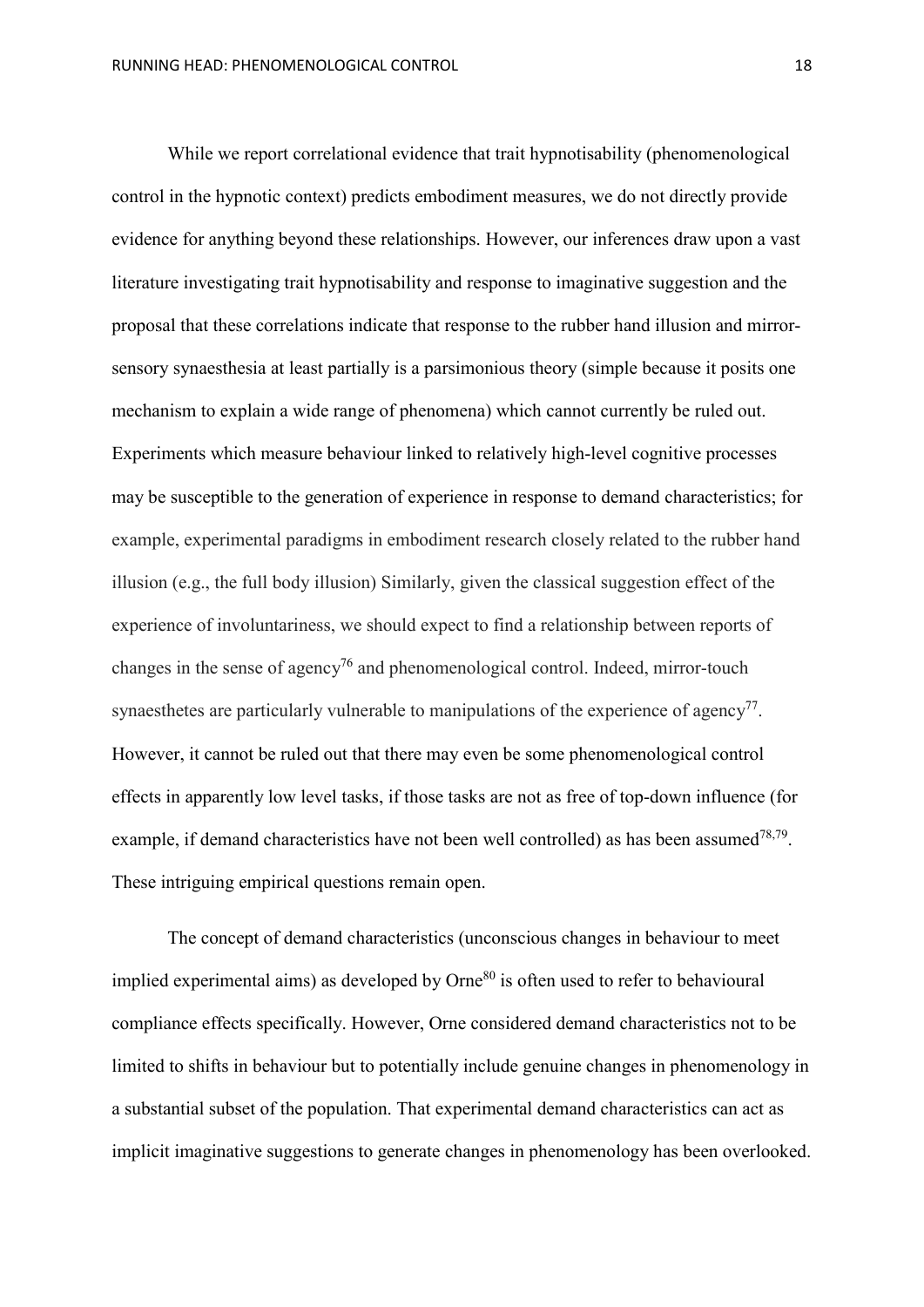While we report correlational evidence that trait hypnotisability (phenomenological control in the hypnotic context) predicts embodiment measures, we do not directly provide evidence for anything beyond these relationships. However, our inferences draw upon a vast literature investigating trait hypnotisability and response to imaginative suggestion and the proposal that these correlations indicate that response to the rubber hand illusion and mirrorsensory synaesthesia at least partially is a parsimonious theory (simple because it posits one mechanism to explain a wide range of phenomena) which cannot currently be ruled out. Experiments which measure behaviour linked to relatively high-level cognitive processes may be susceptible to the generation of experience in response to demand characteristics; for example, experimental paradigms in embodiment research closely related to the rubber hand illusion (e.g., the full body illusion) Similarly, given the classical suggestion effect of the experience of involuntariness, we should expect to find a relationship between reports of changes in the sense of agency<sup>76</sup> and phenomenological control. Indeed, mirror-touch synaesthetes are particularly vulnerable to manipulations of the experience of agency<sup>77</sup>. However, it cannot be ruled out that there may even be some phenomenological control effects in apparently low level tasks, if those tasks are not as free of top-down influence (for example, if demand characteristics have not been well controlled) as has been assumed  $78,79$ . These intriguing empirical questions remain open.

The concept of demand characteristics (unconscious changes in behaviour to meet implied experimental aims) as developed by  $\text{Orne}^{80}$  is often used to refer to behavioural compliance effects specifically. However, Orne considered demand characteristics not to be limited to shifts in behaviour but to potentially include genuine changes in phenomenology in a substantial subset of the population. That experimental demand characteristics can act as implicit imaginative suggestions to generate changes in phenomenology has been overlooked.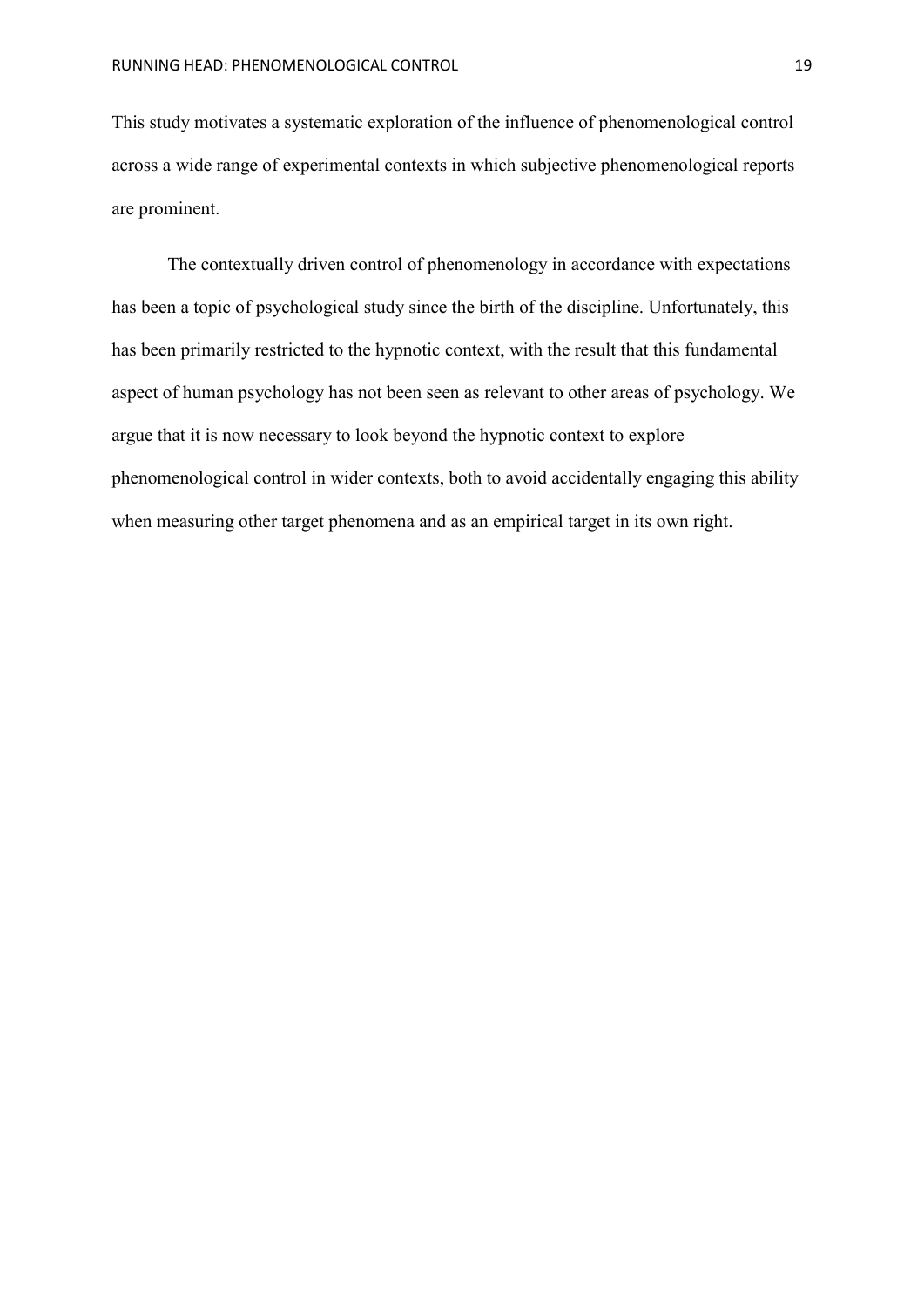This study motivates a systematic exploration of the influence of phenomenological control across a wide range of experimental contexts in which subjective phenomenological reports are prominent.

The contextually driven control of phenomenology in accordance with expectations has been a topic of psychological study since the birth of the discipline. Unfortunately, this has been primarily restricted to the hypnotic context, with the result that this fundamental aspect of human psychology has not been seen as relevant to other areas of psychology. We argue that it is now necessary to look beyond the hypnotic context to explore phenomenological control in wider contexts, both to avoid accidentally engaging this ability when measuring other target phenomena and as an empirical target in its own right.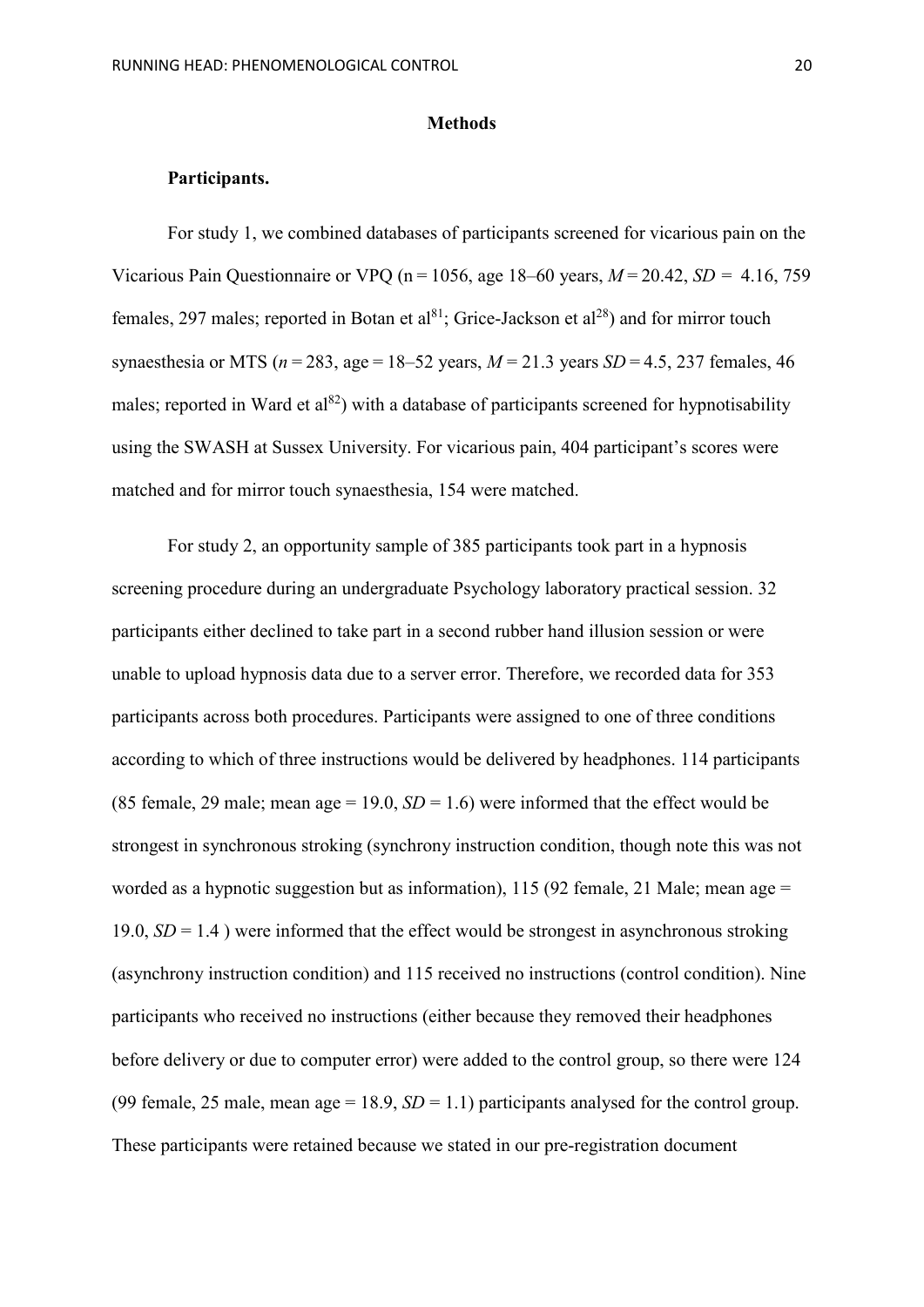#### **Methods**

# **Participants.**

For study 1, we combined databases of participants screened for vicarious pain on the Vicarious Pain Questionnaire or VPQ (n = 1056, age 18–60 years, *M* = 20.42, *SD =*4.16, 759 females, 297 males; reported in Botan et al<sup>81</sup>; Grice-Jackson et al<sup>28</sup>) and for mirror touch synaesthesia or MTS ( $n = 283$ , age = 18–52 years,  $M = 21.3$  years *SD* = 4.5, 237 females, 46 males; reported in Ward et  $a_1^{82}$ ) with a database of participants screened for hypnotisability using the SWASH at Sussex University. For vicarious pain, 404 participant's scores were matched and for mirror touch synaesthesia, 154 were matched.

For study 2, an opportunity sample of 385 participants took part in a hypnosis screening procedure during an undergraduate Psychology laboratory practical session. 32 participants either declined to take part in a second rubber hand illusion session or were unable to upload hypnosis data due to a server error. Therefore, we recorded data for 353 participants across both procedures. Participants were assigned to one of three conditions according to which of three instructions would be delivered by headphones. 114 participants (85 female, 29 male; mean age = 19.0,  $SD = 1.6$ ) were informed that the effect would be strongest in synchronous stroking (synchrony instruction condition, though note this was not worded as a hypnotic suggestion but as information), 115 (92 female, 21 Male; mean age = 19.0,  $SD = 1.4$ ) were informed that the effect would be strongest in asynchronous stroking (asynchrony instruction condition) and 115 received no instructions (control condition). Nine participants who received no instructions (either because they removed their headphones before delivery or due to computer error) were added to the control group, so there were 124 (99 female, 25 male, mean age =  $18.9$ ,  $SD = 1.1$ ) participants analysed for the control group. These participants were retained because we stated in our pre-registration document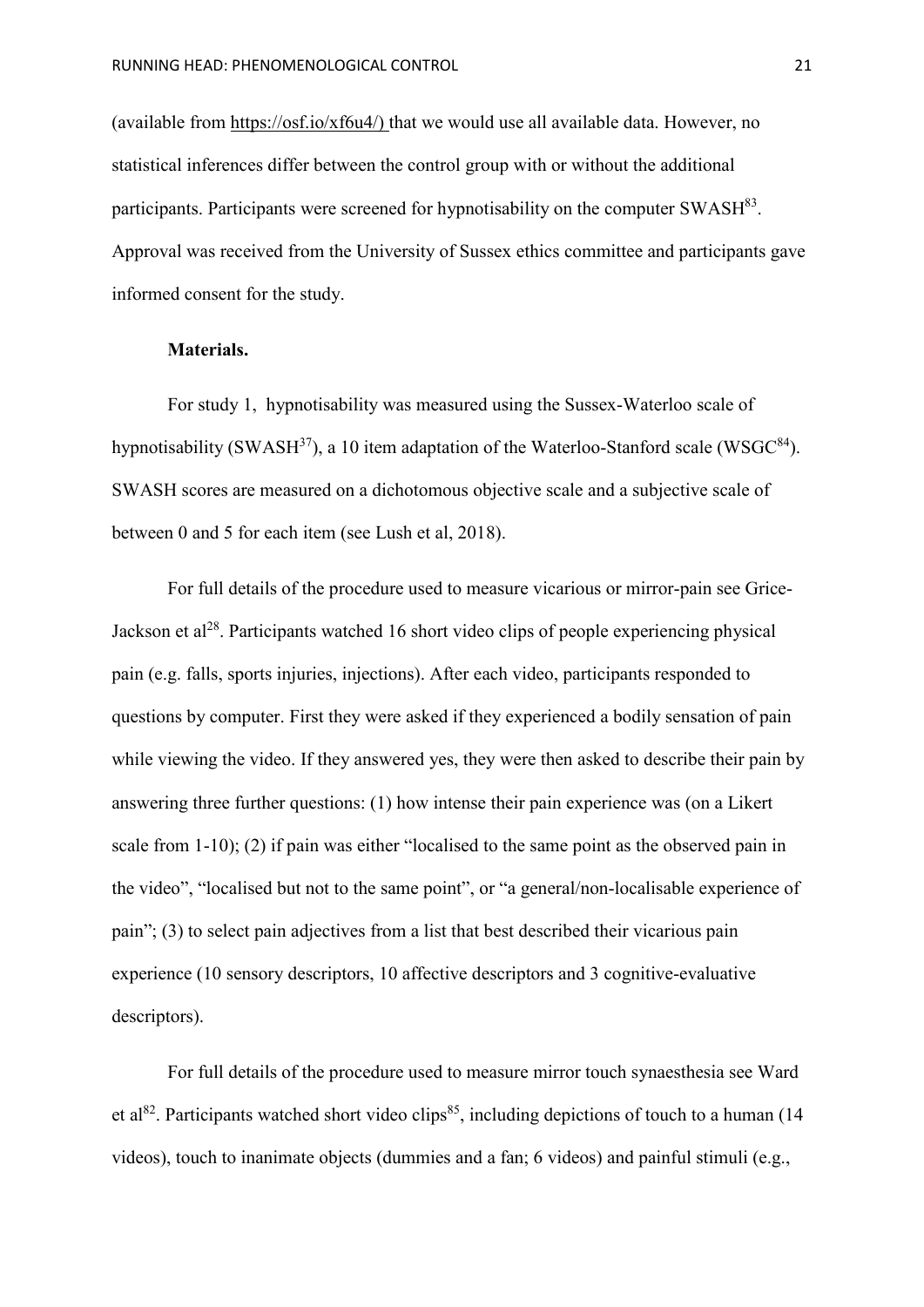(available from [https://osf.io/xf6u4/\)](https://osf.io/xf6u4/) that we would use all available data. However, no statistical inferences differ between the control group with or without the additional participants. Participants were screened for hypnotisability on the computer  $SWASH^{83}$ . Approval was received from the University of Sussex ethics committee and participants gave informed consent for the study.

# **Materials.**

For study 1, hypnotisability was measured using the Sussex-Waterloo scale of hypnotisability (SWASH<sup>37</sup>), a 10 item adaptation of the Waterloo-Stanford scale (WSGC<sup>84</sup>). SWASH scores are measured on a dichotomous objective scale and a subjective scale of between 0 and 5 for each item (see Lush et al, 2018).

For full details of the procedure used to measure vicarious or mirror-pain see Grice-Jackson et  $a^{28}$ . Participants watched 16 short video clips of people experiencing physical pain (e.g. falls, sports injuries, injections). After each video, participants responded to questions by computer. First they were asked if they experienced a bodily sensation of pain while viewing the video. If they answered yes, they were then asked to describe their pain by answering three further questions: (1) how intense their pain experience was (on a Likert scale from 1-10); (2) if pain was either "localised to the same point as the observed pain in the video", "localised but not to the same point", or "a general/non-localisable experience of pain"; (3) to select pain adjectives from a list that best described their vicarious pain experience (10 sensory descriptors, 10 affective descriptors and 3 cognitive-evaluative descriptors).

For full details of the procedure used to measure mirror touch synaesthesia see Ward et al<sup>82</sup>. Participants watched short video clips<sup>85</sup>, including depictions of touch to a human (14) videos), touch to inanimate objects (dummies and a fan; 6 videos) and painful stimuli (e.g.,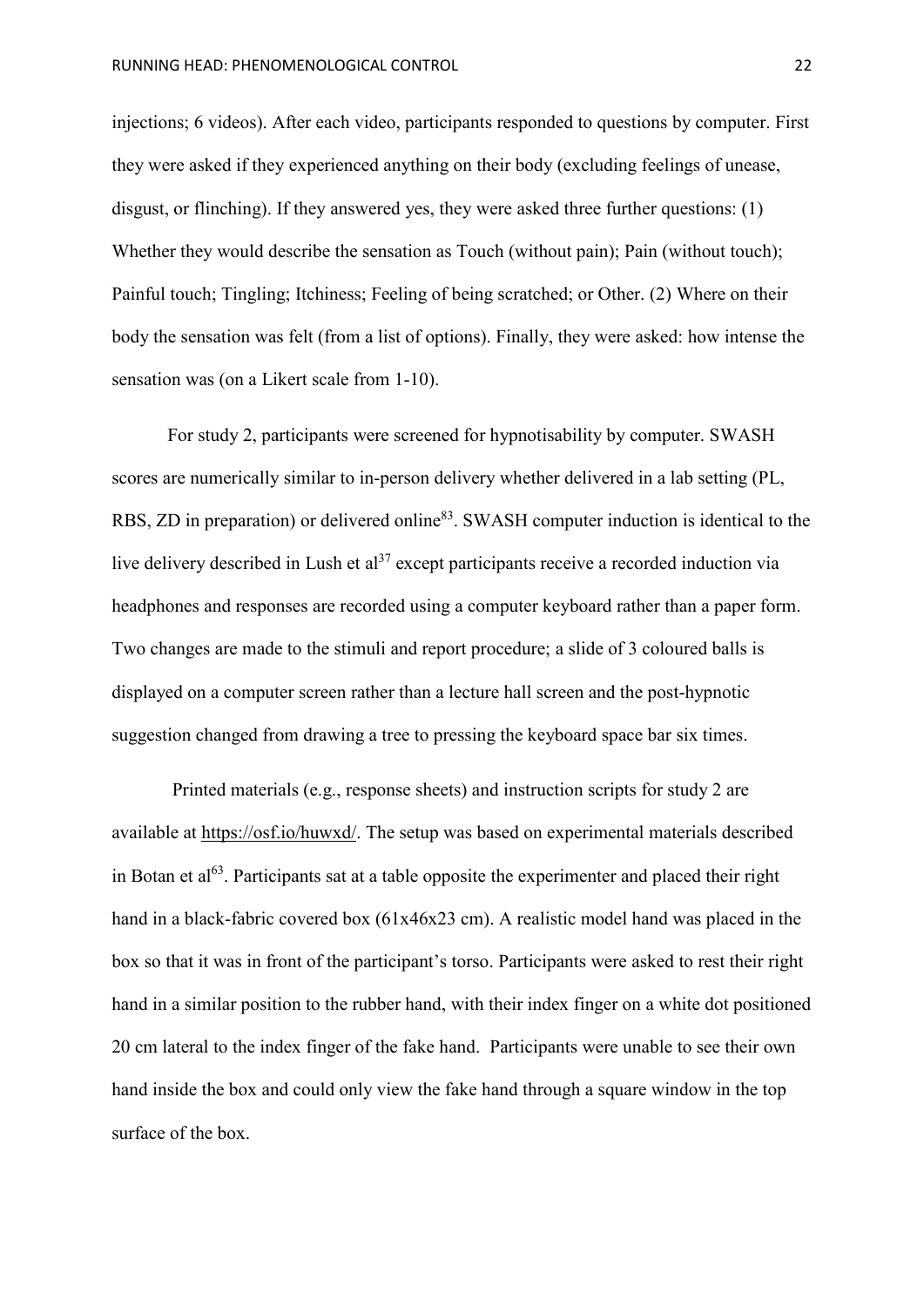injections; 6 videos). After each video, participants responded to questions by computer. First they were asked if they experienced anything on their body (excluding feelings of unease, disgust, or flinching). If they answered yes, they were asked three further questions: (1) Whether they would describe the sensation as Touch (without pain); Pain (without touch); Painful touch; Tingling; Itchiness; Feeling of being scratched; or Other. (2) Where on their body the sensation was felt (from a list of options). Finally, they were asked: how intense the sensation was (on a Likert scale from 1-10).

For study 2, participants were screened for hypnotisability by computer. SWASH scores are numerically similar to in-person delivery whether delivered in a lab setting (PL, RBS, ZD in preparation) or delivered online<sup>83</sup>. SWASH computer induction is identical to the live delivery described in Lush et al<sup>37</sup> except participants receive a recorded induction via headphones and responses are recorded using a computer keyboard rather than a paper form. Two changes are made to the stimuli and report procedure; a slide of 3 coloured balls is displayed on a computer screen rather than a lecture hall screen and the post-hypnotic suggestion changed from drawing a tree to pressing the keyboard space bar six times.

Printed materials (e.g., response sheets) and instruction scripts for study 2 are available at [https://osf.io/huwxd/.](https://osf.io/huwxd/) The setup was based on experimental materials described in Botan et al<sup>63</sup>. Participants sat at a table opposite the experimenter and placed their right hand in a black-fabric covered box (61x46x23 cm). A realistic model hand was placed in the box so that it was in front of the participant's torso. Participants were asked to rest their right hand in a similar position to the rubber hand, with their index finger on a white dot positioned 20 cm lateral to the index finger of the fake hand. Participants were unable to see their own hand inside the box and could only view the fake hand through a square window in the top surface of the box.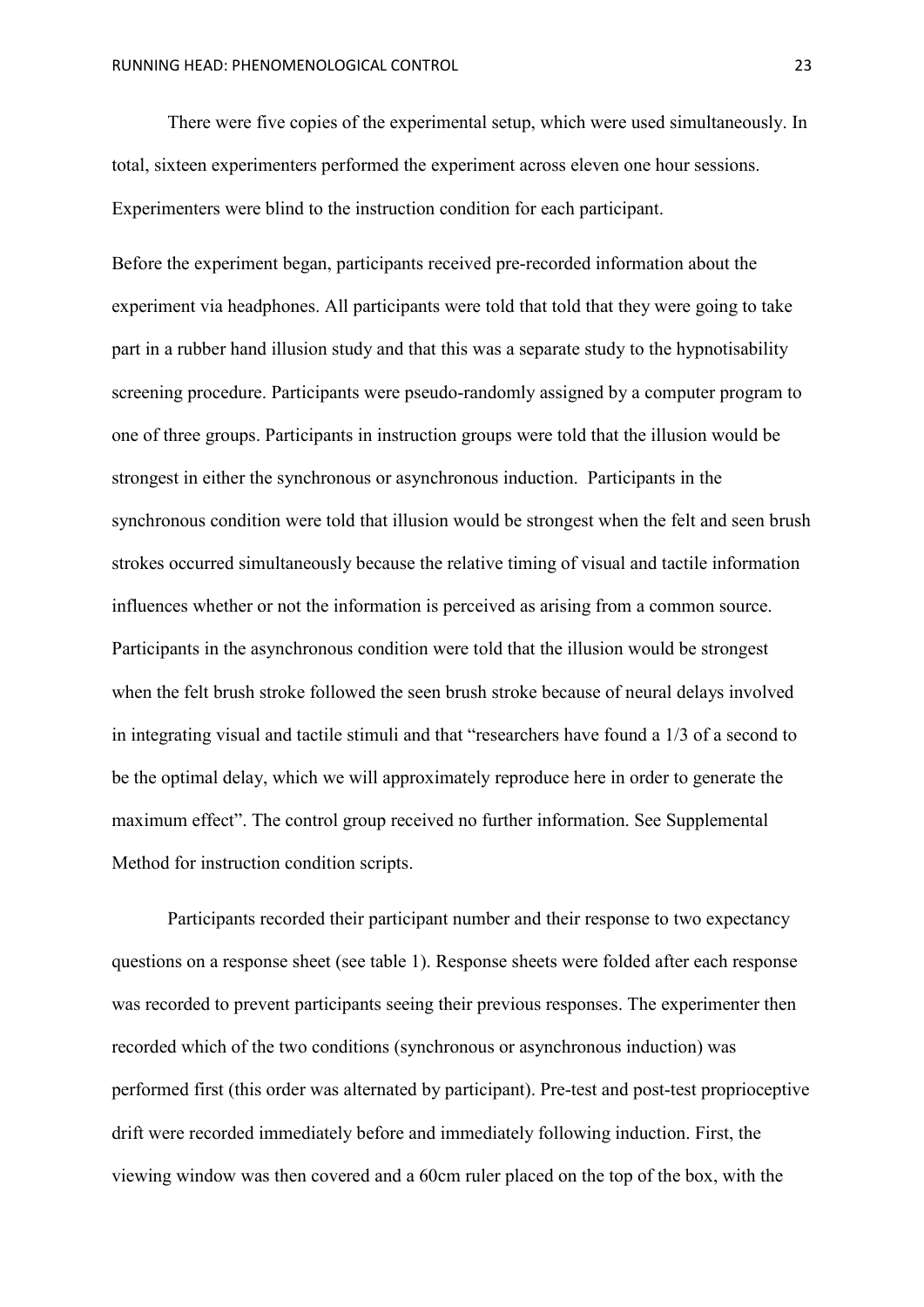There were five copies of the experimental setup, which were used simultaneously. In total, sixteen experimenters performed the experiment across eleven one hour sessions. Experimenters were blind to the instruction condition for each participant.

Before the experiment began, participants received pre-recorded information about the experiment via headphones. All participants were told that told that they were going to take part in a rubber hand illusion study and that this was a separate study to the hypnotisability screening procedure. Participants were pseudo-randomly assigned by a computer program to one of three groups. Participants in instruction groups were told that the illusion would be strongest in either the synchronous or asynchronous induction. Participants in the synchronous condition were told that illusion would be strongest when the felt and seen brush strokes occurred simultaneously because the relative timing of visual and tactile information influences whether or not the information is perceived as arising from a common source. Participants in the asynchronous condition were told that the illusion would be strongest when the felt brush stroke followed the seen brush stroke because of neural delays involved in integrating visual and tactile stimuli and that "researchers have found a 1/3 of a second to be the optimal delay, which we will approximately reproduce here in order to generate the maximum effect". The control group received no further information. See Supplemental Method for instruction condition scripts.

Participants recorded their participant number and their response to two expectancy questions on a response sheet (see table 1). Response sheets were folded after each response was recorded to prevent participants seeing their previous responses. The experimenter then recorded which of the two conditions (synchronous or asynchronous induction) was performed first (this order was alternated by participant). Pre-test and post-test proprioceptive drift were recorded immediately before and immediately following induction. First, the viewing window was then covered and a 60cm ruler placed on the top of the box, with the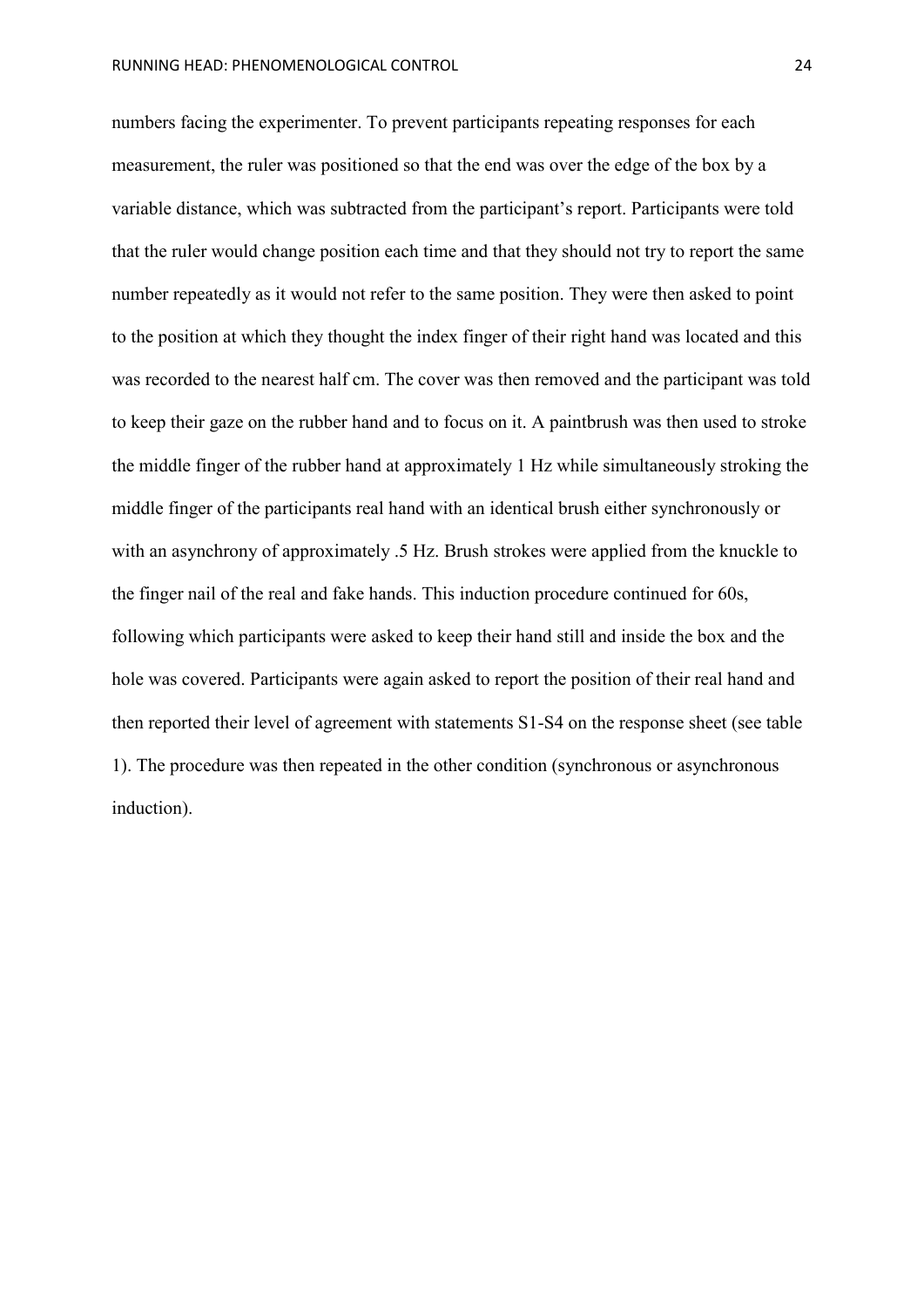numbers facing the experimenter. To prevent participants repeating responses for each measurement, the ruler was positioned so that the end was over the edge of the box by a variable distance, which was subtracted from the participant's report. Participants were told that the ruler would change position each time and that they should not try to report the same number repeatedly as it would not refer to the same position. They were then asked to point to the position at which they thought the index finger of their right hand was located and this was recorded to the nearest half cm. The cover was then removed and the participant was told to keep their gaze on the rubber hand and to focus on it. A paintbrush was then used to stroke the middle finger of the rubber hand at approximately 1 Hz while simultaneously stroking the middle finger of the participants real hand with an identical brush either synchronously or with an asynchrony of approximately .5 Hz. Brush strokes were applied from the knuckle to the finger nail of the real and fake hands. This induction procedure continued for 60s, following which participants were asked to keep their hand still and inside the box and the hole was covered. Participants were again asked to report the position of their real hand and then reported their level of agreement with statements S1-S4 on the response sheet (see table 1). The procedure was then repeated in the other condition (synchronous or asynchronous induction).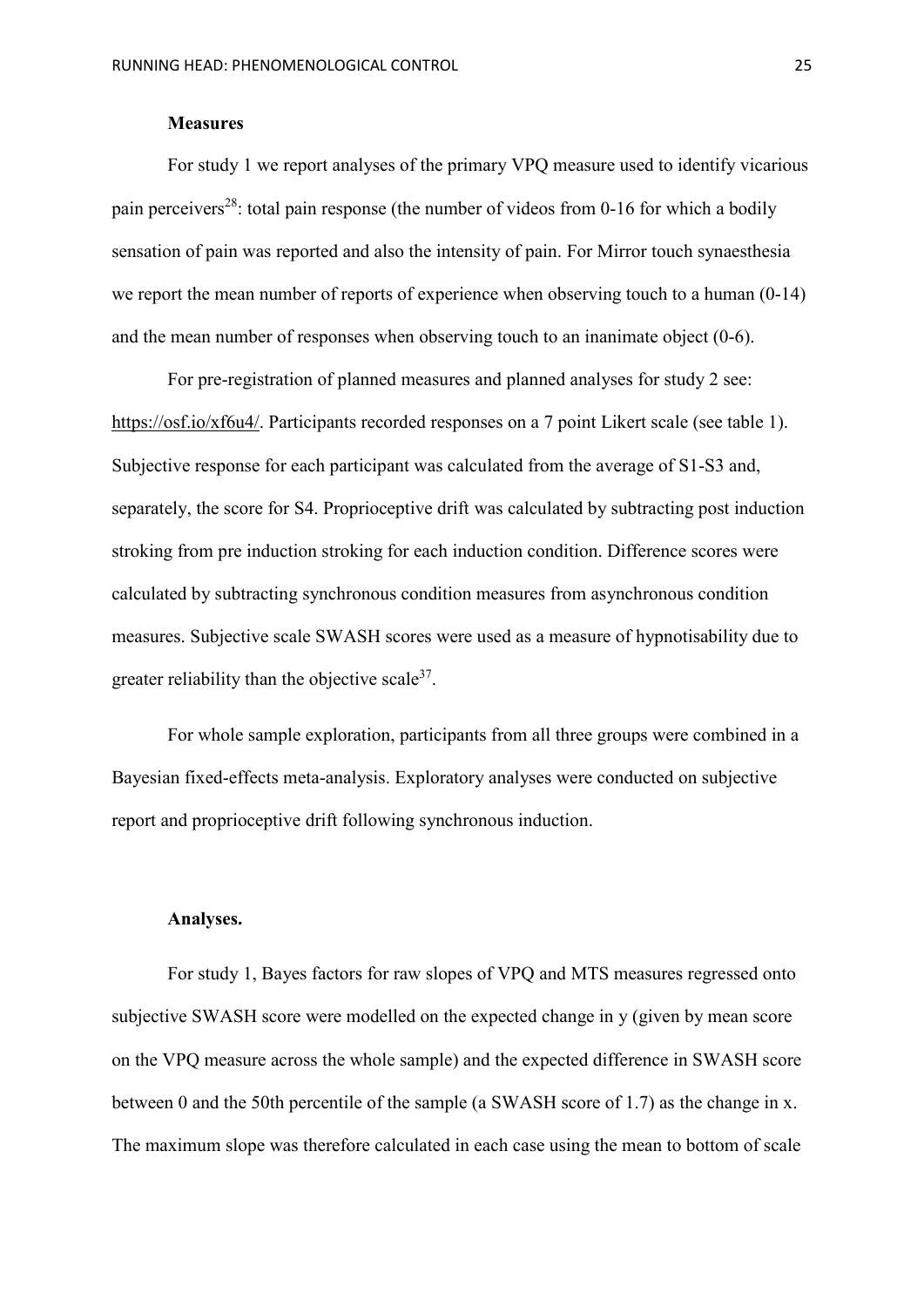# **Measures**

For study 1 we report analyses of the primary VPQ measure used to identify vicarious pain perceivers<sup>28</sup>: total pain response (the number of videos from 0-16 for which a bodily sensation of pain was reported and also the intensity of pain. For Mirror touch synaesthesia we report the mean number of reports of experience when observing touch to a human (0-14) and the mean number of responses when observing touch to an inanimate object (0-6).

For pre-registration of planned measures and planned analyses for study 2 see: [https://osf.io/xf6u4/.](https://osf.io/xf6u4/) Participants recorded responses on a 7 point Likert scale (see table 1). Subjective response for each participant was calculated from the average of S1-S3 and, separately, the score for S4. Proprioceptive drift was calculated by subtracting post induction stroking from pre induction stroking for each induction condition. Difference scores were calculated by subtracting synchronous condition measures from asynchronous condition measures. Subjective scale SWASH scores were used as a measure of hypnotisability due to greater reliability than the objective scale  $37$ .

For whole sample exploration, participants from all three groups were combined in a Bayesian fixed-effects meta-analysis. Exploratory analyses were conducted on subjective report and proprioceptive drift following synchronous induction.

## **Analyses.**

For study 1, Bayes factors for raw slopes of VPQ and MTS measures regressed onto subjective SWASH score were modelled on the expected change in y (given by mean score on the VPQ measure across the whole sample) and the expected difference in SWASH score between 0 and the 50th percentile of the sample (a SWASH score of 1.7) as the change in x. The maximum slope was therefore calculated in each case using the mean to bottom of scale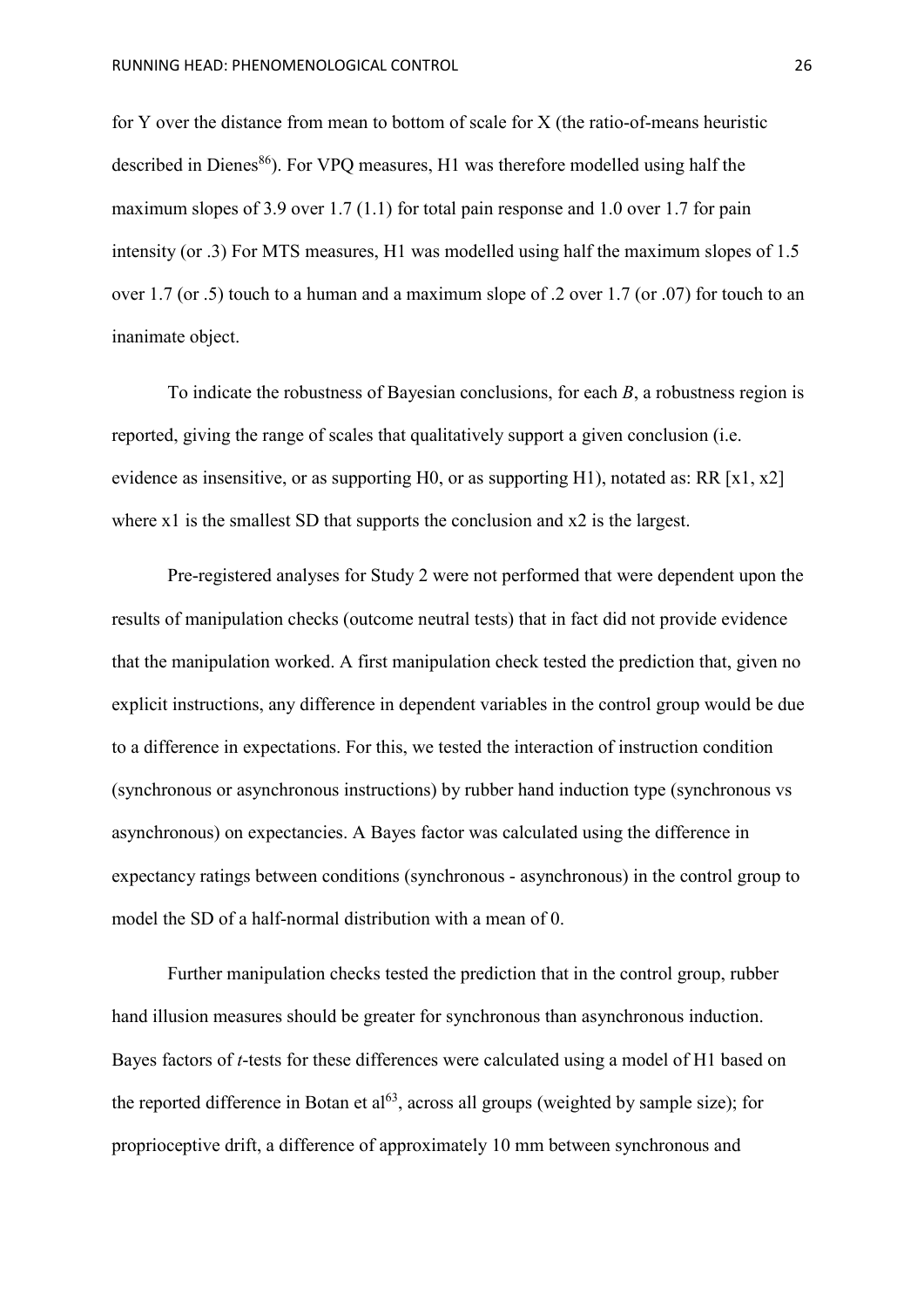for Y over the distance from mean to bottom of scale for X (the ratio-of-means heuristic described in Dienes<sup>86</sup>). For VPQ measures, H1 was therefore modelled using half the maximum slopes of 3.9 over 1.7 (1.1) for total pain response and 1.0 over 1.7 for pain intensity (or .3) For MTS measures, H1 was modelled using half the maximum slopes of 1.5 over 1.7 (or .5) touch to a human and a maximum slope of .2 over 1.7 (or .07) for touch to an inanimate object.

To indicate the robustness of Bayesian conclusions, for each *B*, a robustness region is reported, giving the range of scales that qualitatively support a given conclusion (i.e. evidence as insensitive, or as supporting H0, or as supporting H1), notated as: RR  $[x1, x2]$ where x1 is the smallest SD that supports the conclusion and x2 is the largest.

Pre-registered analyses for Study 2 were not performed that were dependent upon the results of manipulation checks (outcome neutral tests) that in fact did not provide evidence that the manipulation worked. A first manipulation check tested the prediction that, given no explicit instructions, any difference in dependent variables in the control group would be due to a difference in expectations. For this, we tested the interaction of instruction condition (synchronous or asynchronous instructions) by rubber hand induction type (synchronous vs asynchronous) on expectancies. A Bayes factor was calculated using the difference in expectancy ratings between conditions (synchronous - asynchronous) in the control group to model the SD of a half-normal distribution with a mean of 0.

Further manipulation checks tested the prediction that in the control group, rubber hand illusion measures should be greater for synchronous than asynchronous induction. Bayes factors of *t*-tests for these differences were calculated using a model of H1 based on the reported difference in Botan et  $al^{63}$ , across all groups (weighted by sample size); for proprioceptive drift, a difference of approximately 10 mm between synchronous and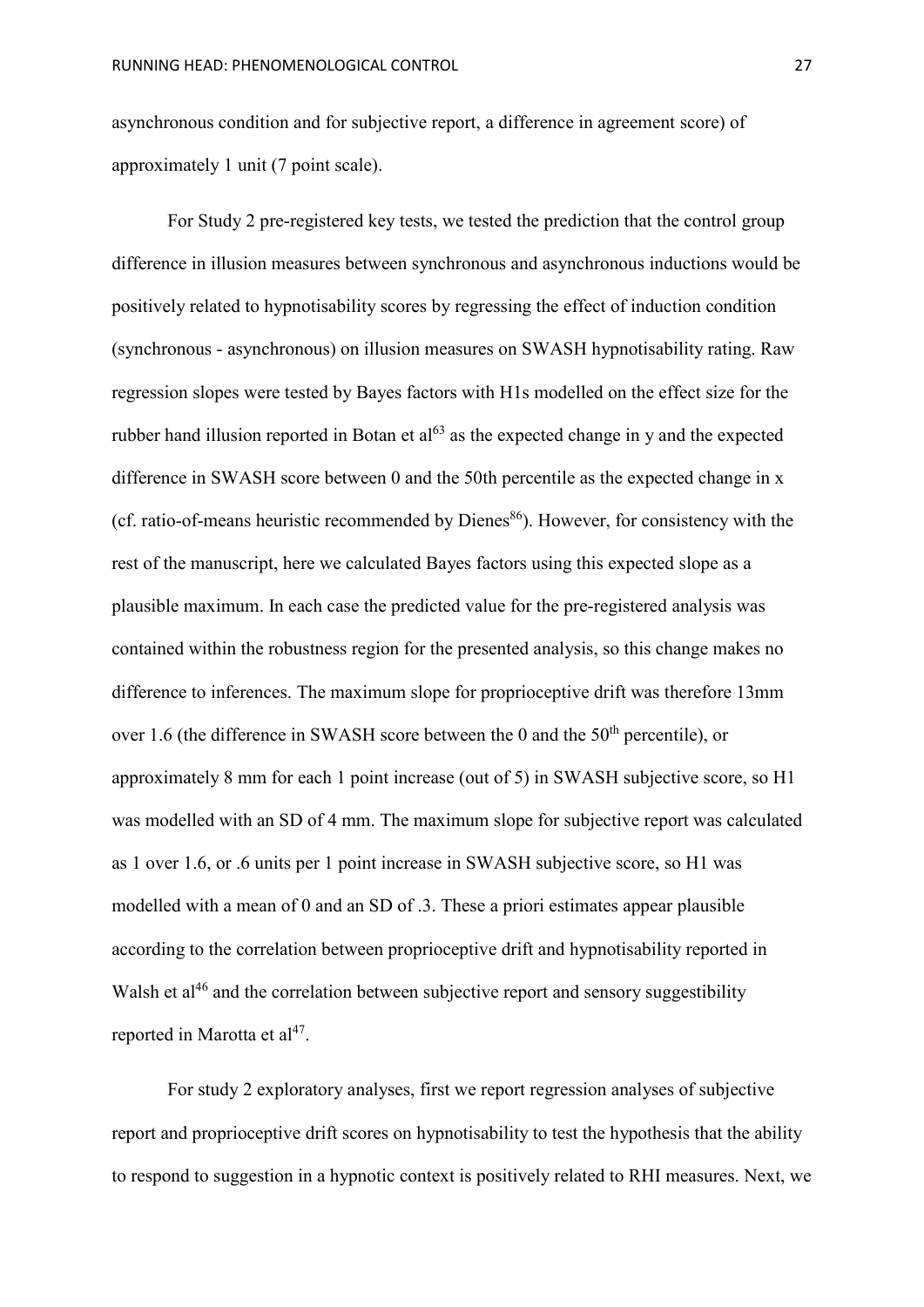asynchronous condition and for subjective report, a difference in agreement score) of approximately 1 unit (7 point scale).

For Study 2 pre-registered key tests, we tested the prediction that the control group difference in illusion measures between synchronous and asynchronous inductions would be positively related to hypnotisability scores by regressing the effect of induction condition (synchronous - asynchronous) on illusion measures on SWASH hypnotisability rating. Raw regression slopes were tested by Bayes factors with H1s modelled on the effect size for the rubber hand illusion reported in Botan et  $a^{63}$  as the expected change in y and the expected difference in SWASH score between 0 and the 50th percentile as the expected change in x (cf. ratio-of-means heuristic recommended by Dienes $86$ ). However, for consistency with the rest of the manuscript, here we calculated Bayes factors using this expected slope as a plausible maximum. In each case the predicted value for the pre-registered analysis was contained within the robustness region for the presented analysis, so this change makes no difference to inferences. The maximum slope for proprioceptive drift was therefore 13mm over 1.6 (the difference in SWASH score between the 0 and the  $50<sup>th</sup>$  percentile), or approximately 8 mm for each 1 point increase (out of 5) in SWASH subjective score, so H1 was modelled with an SD of 4 mm. The maximum slope for subjective report was calculated as 1 over 1.6, or .6 units per 1 point increase in SWASH subjective score, so H1 was modelled with a mean of 0 and an SD of .3. These a priori estimates appear plausible according to the correlation between proprioceptive drift and hypnotisability reported in Walsh et al<sup>46</sup> and the correlation between subjective report and sensory suggestibility reported in Marotta et  $al^{47}$ .

For study 2 exploratory analyses, first we report regression analyses of subjective report and proprioceptive drift scores on hypnotisability to test the hypothesis that the ability to respond to suggestion in a hypnotic context is positively related to RHI measures. Next, we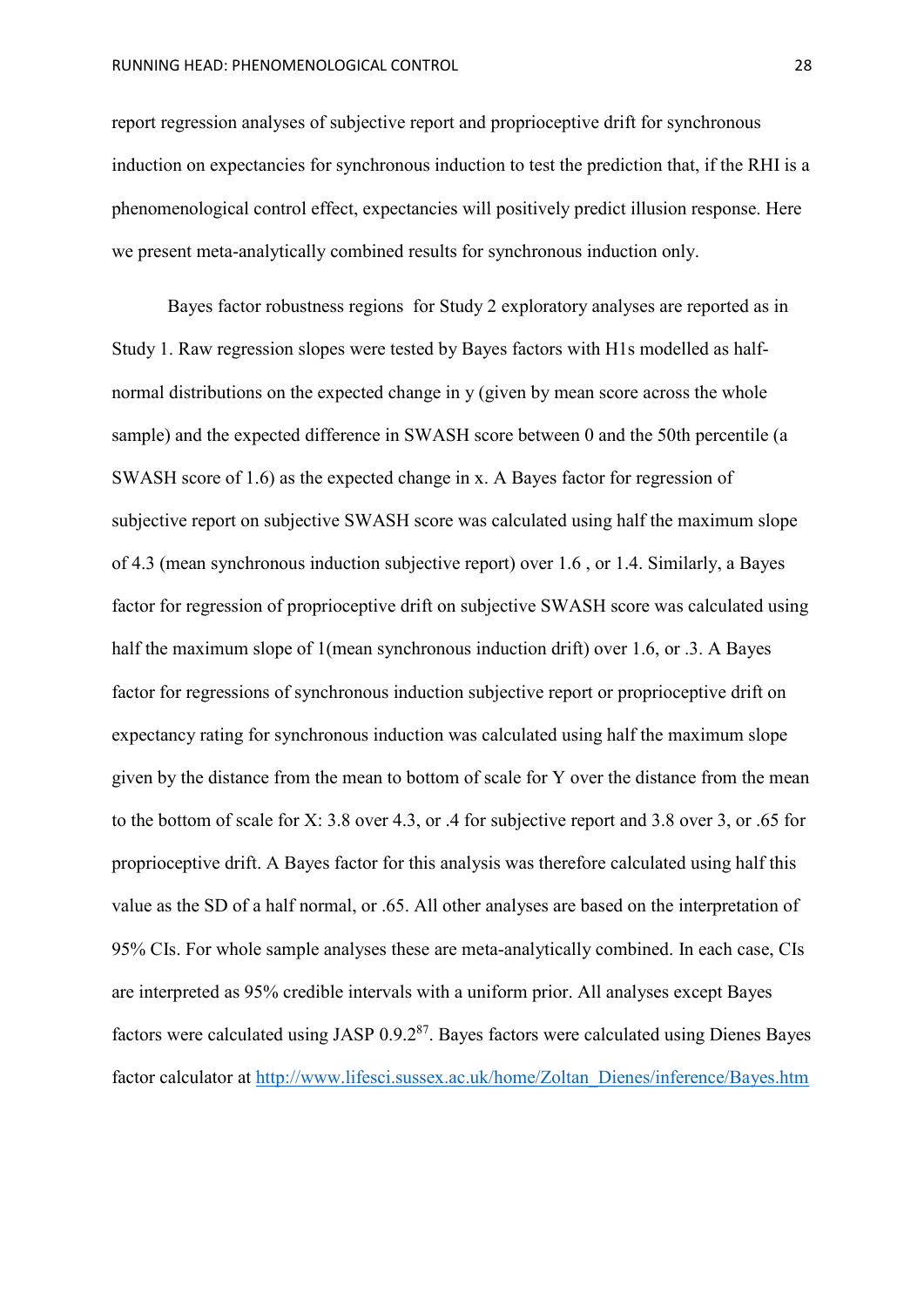report regression analyses of subjective report and proprioceptive drift for synchronous induction on expectancies for synchronous induction to test the prediction that, if the RHI is a phenomenological control effect, expectancies will positively predict illusion response. Here we present meta-analytically combined results for synchronous induction only.

Bayes factor robustness regions for Study 2 exploratory analyses are reported as in Study 1. Raw regression slopes were tested by Bayes factors with H1s modelled as halfnormal distributions on the expected change in y (given by mean score across the whole sample) and the expected difference in SWASH score between 0 and the 50th percentile (a SWASH score of 1.6) as the expected change in x. A Bayes factor for regression of subjective report on subjective SWASH score was calculated using half the maximum slope of 4.3 (mean synchronous induction subjective report) over 1.6 , or 1.4. Similarly, a Bayes factor for regression of proprioceptive drift on subjective SWASH score was calculated using half the maximum slope of 1(mean synchronous induction drift) over 1.6, or .3. A Bayes factor for regressions of synchronous induction subjective report or proprioceptive drift on expectancy rating for synchronous induction was calculated using half the maximum slope given by the distance from the mean to bottom of scale for Y over the distance from the mean to the bottom of scale for X: 3.8 over 4.3, or .4 for subjective report and 3.8 over 3, or .65 for proprioceptive drift. A Bayes factor for this analysis was therefore calculated using half this value as the SD of a half normal, or .65. All other analyses are based on the interpretation of 95% CIs. For whole sample analyses these are meta-analytically combined. In each case, CIs are interpreted as 95% credible intervals with a uniform prior. All analyses except Bayes factors were calculated using JASP  $0.9.2^{87}$ . Bayes factors were calculated using Dienes Bayes factor calculator at [http://www.lifesci.sussex.ac.uk/home/Zoltan\\_Dienes/inference/Bayes.htm](http://www.lifesci.sussex.ac.uk/home/Zoltan_Dienes/inference/Bayes.htm)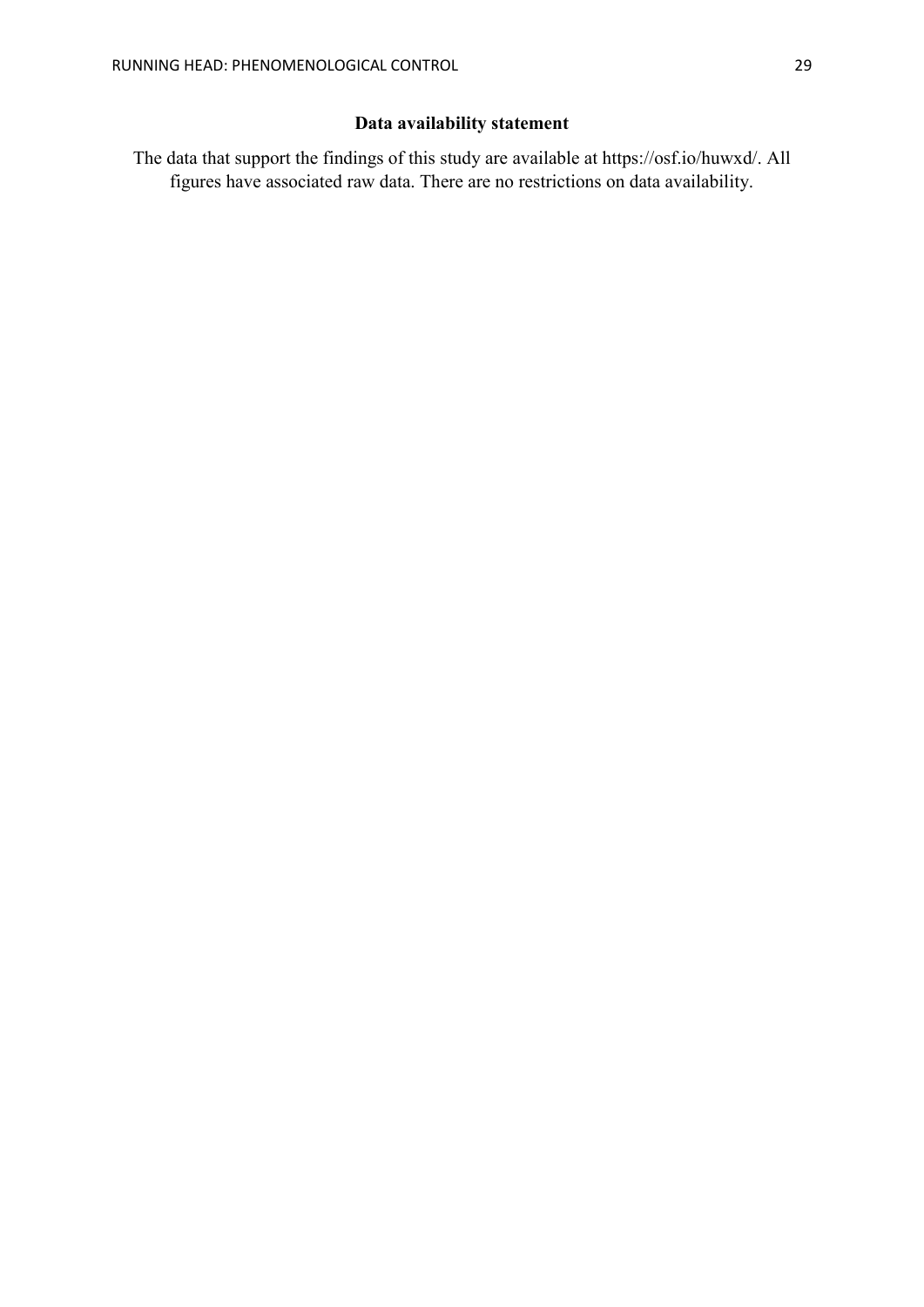# **Data availability statement**

The data that support the findings of this study are available at https://osf.io/huwxd/. All figures have associated raw data. There are no restrictions on data availability.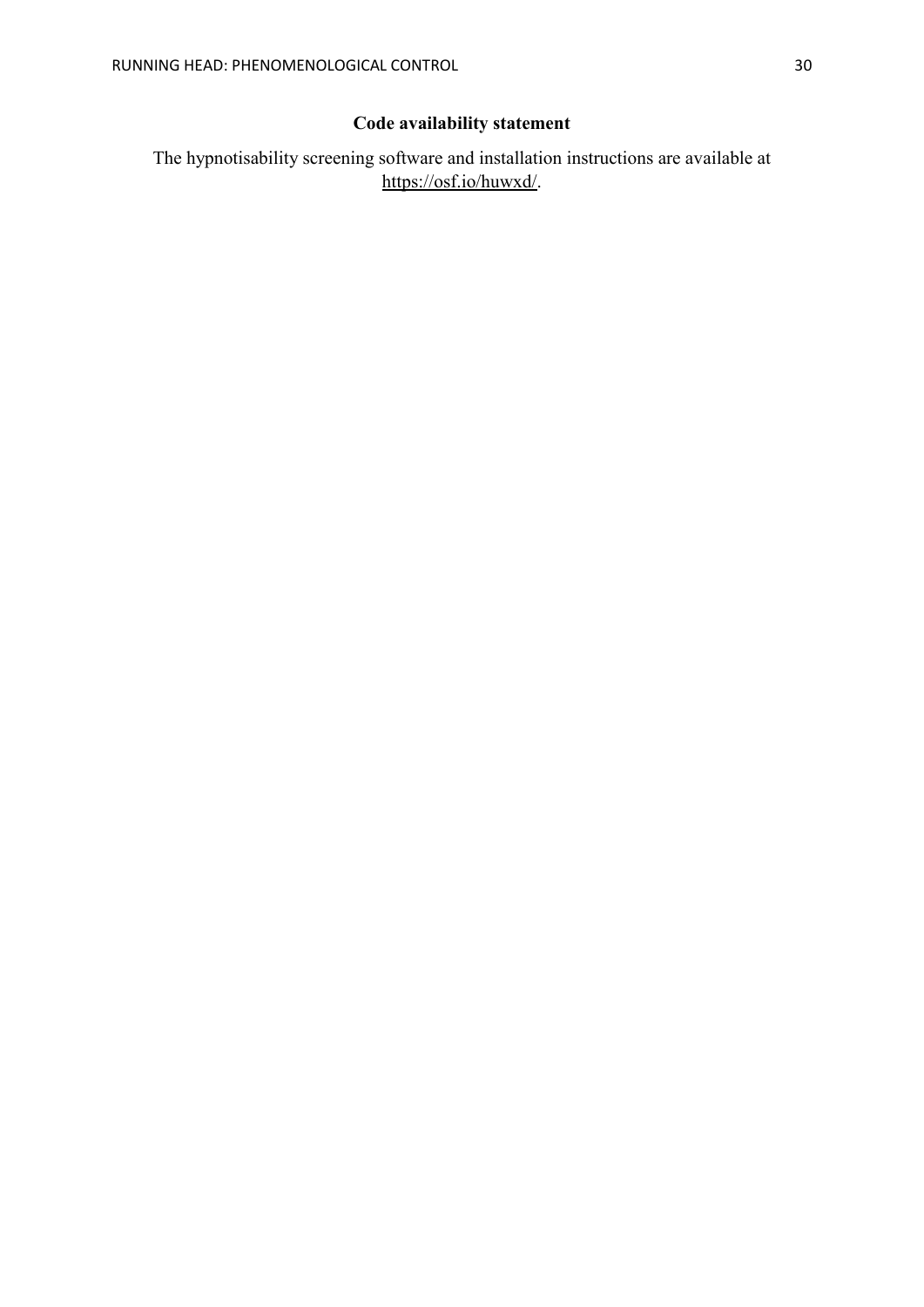# **Code availability statement**

The hypnotisability screening software and installation instructions are available at [https://osf.io/huwxd/.](https://osf.io/huwxd/)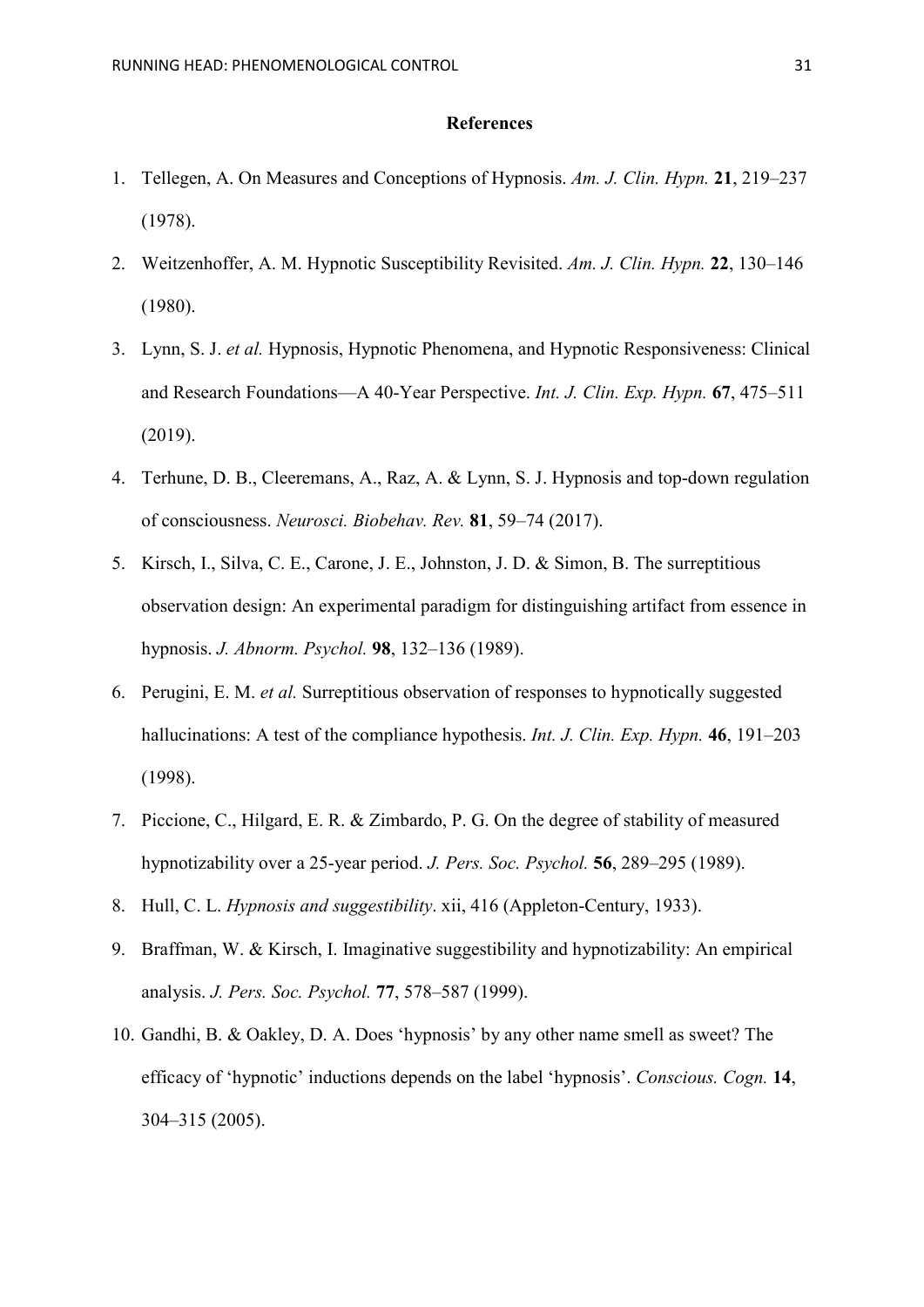## **References**

- 1. Tellegen, A. On Measures and Conceptions of Hypnosis. *Am. J. Clin. Hypn.* **21**, 219–237 (1978).
- 2. Weitzenhoffer, A. M. Hypnotic Susceptibility Revisited. *Am. J. Clin. Hypn.* **22**, 130–146 (1980).
- 3. Lynn, S. J. *et al.* Hypnosis, Hypnotic Phenomena, and Hypnotic Responsiveness: Clinical and Research Foundations—A 40-Year Perspective. *Int. J. Clin. Exp. Hypn.* **67**, 475–511 (2019).
- 4. Terhune, D. B., Cleeremans, A., Raz, A. & Lynn, S. J. Hypnosis and top-down regulation of consciousness. *Neurosci. Biobehav. Rev.* **81**, 59–74 (2017).
- 5. Kirsch, I., Silva, C. E., Carone, J. E., Johnston, J. D. & Simon, B. The surreptitious observation design: An experimental paradigm for distinguishing artifact from essence in hypnosis. *J. Abnorm. Psychol.* **98**, 132–136 (1989).
- 6. Perugini, E. M. *et al.* Surreptitious observation of responses to hypnotically suggested hallucinations: A test of the compliance hypothesis. *Int. J. Clin. Exp. Hypn.* **46**, 191–203 (1998).
- 7. Piccione, C., Hilgard, E. R. & Zimbardo, P. G. On the degree of stability of measured hypnotizability over a 25-year period. *J. Pers. Soc. Psychol.* **56**, 289–295 (1989).
- 8. Hull, C. L. *Hypnosis and suggestibility*. xii, 416 (Appleton-Century, 1933).
- 9. Braffman, W. & Kirsch, I. Imaginative suggestibility and hypnotizability: An empirical analysis. *J. Pers. Soc. Psychol.* **77**, 578–587 (1999).
- 10. Gandhi, B. & Oakley, D. A. Does 'hypnosis' by any other name smell as sweet? The efficacy of 'hypnotic' inductions depends on the label 'hypnosis'. *Conscious. Cogn.* **14**, 304–315 (2005).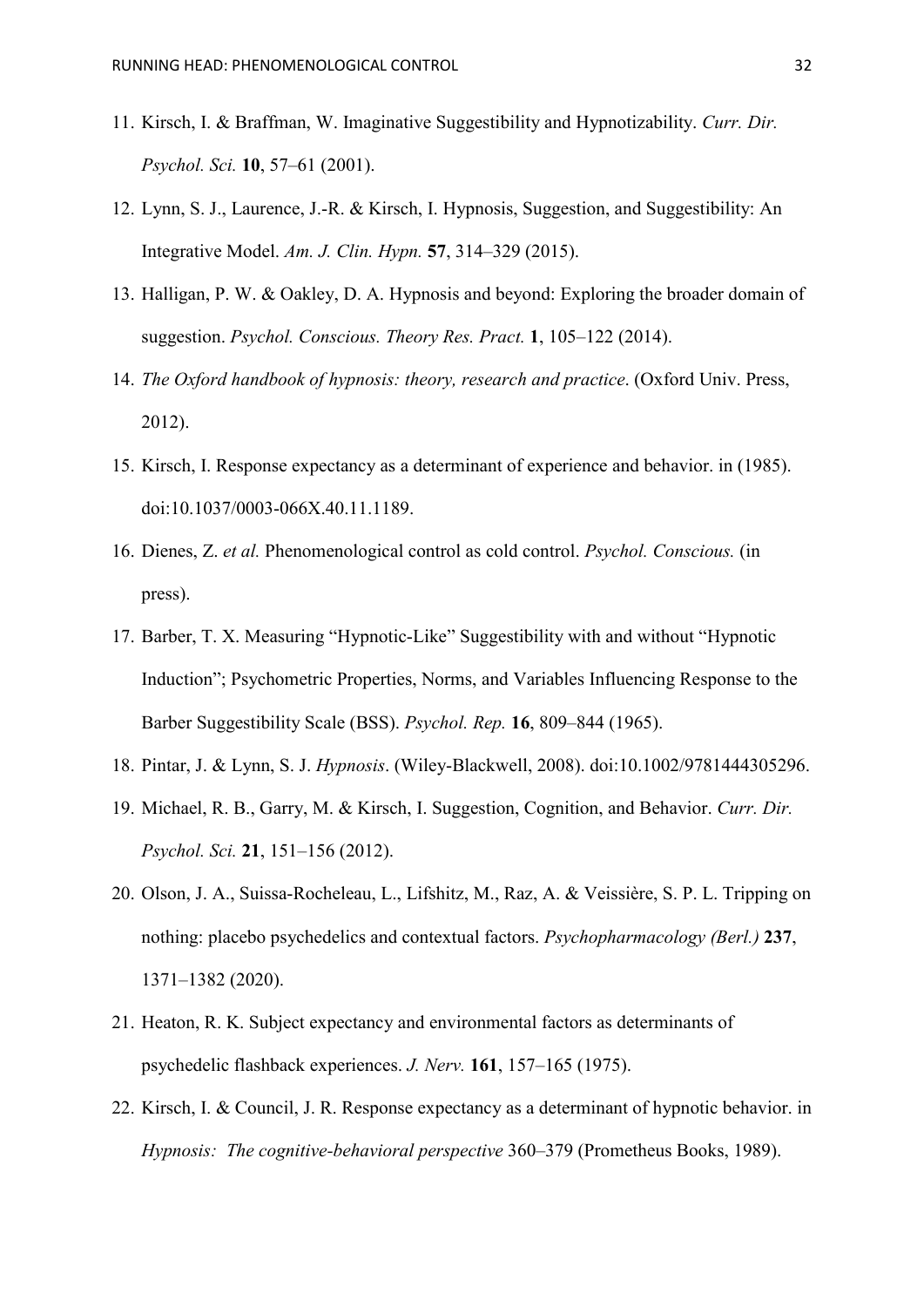- 11. Kirsch, I. & Braffman, W. Imaginative Suggestibility and Hypnotizability. *Curr. Dir. Psychol. Sci.* **10**, 57–61 (2001).
- 12. Lynn, S. J., Laurence, J.-R. & Kirsch, I. Hypnosis, Suggestion, and Suggestibility: An Integrative Model. *Am. J. Clin. Hypn.* **57**, 314–329 (2015).
- 13. Halligan, P. W. & Oakley, D. A. Hypnosis and beyond: Exploring the broader domain of suggestion. *Psychol. Conscious. Theory Res. Pract.* **1**, 105–122 (2014).
- 14. *The Oxford handbook of hypnosis: theory, research and practice*. (Oxford Univ. Press, 2012).
- 15. Kirsch, I. Response expectancy as a determinant of experience and behavior. in (1985). doi:10.1037/0003-066X.40.11.1189.
- 16. Dienes, Z. *et al.* Phenomenological control as cold control. *Psychol. Conscious.* (in press).
- 17. Barber, T. X. Measuring "Hypnotic-Like" Suggestibility with and without "Hypnotic Induction"; Psychometric Properties, Norms, and Variables Influencing Response to the Barber Suggestibility Scale (BSS). *Psychol. Rep.* **16**, 809–844 (1965).
- 18. Pintar, J. & Lynn, S. J. *Hypnosis*. (Wiley-Blackwell, 2008). doi:10.1002/9781444305296.
- 19. Michael, R. B., Garry, M. & Kirsch, I. Suggestion, Cognition, and Behavior. *Curr. Dir. Psychol. Sci.* **21**, 151–156 (2012).
- 20. Olson, J. A., Suissa-Rocheleau, L., Lifshitz, M., Raz, A. & Veissière, S. P. L. Tripping on nothing: placebo psychedelics and contextual factors. *Psychopharmacology (Berl.)* **237**, 1371–1382 (2020).
- 21. Heaton, R. K. Subject expectancy and environmental factors as determinants of psychedelic flashback experiences. *J. Nerv.* **161**, 157–165 (1975).
- 22. Kirsch, I. & Council, J. R. Response expectancy as a determinant of hypnotic behavior. in *Hypnosis: The cognitive-behavioral perspective* 360–379 (Prometheus Books, 1989).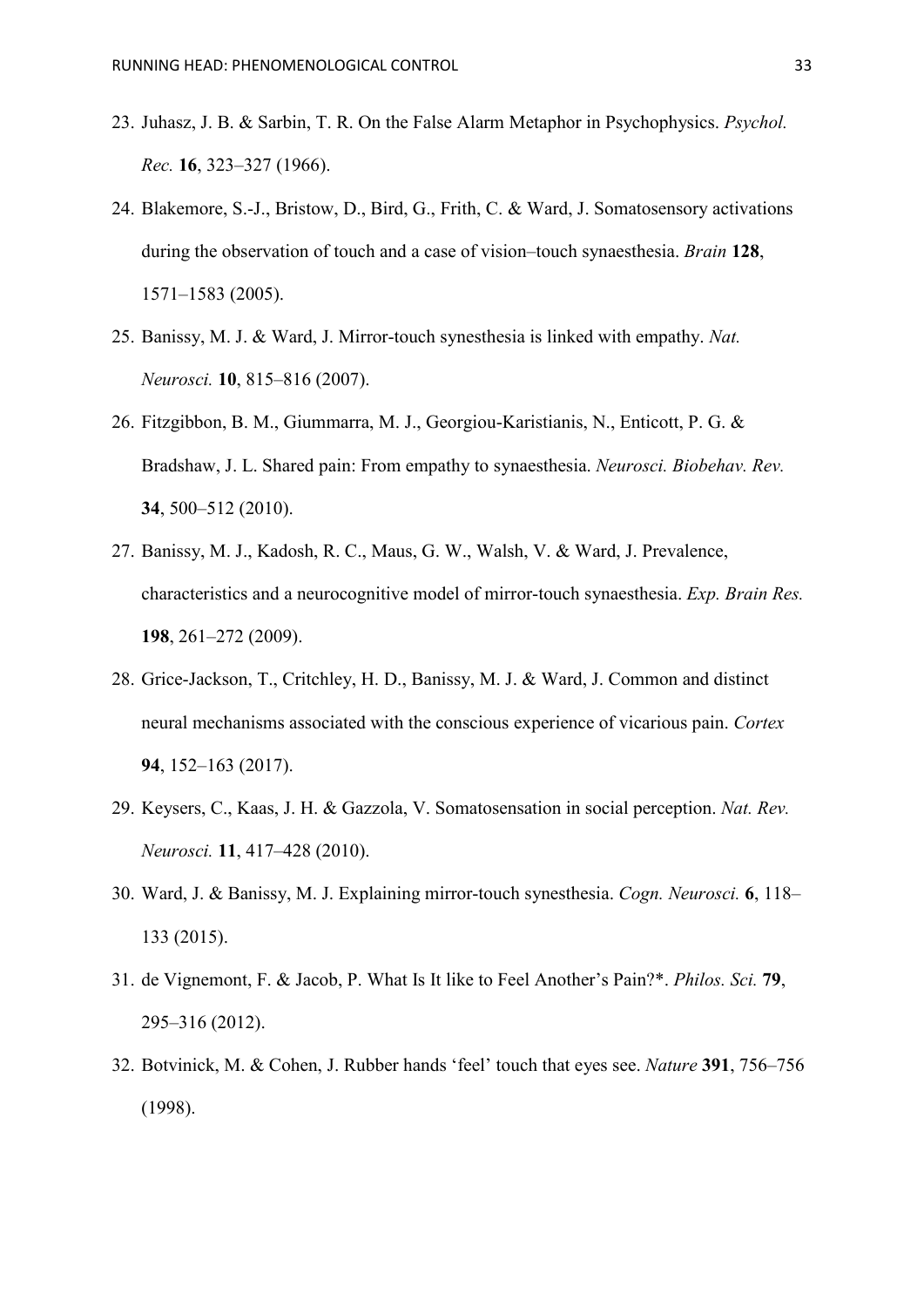- 23. Juhasz, J. B. & Sarbin, T. R. On the False Alarm Metaphor in Psychophysics. *Psychol. Rec.* **16**, 323–327 (1966).
- 24. Blakemore, S.-J., Bristow, D., Bird, G., Frith, C. & Ward, J. Somatosensory activations during the observation of touch and a case of vision–touch synaesthesia. *Brain* **128**, 1571–1583 (2005).
- 25. Banissy, M. J. & Ward, J. Mirror-touch synesthesia is linked with empathy. *Nat. Neurosci.* **10**, 815–816 (2007).
- 26. Fitzgibbon, B. M., Giummarra, M. J., Georgiou-Karistianis, N., Enticott, P. G. & Bradshaw, J. L. Shared pain: From empathy to synaesthesia. *Neurosci. Biobehav. Rev.* **34**, 500–512 (2010).
- 27. Banissy, M. J., Kadosh, R. C., Maus, G. W., Walsh, V. & Ward, J. Prevalence, characteristics and a neurocognitive model of mirror-touch synaesthesia. *Exp. Brain Res.* **198**, 261–272 (2009).
- 28. Grice-Jackson, T., Critchley, H. D., Banissy, M. J. & Ward, J. Common and distinct neural mechanisms associated with the conscious experience of vicarious pain. *Cortex* **94**, 152–163 (2017).
- 29. Keysers, C., Kaas, J. H. & Gazzola, V. Somatosensation in social perception. *Nat. Rev. Neurosci.* **11**, 417–428 (2010).
- 30. Ward, J. & Banissy, M. J. Explaining mirror-touch synesthesia. *Cogn. Neurosci.* **6**, 118– 133 (2015).
- 31. de Vignemont, F. & Jacob, P. What Is It like to Feel Another's Pain?\*. *Philos. Sci.* **79**, 295–316 (2012).
- 32. Botvinick, M. & Cohen, J. Rubber hands 'feel' touch that eyes see. *Nature* **391**, 756–756 (1998).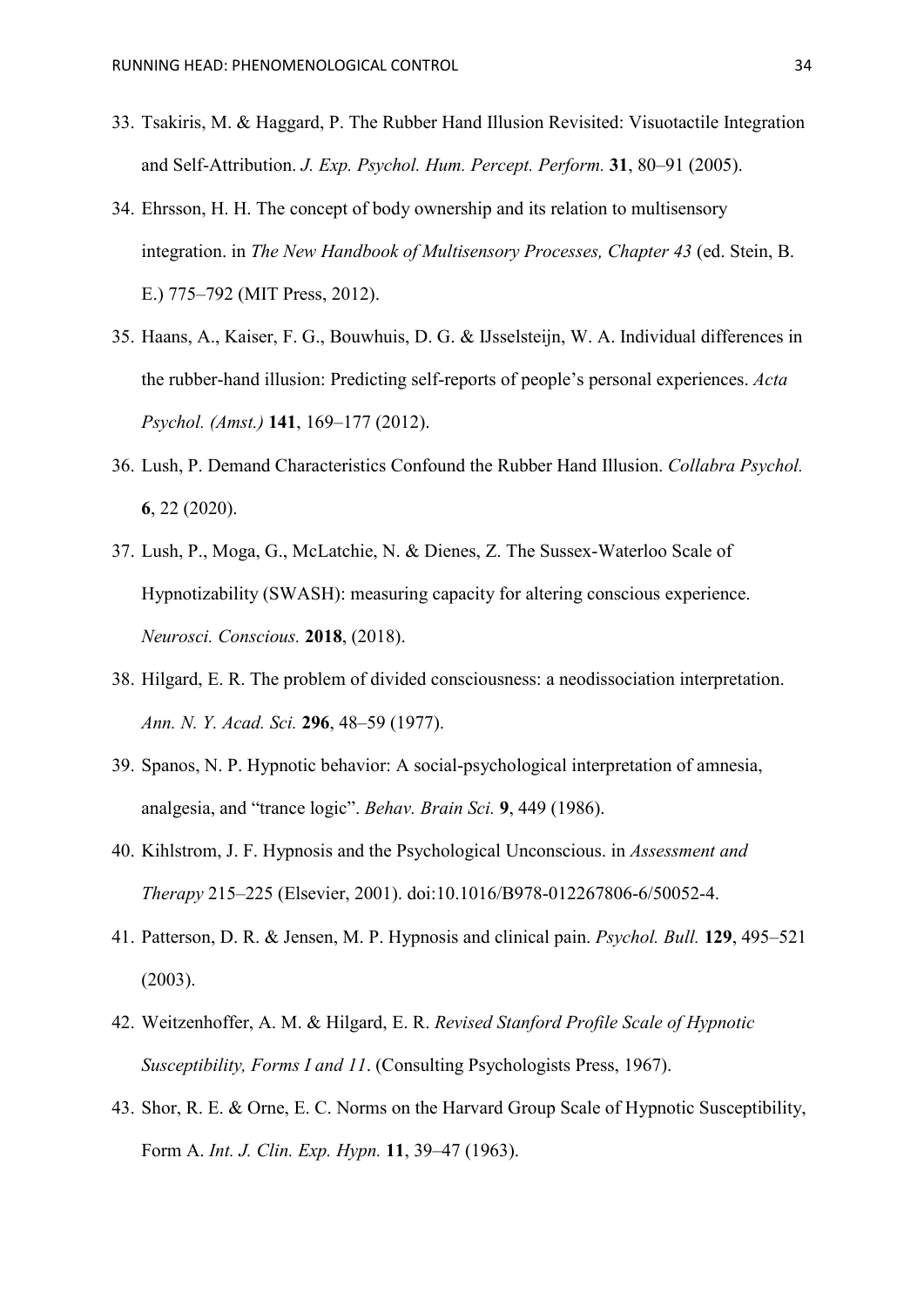- 33. Tsakiris, M. & Haggard, P. The Rubber Hand Illusion Revisited: Visuotactile Integration and Self-Attribution. *J. Exp. Psychol. Hum. Percept. Perform.* **31**, 80–91 (2005).
- 34. Ehrsson, H. H. The concept of body ownership and its relation to multisensory integration. in *The New Handbook of Multisensory Processes, Chapter 43* (ed. Stein, B. E.) 775–792 (MIT Press, 2012).
- 35. Haans, A., Kaiser, F. G., Bouwhuis, D. G. & IJsselsteijn, W. A. Individual differences in the rubber-hand illusion: Predicting self-reports of people's personal experiences. *Acta Psychol. (Amst.)* **141**, 169–177 (2012).
- 36. Lush, P. Demand Characteristics Confound the Rubber Hand Illusion. *Collabra Psychol.* **6**, 22 (2020).
- 37. Lush, P., Moga, G., McLatchie, N. & Dienes, Z. The Sussex-Waterloo Scale of Hypnotizability (SWASH): measuring capacity for altering conscious experience. *Neurosci. Conscious.* **2018**, (2018).
- 38. Hilgard, E. R. The problem of divided consciousness: a neodissociation interpretation. *Ann. N. Y. Acad. Sci.* **296**, 48–59 (1977).
- 39. Spanos, N. P. Hypnotic behavior: A social-psychological interpretation of amnesia, analgesia, and "trance logic". *Behav. Brain Sci.* **9**, 449 (1986).
- 40. Kihlstrom, J. F. Hypnosis and the Psychological Unconscious. in *Assessment and Therapy* 215–225 (Elsevier, 2001). doi:10.1016/B978-012267806-6/50052-4.
- 41. Patterson, D. R. & Jensen, M. P. Hypnosis and clinical pain. *Psychol. Bull.* **129**, 495–521 (2003).
- 42. Weitzenhoffer, A. M. & Hilgard, E. R. *Revised Stanford Profile Scale of Hypnotic Susceptibility, Forms I and 11*. (Consulting Psychologists Press, 1967).
- 43. Shor, R. E. & Orne, E. C. Norms on the Harvard Group Scale of Hypnotic Susceptibility, Form A. *Int. J. Clin. Exp. Hypn.* **11**, 39–47 (1963).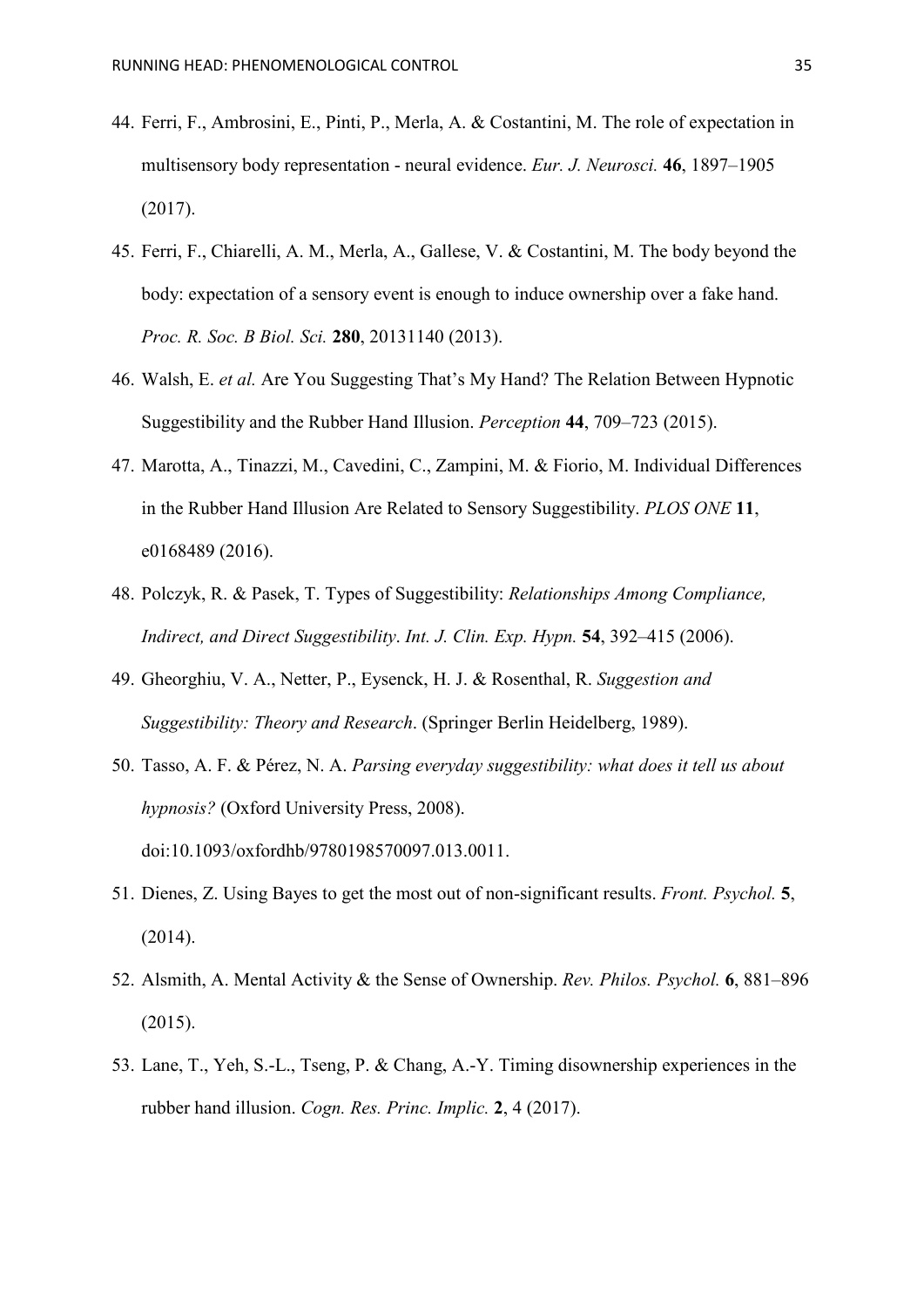- 44. Ferri, F., Ambrosini, E., Pinti, P., Merla, A. & Costantini, M. The role of expectation in multisensory body representation - neural evidence. *Eur. J. Neurosci.* **46**, 1897–1905 (2017).
- 45. Ferri, F., Chiarelli, A. M., Merla, A., Gallese, V. & Costantini, M. The body beyond the body: expectation of a sensory event is enough to induce ownership over a fake hand. *Proc. R. Soc. B Biol. Sci.* **280**, 20131140 (2013).
- 46. Walsh, E. *et al.* Are You Suggesting That's My Hand? The Relation Between Hypnotic Suggestibility and the Rubber Hand Illusion. *Perception* **44**, 709–723 (2015).
- 47. Marotta, A., Tinazzi, M., Cavedini, C., Zampini, M. & Fiorio, M. Individual Differences in the Rubber Hand Illusion Are Related to Sensory Suggestibility. *PLOS ONE* **11**, e0168489 (2016).
- 48. Polczyk, R. & Pasek, T. Types of Suggestibility: *Relationships Among Compliance, Indirect, and Direct Suggestibility*. *Int. J. Clin. Exp. Hypn.* **54**, 392–415 (2006).
- 49. Gheorghiu, V. A., Netter, P., Eysenck, H. J. & Rosenthal, R. *Suggestion and Suggestibility: Theory and Research*. (Springer Berlin Heidelberg, 1989).
- 50. Tasso, A. F. & Pérez, N. A. *Parsing everyday suggestibility: what does it tell us about hypnosis?* (Oxford University Press, 2008). doi:10.1093/oxfordhb/9780198570097.013.0011.
- 51. Dienes, Z. Using Bayes to get the most out of non-significant results. *Front. Psychol.* **5**, (2014).
- 52. Alsmith, A. Mental Activity & the Sense of Ownership. *Rev. Philos. Psychol.* **6**, 881–896 (2015).
- 53. Lane, T., Yeh, S.-L., Tseng, P. & Chang, A.-Y. Timing disownership experiences in the rubber hand illusion. *Cogn. Res. Princ. Implic.* **2**, 4 (2017).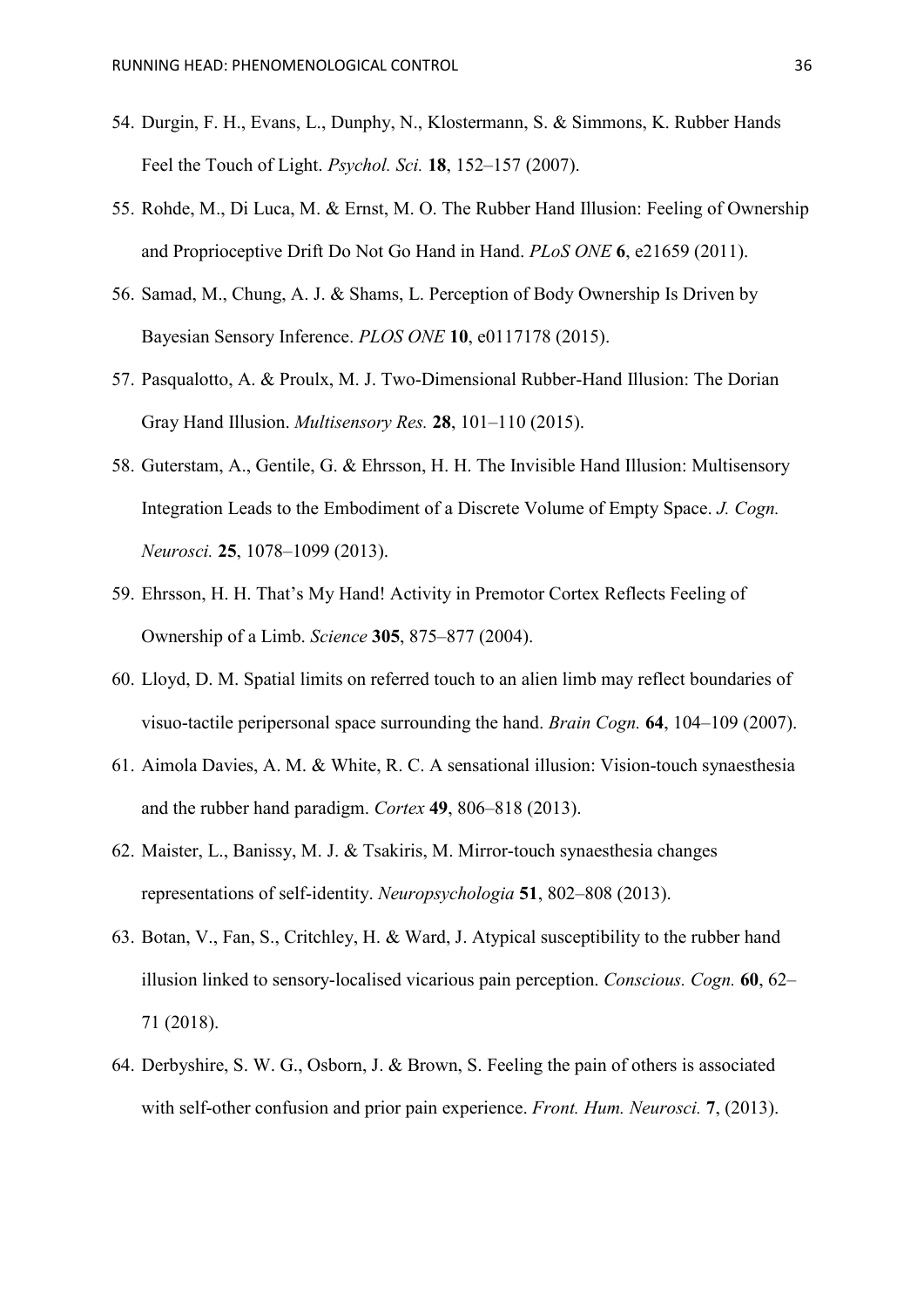- 54. Durgin, F. H., Evans, L., Dunphy, N., Klostermann, S. & Simmons, K. Rubber Hands Feel the Touch of Light. *Psychol. Sci.* **18**, 152–157 (2007).
- 55. Rohde, M., Di Luca, M. & Ernst, M. O. The Rubber Hand Illusion: Feeling of Ownership and Proprioceptive Drift Do Not Go Hand in Hand. *PLoS ONE* **6**, e21659 (2011).
- 56. Samad, M., Chung, A. J. & Shams, L. Perception of Body Ownership Is Driven by Bayesian Sensory Inference. *PLOS ONE* **10**, e0117178 (2015).
- 57. Pasqualotto, A. & Proulx, M. J. Two-Dimensional Rubber-Hand Illusion: The Dorian Gray Hand Illusion. *Multisensory Res.* **28**, 101–110 (2015).
- 58. Guterstam, A., Gentile, G. & Ehrsson, H. H. The Invisible Hand Illusion: Multisensory Integration Leads to the Embodiment of a Discrete Volume of Empty Space. *J. Cogn. Neurosci.* **25**, 1078–1099 (2013).
- 59. Ehrsson, H. H. That's My Hand! Activity in Premotor Cortex Reflects Feeling of Ownership of a Limb. *Science* **305**, 875–877 (2004).
- 60. Lloyd, D. M. Spatial limits on referred touch to an alien limb may reflect boundaries of visuo-tactile peripersonal space surrounding the hand. *Brain Cogn.* **64**, 104–109 (2007).
- 61. Aimola Davies, A. M. & White, R. C. A sensational illusion: Vision-touch synaesthesia and the rubber hand paradigm. *Cortex* **49**, 806–818 (2013).
- 62. Maister, L., Banissy, M. J. & Tsakiris, M. Mirror-touch synaesthesia changes representations of self-identity. *Neuropsychologia* **51**, 802–808 (2013).
- 63. Botan, V., Fan, S., Critchley, H. & Ward, J. Atypical susceptibility to the rubber hand illusion linked to sensory-localised vicarious pain perception. *Conscious. Cogn.* **60**, 62– 71 (2018).
- 64. Derbyshire, S. W. G., Osborn, J. & Brown, S. Feeling the pain of others is associated with self-other confusion and prior pain experience. *Front. Hum. Neurosci.* **7**, (2013).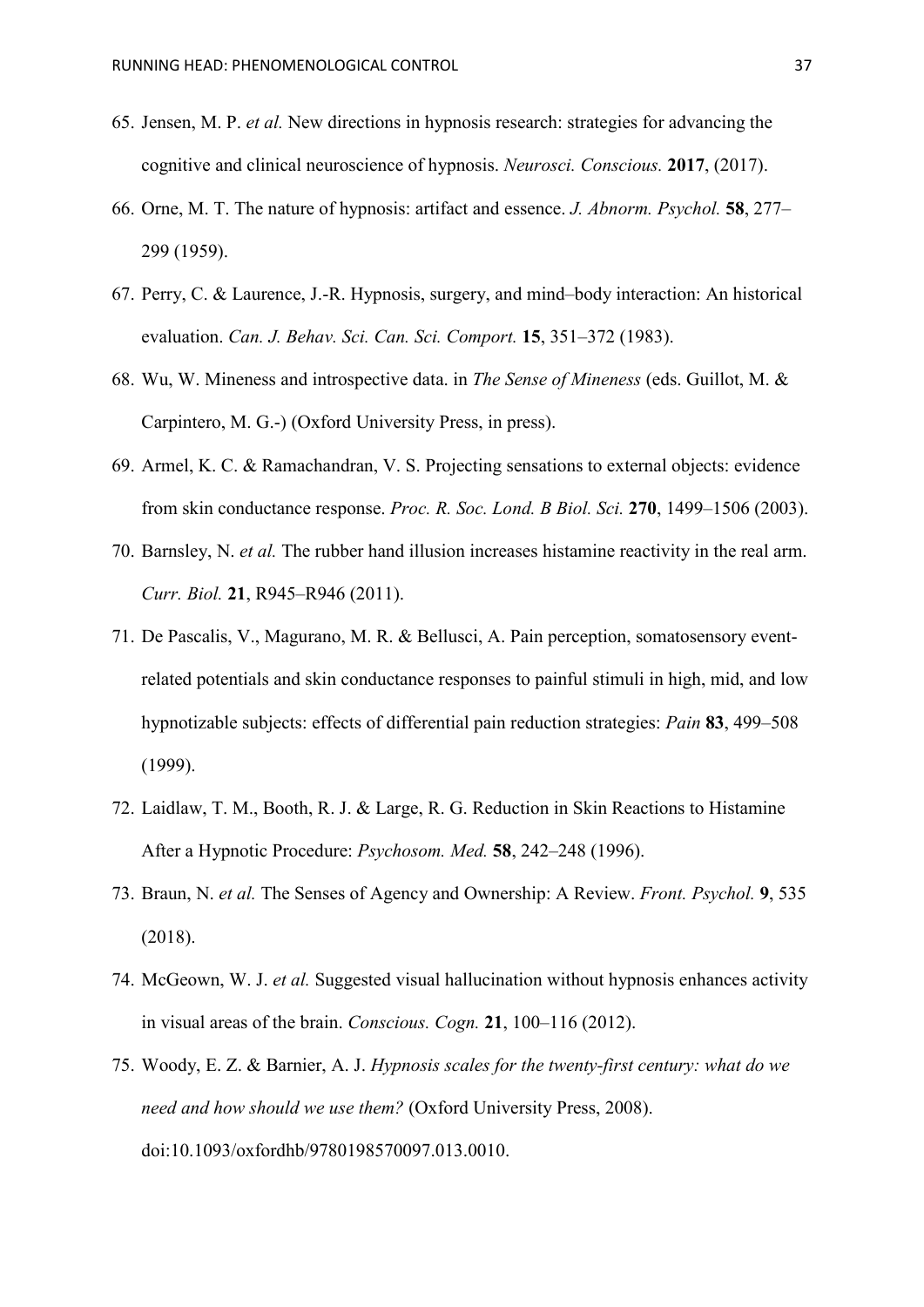- 65. Jensen, M. P. *et al.* New directions in hypnosis research: strategies for advancing the cognitive and clinical neuroscience of hypnosis. *Neurosci. Conscious.* **2017**, (2017).
- 66. Orne, M. T. The nature of hypnosis: artifact and essence. *J. Abnorm. Psychol.* **58**, 277– 299 (1959).
- 67. Perry, C. & Laurence, J.-R. Hypnosis, surgery, and mind–body interaction: An historical evaluation. *Can. J. Behav. Sci. Can. Sci. Comport.* **15**, 351–372 (1983).
- 68. Wu, W. Mineness and introspective data. in *The Sense of Mineness* (eds. Guillot, M. & Carpintero, M. G.-) (Oxford University Press, in press).
- 69. Armel, K. C. & Ramachandran, V. S. Projecting sensations to external objects: evidence from skin conductance response. *Proc. R. Soc. Lond. B Biol. Sci.* **270**, 1499–1506 (2003).
- 70. Barnsley, N. *et al.* The rubber hand illusion increases histamine reactivity in the real arm. *Curr. Biol.* **21**, R945–R946 (2011).
- 71. De Pascalis, V., Magurano, M. R. & Bellusci, A. Pain perception, somatosensory eventrelated potentials and skin conductance responses to painful stimuli in high, mid, and low hypnotizable subjects: effects of differential pain reduction strategies: *Pain* **83**, 499–508 (1999).
- 72. Laidlaw, T. M., Booth, R. J. & Large, R. G. Reduction in Skin Reactions to Histamine After a Hypnotic Procedure: *Psychosom. Med.* **58**, 242–248 (1996).
- 73. Braun, N. *et al.* The Senses of Agency and Ownership: A Review. *Front. Psychol.* **9**, 535 (2018).
- 74. McGeown, W. J. *et al.* Suggested visual hallucination without hypnosis enhances activity in visual areas of the brain. *Conscious. Cogn.* **21**, 100–116 (2012).
- 75. Woody, E. Z. & Barnier, A. J. *Hypnosis scales for the twenty-first century: what do we need and how should we use them?* (Oxford University Press, 2008). doi:10.1093/oxfordhb/9780198570097.013.0010.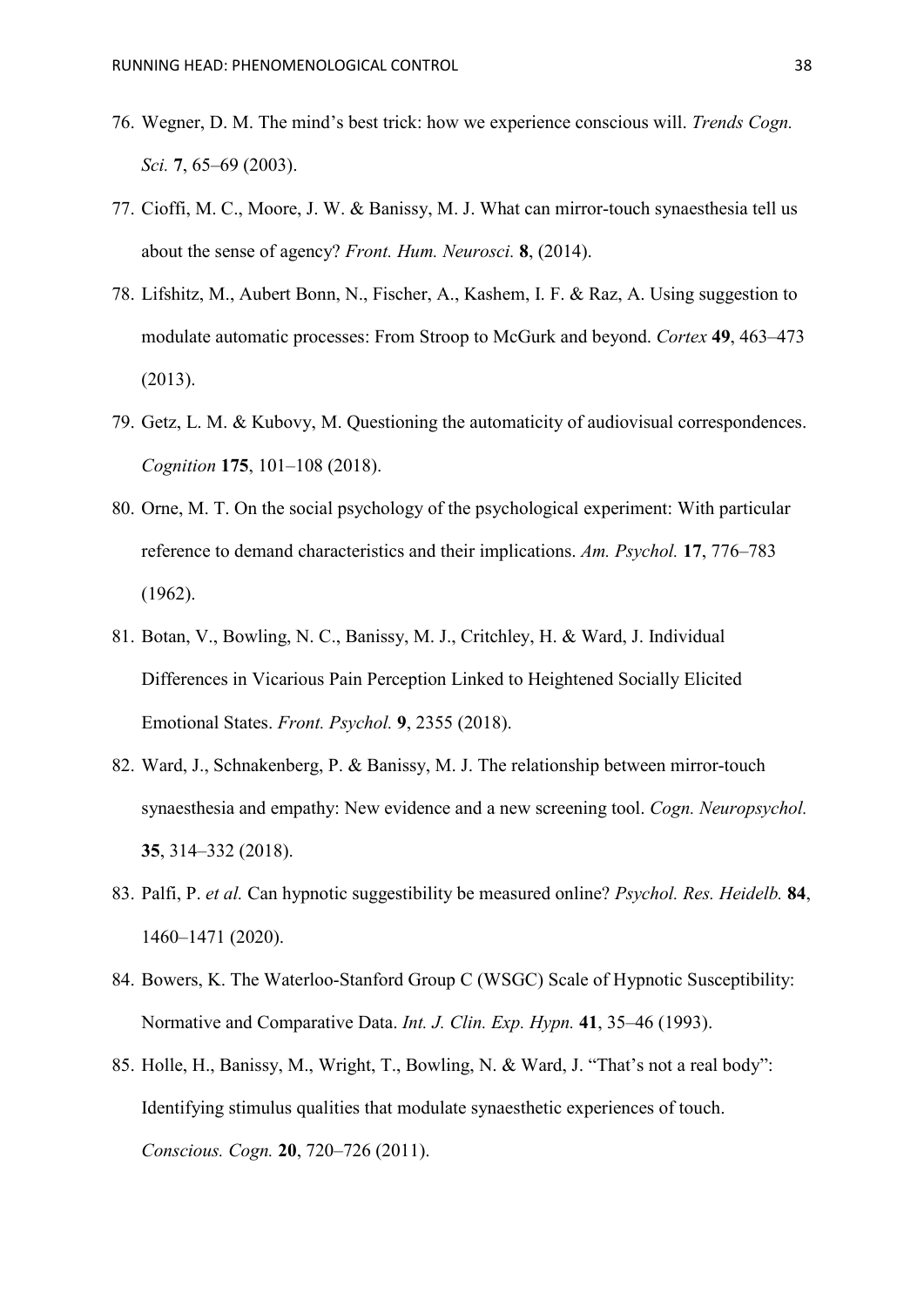- 76. Wegner, D. M. The mind's best trick: how we experience conscious will. *Trends Cogn. Sci.* **7**, 65–69 (2003).
- 77. Cioffi, M. C., Moore, J. W. & Banissy, M. J. What can mirror-touch synaesthesia tell us about the sense of agency? *Front. Hum. Neurosci.* **8**, (2014).
- 78. Lifshitz, M., Aubert Bonn, N., Fischer, A., Kashem, I. F. & Raz, A. Using suggestion to modulate automatic processes: From Stroop to McGurk and beyond. *Cortex* **49**, 463–473 (2013).
- 79. Getz, L. M. & Kubovy, M. Questioning the automaticity of audiovisual correspondences. *Cognition* **175**, 101–108 (2018).
- 80. Orne, M. T. On the social psychology of the psychological experiment: With particular reference to demand characteristics and their implications. *Am. Psychol.* **17**, 776–783 (1962).
- 81. Botan, V., Bowling, N. C., Banissy, M. J., Critchley, H. & Ward, J. Individual Differences in Vicarious Pain Perception Linked to Heightened Socially Elicited Emotional States. *Front. Psychol.* **9**, 2355 (2018).
- 82. Ward, J., Schnakenberg, P. & Banissy, M. J. The relationship between mirror-touch synaesthesia and empathy: New evidence and a new screening tool. *Cogn. Neuropsychol.* **35**, 314–332 (2018).
- 83. Palfi, P. *et al.* Can hypnotic suggestibility be measured online? *Psychol. Res. Heidelb.* **84**, 1460–1471 (2020).
- 84. Bowers, K. The Waterloo-Stanford Group C (WSGC) Scale of Hypnotic Susceptibility: Normative and Comparative Data. *Int. J. Clin. Exp. Hypn.* **41**, 35–46 (1993).
- 85. Holle, H., Banissy, M., Wright, T., Bowling, N. & Ward, J. "That's not a real body": Identifying stimulus qualities that modulate synaesthetic experiences of touch. *Conscious. Cogn.* **20**, 720–726 (2011).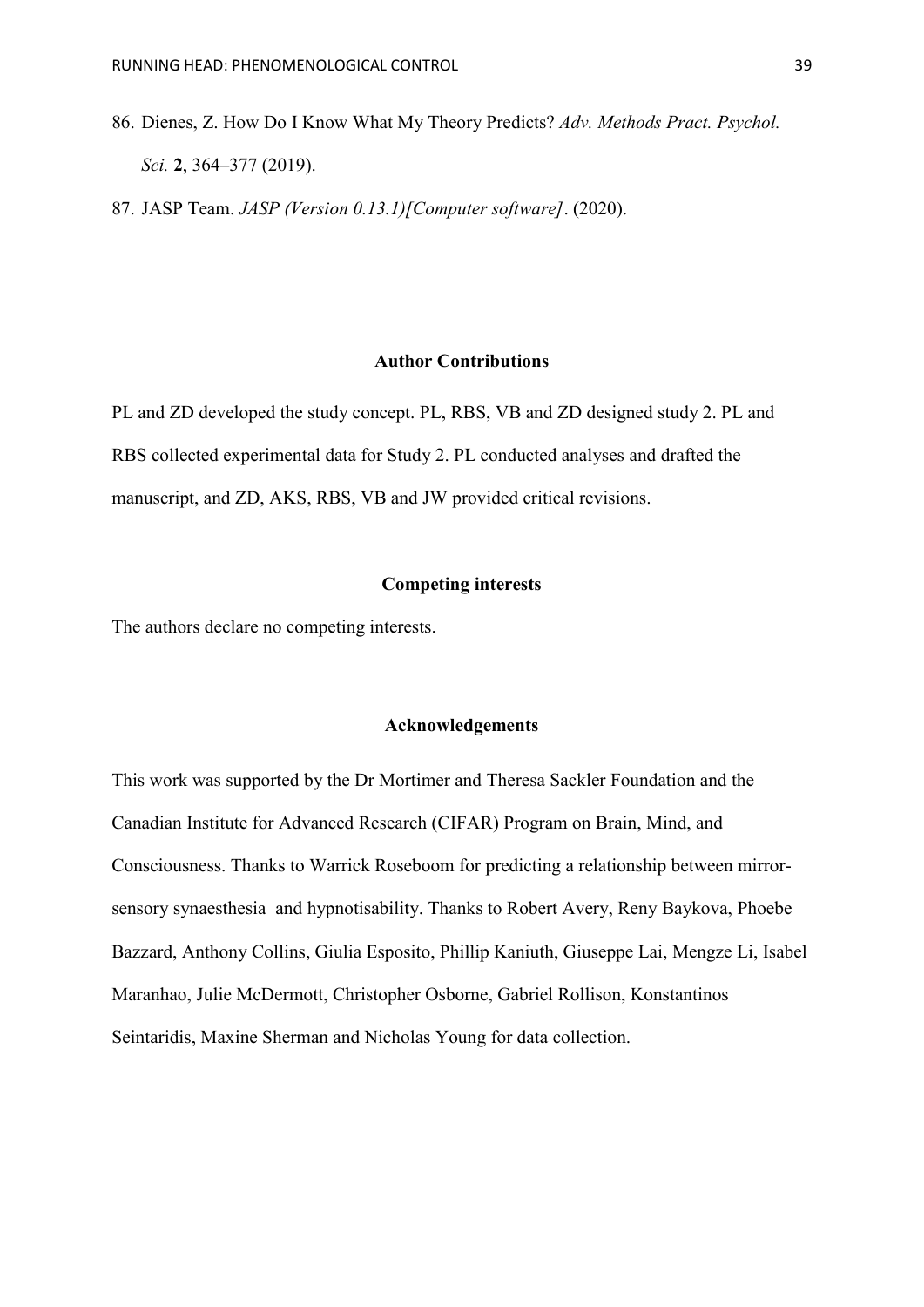86. Dienes, Z. How Do I Know What My Theory Predicts? *Adv. Methods Pract. Psychol. Sci.* **2**, 364–377 (2019).

87. JASP Team. *JASP (Version 0.13.1)[Computer software]*. (2020).

## **Author Contributions**

PL and ZD developed the study concept. PL, RBS, VB and ZD designed study 2. PL and RBS collected experimental data for Study 2. PL conducted analyses and drafted the manuscript, and ZD, AKS, RBS, VB and JW provided critical revisions.

# **Competing interests**

The authors declare no competing interests.

## **Acknowledgements**

This work was supported by the Dr Mortimer and Theresa Sackler Foundation and the Canadian Institute for Advanced Research (CIFAR) Program on Brain, Mind, and Consciousness. Thanks to Warrick Roseboom for predicting a relationship between mirrorsensory synaesthesia and hypnotisability. Thanks to Robert Avery, Reny Baykova, Phoebe Bazzard, Anthony Collins, Giulia Esposito, Phillip Kaniuth, Giuseppe Lai, Mengze Li, Isabel Maranhao, Julie McDermott, Christopher Osborne, Gabriel Rollison, Konstantinos Seintaridis, Maxine Sherman and Nicholas Young for data collection.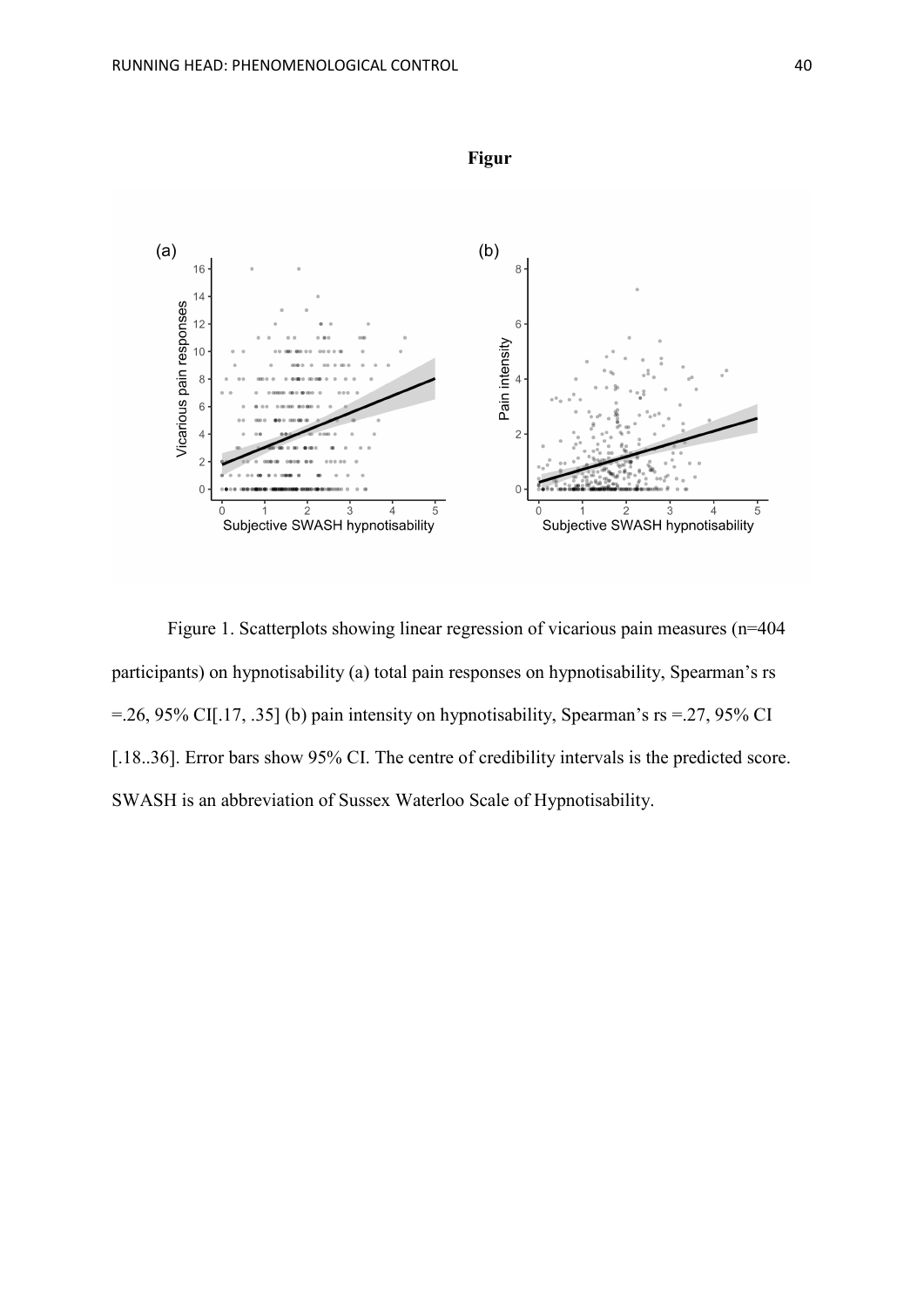

Figure 1. Scatterplots showing linear regression of vicarious pain measures (n=404 participants) on hypnotisability (a) total pain responses on hypnotisability, Spearman's rs =.26, 95% CI[.17, .35] (b) pain intensity on hypnotisability, Spearman's rs =.27, 95% CI [.18..36]. Error bars show 95% CI. The centre of credibility intervals is the predicted score. SWASH is an abbreviation of Sussex Waterloo Scale of Hypnotisability.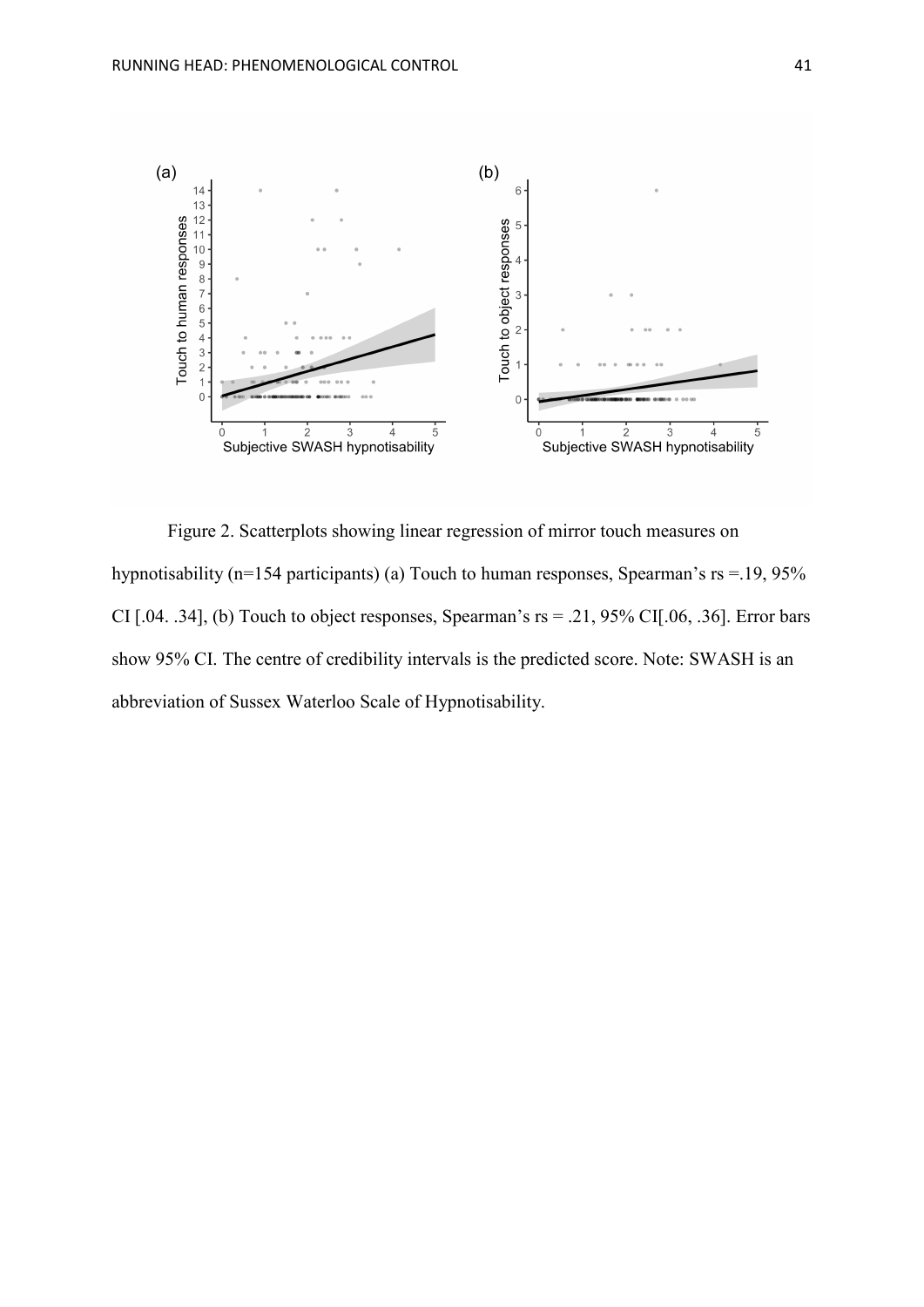

Figure 2. Scatterplots showing linear regression of mirror touch measures on hypnotisability (n=154 participants) (a) Touch to human responses, Spearman's rs = 19, 95% CI [.04. .34], (b) Touch to object responses, Spearman's  $rs = .21, 95\%$  CI[.06, .36]. Error bars show 95% CI. The centre of credibility intervals is the predicted score. Note: SWASH is an abbreviation of Sussex Waterloo Scale of Hypnotisability.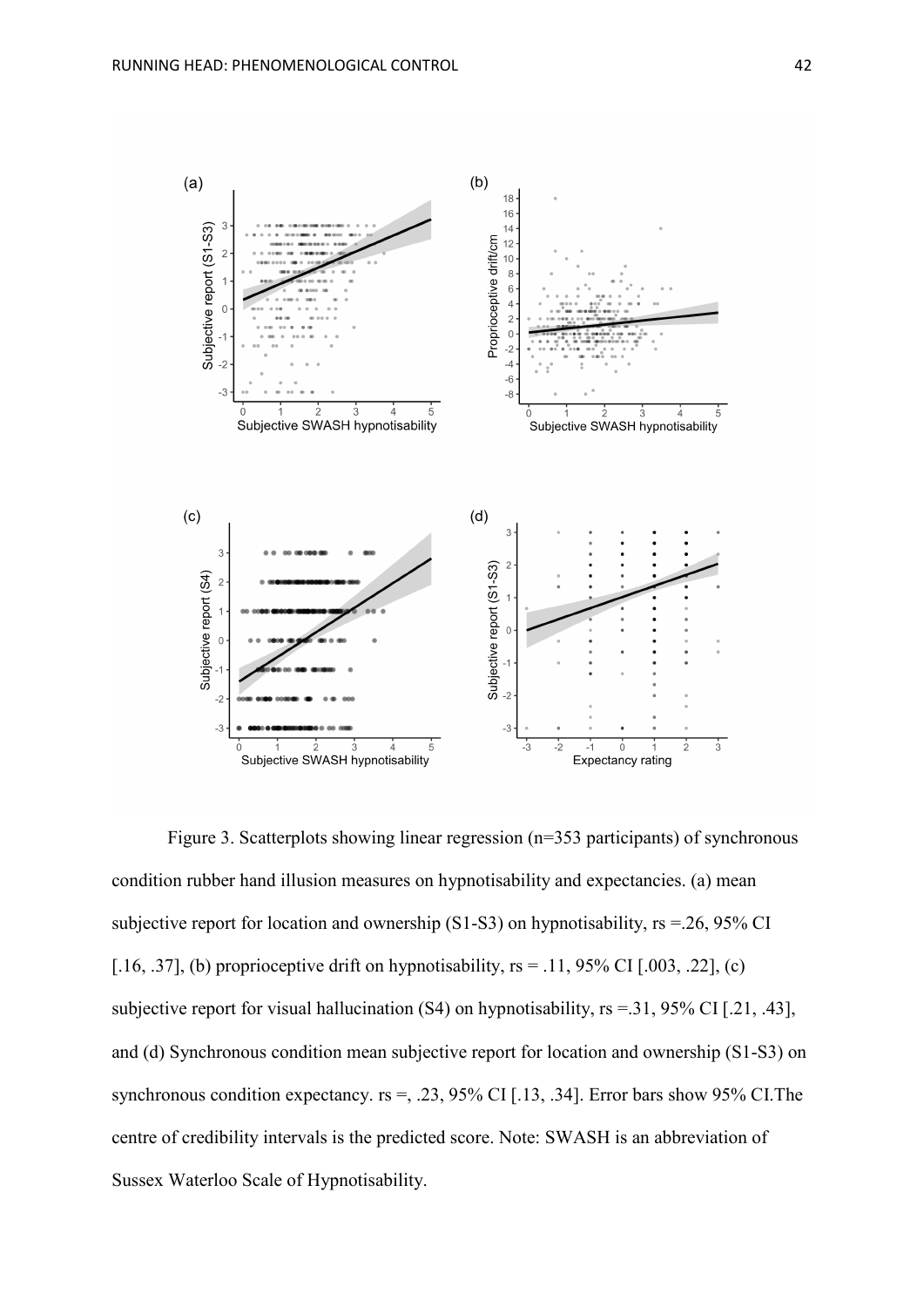

Figure 3. Scatterplots showing linear regression (n=353 participants) of synchronous condition rubber hand illusion measures on hypnotisability and expectancies. (a) mean subjective report for location and ownership  $(S1-S3)$  on hypnotisability,  $rs = 26$ , 95% CI [.16, .37], (b) proprioceptive drift on hypnotisability,  $rs = .11$ , 95% CI [.003, .22], (c) subjective report for visual hallucination (S4) on hypnotisability, rs =.31, 95% CI [.21, .43], and (d) Synchronous condition mean subjective report for location and ownership (S1-S3) on synchronous condition expectancy.  $rs =$ , .23, 95% CI [.13, .34]. Error bars show 95% CI. The centre of credibility intervals is the predicted score. Note: SWASH is an abbreviation of Sussex Waterloo Scale of Hypnotisability.